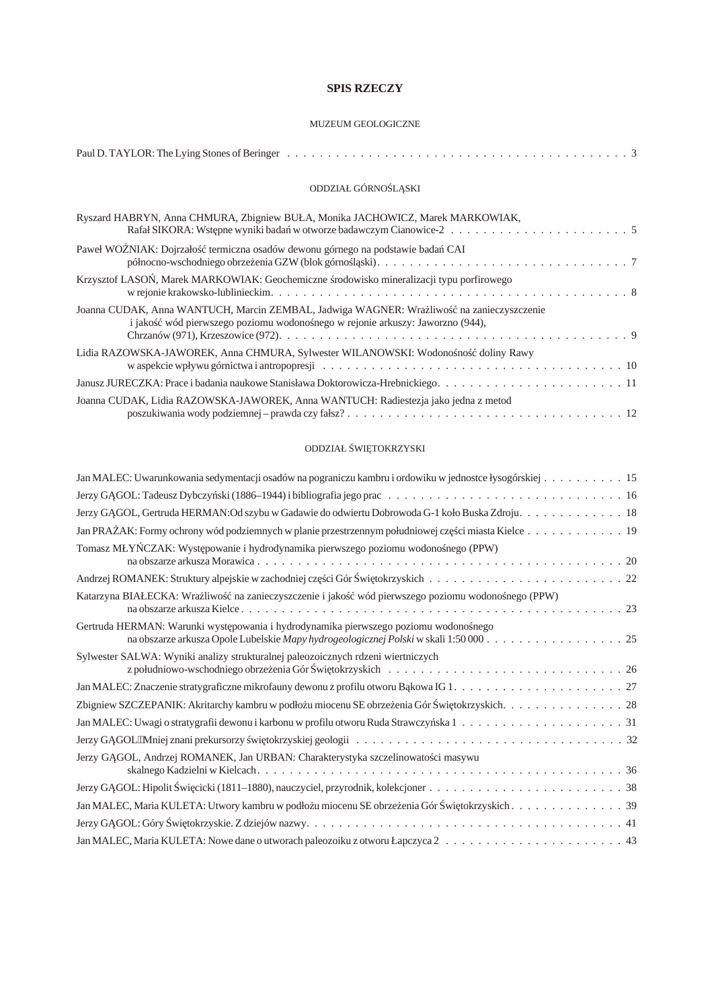# **SPIS RZECZY**

# MUZEUM [GEOLOGICZNE](#page-1-0)

| ODDZIAŁ GÓRNO L SKI                                                                                                                                                     |
|-------------------------------------------------------------------------------------------------------------------------------------------------------------------------|
| Ryszard HABRYN, Anna CHMURA, Zbigniew BUŁA, Monika JACHOWICZ, Marek MARKOWIAK,                                                                                          |
| Paweł WOŹNIAK: Dojrzało termiczna osadów dewonu górnego na podstawie bada CAI                                                                                           |
| Krzysztof LASO , Marek MARKOWIAK: Geochemiczne rodowisko mineralizacji typu porfirowego                                                                                 |
| Joanna CUDAK, Anna WANTUCH, Marcin ZEMBAL, Jadwiga WAGNER: Wra liwo na zanieczyszczenie<br>i jako wód pierwszego poziomu wodono nego w rejonie arkuszy: Jaworzno (944), |
| Lidia RAZOWSKA-JAWOREK, Anna CHMURA, Sylwester WILANOWSKI: Wodono no doliny Rawy                                                                                        |
|                                                                                                                                                                         |
| Joanna CUDAK, Lidia RAZOWSKA-JAWOREK, Anna WANTUCH: Radiestezja jako jedna z metod                                                                                      |

# ODDZIAŁ WI TOKRZYSKI

| Jan MALEC: Uwarunkowania sedymentacji osadów na pograniczu kambru i ordowiku w jednostce łysogórskiej 15 |
|----------------------------------------------------------------------------------------------------------|
|                                                                                                          |
| Jerzy G GOL, Gertruda HERMAN:Od szybu w Gadawie do odwiertu Dobrowoda G-1 koło Buska Zdroju. 18          |
| Jan PRA AK: Formy ochrony wód podziemnych w planie przestrzennym południowej cz ci miasta Kielce 19      |
| Tomasz MŁY CZAK: Wyst powanie i hydrodynamika pierwszego poziomu wodono nego (PPW)                       |
|                                                                                                          |
| Katarzyna BIAŁECKA: Wra liwo na zanieczyszczenie i jako wód pierwszego poziomu wodono nego (PPW)         |
| Gertruda HERMAN: Warunki wyst powania i hydrodynamika pierwszego poziomu wodono nego                     |
| Sylwester SALWA: Wyniki analizy strukturalnej paleozoicznych rdzeni wiertniczych                         |
|                                                                                                          |
| Zbigniew SZCZEPANIK: Akritarchy kambru w podło u miocenu SE obrze enia Gór wi tokrzyskich. 28            |
|                                                                                                          |
|                                                                                                          |
| Jerzy G GOL, Andrzej ROMANEK, Jan URBAN: Charakterystyka szczelinowato ci masywu                         |
|                                                                                                          |
| Jan MALEC, Maria KULETA: Utwory kambru w podło u miocenu SE obrze enia Gór wi tokrzyskich. 39            |
|                                                                                                          |
|                                                                                                          |
|                                                                                                          |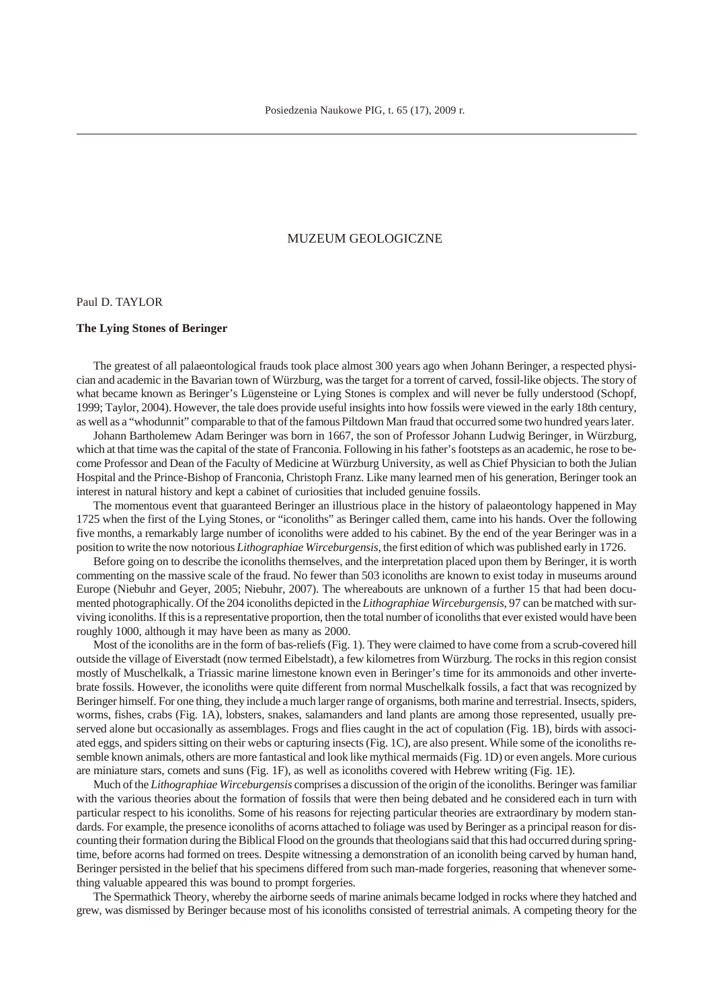# MUZEUM GEOLOGICZNE

<span id="page-1-0"></span>Paul D. TAYLOR

#### **The Lying Stones of Beringer**

The greatest of all palaeontological frauds took place almost 300 years ago when Johann Beringer, a respected physician and academic in the Bavarian town of Würzburg, was the target for a torrent of carved, fossil-like objects. The story of what became known as Beringer's Lügensteine or Lying Stones is complex and will never be fully understood (Schopf, 1999; Taylor, 2004). However, the tale does provide useful insights into how fossils were viewed in the early 18th century, as well as a "whodunnit" comparable to that of the famous Piltdown Man fraud that occurred some two hundred years later.

Johann Bartholemew Adam Beringer was born in 1667, the son of Professor Johann Ludwig Beringer, in Würzburg, which at that time was the capital of the state of Franconia. Following in his father's footsteps as an academic, he rose to become Professor and Dean of the Faculty of Medicine at Würzburg University, as well as Chief Physician to both the Julian Hospital and the Prince-Bishop of Franconia, Christoph Franz. Like many learned men of his generation, Beringer took an interest in natural history and kept a cabinet of curiosities that included genuine fossils.

The momentous event that guaranteed Beringer an illustrious place in the history of palae ontology happened in May 1725 when the first of the Lying Stones, or "iconoliths" as Beringer called them, came into his hands. Over the following five months, a remarkably large number of iconoliths were added to his cabinet. By the end of the year Beringer was in a position to write the now notorious *Lithographiae Wirceburgensis*, the first edition of which was published early in 1726.

Before going on to describe the iconoliths themselves, and the interpretation placed upon them by Beringer, it is worth commenting on the massive scale of the fraud. No fewer than 503 iconoliths are known to exist today in museums around Europe (Niebuhr and Geyer, 2005; Niebuhr, 2007). The where abouts are unknown of a further 15 that had been documented photographically. Of the 204 iconoliths depicted in the *Lithographiae Wirceburgensis*, 97 can be matched with surviving iconoliths. If this is a representative proportion, then the total number of iconoliths that ever existed would have been roughly 1000, although it may have been as many as 2000.

Most of the iconoliths are in the form of bas-reliefs (Fig. 1). They were claimed to have come from a scrub-covered hill outside the village of Eiverstadt (now termed Eibelstadt), a few kilometres from Würzburg. The rocks in this region consist mostly of Muschelkalk, a Triassic marine limestone known even in Beringer's time for its ammonoids and other invertebrate fossils. However, the iconoliths were quite different from normal Muschelkalk fossils, a fact that was recognized by Beringer himself. For one thing, they include a much larger range of organisms, both marine and terrestrial. Insects, spiders, worms, fishes, crabs (Fig. 1A), lobsters, snakes, salamanders and land plants are among those represented, usually preserved alone but occasionally as assemblages. Frogs and flies caught in the act of copulation (Fig. 1B), birds with associated eggs, and spiders sitting on their webs or capturing insects (Fig. 1C), are also present. While some of the iconoliths resemble known animals, others are more fantastical and look like mythical mermaids (Fig. 1D) or even angels. More curious are miniature stars, comets and suns (Fig. 1F), as well as iconoliths covered with Hebrew writing (Fig. 1E).

Much of the *Lithographiae Wirceburgensis* comprises a discussion of the origin of the iconoliths. Beringer was familiar with the various theories about the formation of fossils that were then being debated and he considered each in turn with particular respect to his iconoliths. Some of his reasons for rejecting particular theories are extraordinary by modern standards. For example, the presence iconoliths of acorns attached to foliage was used by Beringer as a principal reason for discounting their formation during the Biblical Flood on the grounds that theologians said that this had occurred during springtime, before acorns had formed on trees. Despite witnessing a demonstration of an iconolith being carved by human hand, Beringer persisted in the belief that his specimens differed from such man-made forgeries, reasoning that whenever something valuable appeared this was bound to prompt forgeries.

The Spermathick Theory, whereby the airborne seeds of marine animals became lodged in rocks where they hatched and grew, was dismissed by Beringer because most of his iconoliths consisted of terrestrial animals. A competing theory for the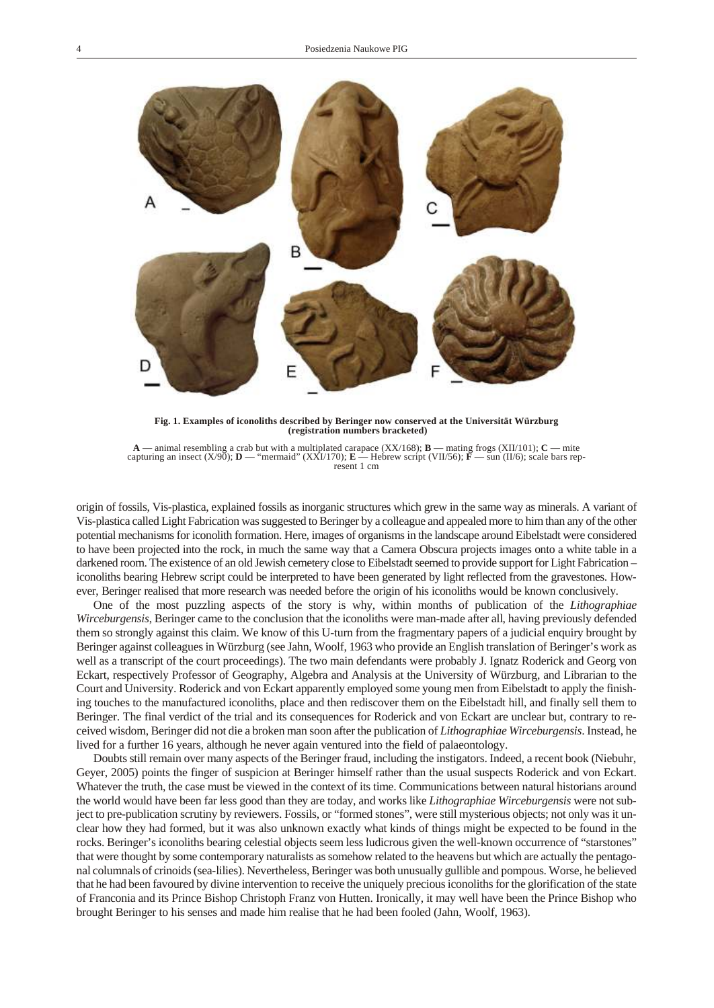

Fig. 1. Examples of iconoliths described by Beringer now conserved at the Universität Würzburg<br>(registration numbers bracketed)

**A** — animal resembling a crab but with a multiplated carapace (XX/168); **B** — mating frogs (XII/101); **C** — mite capturing an insect (X/90); **D** — "mermaid" (XXI/170); **E** — Hebrew script (VII/56); **F** — sun (II/6); scal re sent 1 cm

origin of fossils, Vis-plastica, explained fossils as inorganic structures which grew in the same way as minerals. A variant of Vis-plastica called Light Fabrication was suggested to Beringer by a colleague and appealed more to him than any of the other potential mechanisms for iconolith formation. Here, images of organisms in the landscape around Eibelstadt were considered to have been projected into the rock, in much the same way that a Camera Obscura projects images onto a white table in a darkened room. The existence of an old Jewish cemetery close to Eibelstadt seemed to provide support for Light Fabrication – iconoliths bearing Hebrew script could be interpreted to have been generated by light reflected from the gravestones. However, Beringer realised that more research was needed before the origin of his iconoliths would be known conclusively.

One of the most puzzling aspects of the story is why, within months of publication of the *Lithographiae Wirceburgensis*, Beringer came to the conclusion that the iconoliths were man-made after all, having previously defended them so strongly against this claim. We know of this U-turn from the fragmentary papers of a judicial enquiry brought by Beringer against colleagues in Würzburg (see Jahn, Woolf, 1963 who provide an English translation of Beringer's work as well as a transcript of the court proceedings). The two main defendants were probably J. Ignatz Roderick and Georg von Eckart, respectively Professor of Geography, Algebra and Analysis at the University of Würzburg, and Librarian to the Court and University. Roderick and von Eckart apparently employed some young men from Eibelstadt to apply the finishing touches to the manufactured iconoliths, place and then rediscover them on the Eibelstadt hill, and finally sell them to Beringer. The final verdict of the trial and its consequences for Roderick and von Eckart are unclear but, contrary to received wisdom, Beringer did not die a broken man soon after the publication of *Lithographiae Wirceburgensis*. Instead, he lived for a further 16 years, although he never again ventured into the field of palae ontology.

Doubts still remain over many aspects of the Beringer fraud, including the instigators. Indeed, a recent book (Niebuhr, Geyer, 2005) points the finger of suspicion at Beringer himself rather than the usual suspects Roderick and von Eckart. Whatever the truth, the case must be viewed in the context of its time. Communications between natural historians around the world would have been far less good than they are to day, and works like *Lithographiae Wirceburgensis* were not sub ject to pre-publication scrutiny by reviewers. Fossils, or "formed stones", were still mysterious objects; not only was it unclear how they had formed, but it was also unknown exactly what kinds of things might be expected to be found in the rocks. Beringer's iconoliths bearing celestial objects seem less ludicrous given the well-known occurrence of "starstones" that were thought by some contemporary naturalists as somehow related to the heavens but which are actually the pentagonal columnals of crinoids (sea-lilies). Nevertheless, Beringer was both unusually gullible and pompous. Worse, he believed that he had been favoured by divine intervention to receive the uniquely precious iconoliths for the glorification of the state of Franconia and its Prince Bishop Christoph Franz von Hutten. Ironically, it may well have been the Prince Bishop who brought Beringer to his senses and made him realise that he had been fooled (Jahn, Woolf, 1963).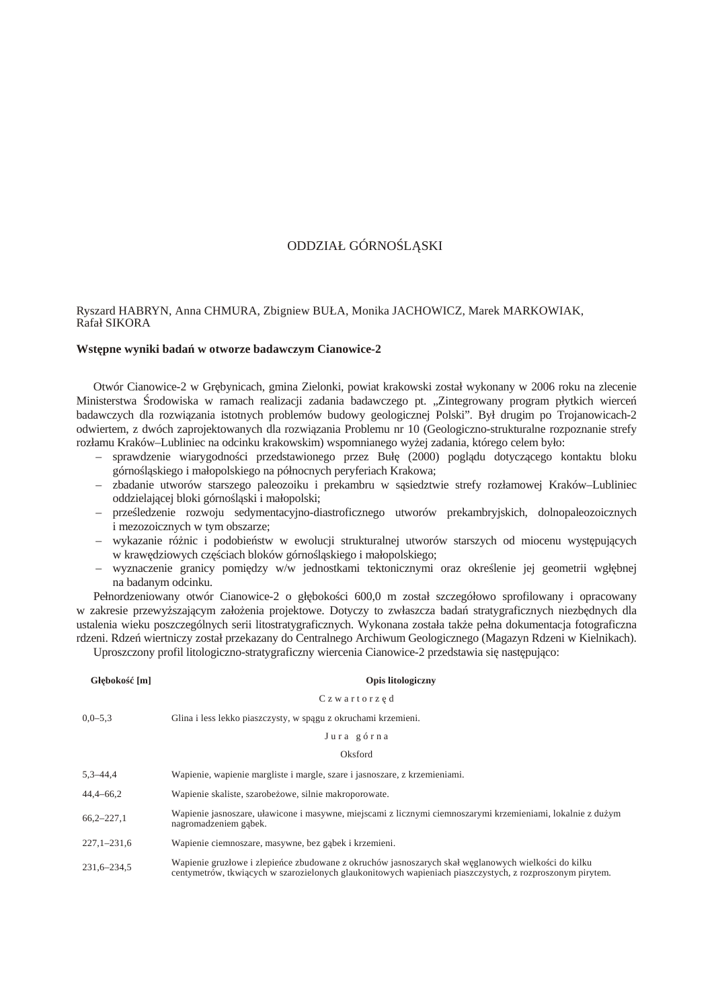# ODDZIAŁ GÓRNO L. SKI

# <span id="page-3-0"></span>Ryszard HABRYN, Anna CHMURA, Zbigniew BUŁA, Monika JACHOWICZ, Marek MARKOWIAK, Rafał SIKORA

# **Wst** pne wyniki bada w otworze badawczym Cianowice-2

Otwór Cianowice-2 w Gr bynicach, gmina Zielonki, powiat krakowski został wykonany w 2006 roku na zlecenie Ministerstwa rodowiska w ramach realizacji zadania badawczego pt. "Zintegrowany program płytkich wierce badawczych dla rozwi zania istotnych problemów budowy geologicznej Polski". Był drugim po Trojanowicach-2 odwiertem, z dwóch zaprojektowanych dla rozwi zania Problemu nr 10 (Geologiczno-strukturalne rozpoznanie strefy rozłamu Kraków–Lubliniec na odcinku krakowskim) wspomnianego wyżej zadania, którego celem było:

- sprawdzenie wiarygodności przedstawionego przez Buł (2000) poglądu dotycz cego kontaktu bloku górno 1 skiego i małopolskiego na północnych peryferiach Krakowa;
- zbadanie utworów starszego paleozoiku i prekambru w s siedztwie strefy rozłamowej Kraków–Lubliniec oddzielaj cej bloki górno 1 ski i małopolski;
- prze ledzenie rozwoju sedymentacyjno-diastroficznego utworów prekambryjskich, dolnopaleozoicznych i mezozoicznych w tym obszarze;
- wykazanie ró nic i podobie stw w ewolucji strukturalnej utworów starszych od miocenu wyst puj cych w kraw dziowych cz ciach bloków górno 1 skiego i małopolskiego;
- $-$  wyznaczenie granicy pomi dzy w/w jednostkami tektonicznymi oraz określenie jej geometrii wgł bnej na badanym odcinku.

Pełnordzeniowany otwór Cianowice-2 o gł boko ci 600,0 m został szczegółowo sprofilowany i opracowany w zakresie przewy szaj cym zało enia projektowe. Dotyczy to zwłaszcza bada stratygraficznych niezb dnych dla ustalenia wieku poszczególnych serii litostratygraficznych. Wykonana została tak e pełna dokumentacja fotograficzna rdzeni. Rdze wiertniczy został przekazany do Centralnego Archiwum Geologicznego (Magazyn Rdzeni w Kielnikach).

Uproszczony profil litologiczno-stratygraficzny wiercenia Cianowice-2 przedstawia się następująco:

| Gł boko<br>$\lceil m \rceil$ | <b>Opis litologiczny</b>                                                                                                                                                                                        |
|------------------------------|-----------------------------------------------------------------------------------------------------------------------------------------------------------------------------------------------------------------|
|                              | Czwartorz d                                                                                                                                                                                                     |
| $0.0 - 5.3$                  | Glina i less lekko piaszczysty, w sp gu z okruchami krzemieni.                                                                                                                                                  |
|                              | Jura górna                                                                                                                                                                                                      |
|                              | Oksford                                                                                                                                                                                                         |
| $5,3-44,4$                   | Wapienie, wapienie margliste i margle, szare i jasnoszare, z krzemieniami.                                                                                                                                      |
| $44,4-66,2$                  | Wapienie skaliste, szarobe owe, silnie makroporowate.                                                                                                                                                           |
| $66,2-227,1$                 | Wapienie jasnoszare, uławicone i masywne, miejscami z licznymi ciemnoszarymi krzemieniami, lokalnie z du ym<br>nagromadzeniem g bek.                                                                            |
| $227,1-231,6$                | Wapienie ciemnoszare, masywne, bez g bek i krzemieni.                                                                                                                                                           |
| 231,6-234,5                  | Wapienie gruzłowe i zlepie ce zbudowane z okruchów jasnoszarych skał w glanowych wielko ci do kilku<br>centymetrów, tkwi cych w szarozielonych glaukonitowych wapieniach piaszczystych, z rozproszonym pirytem. |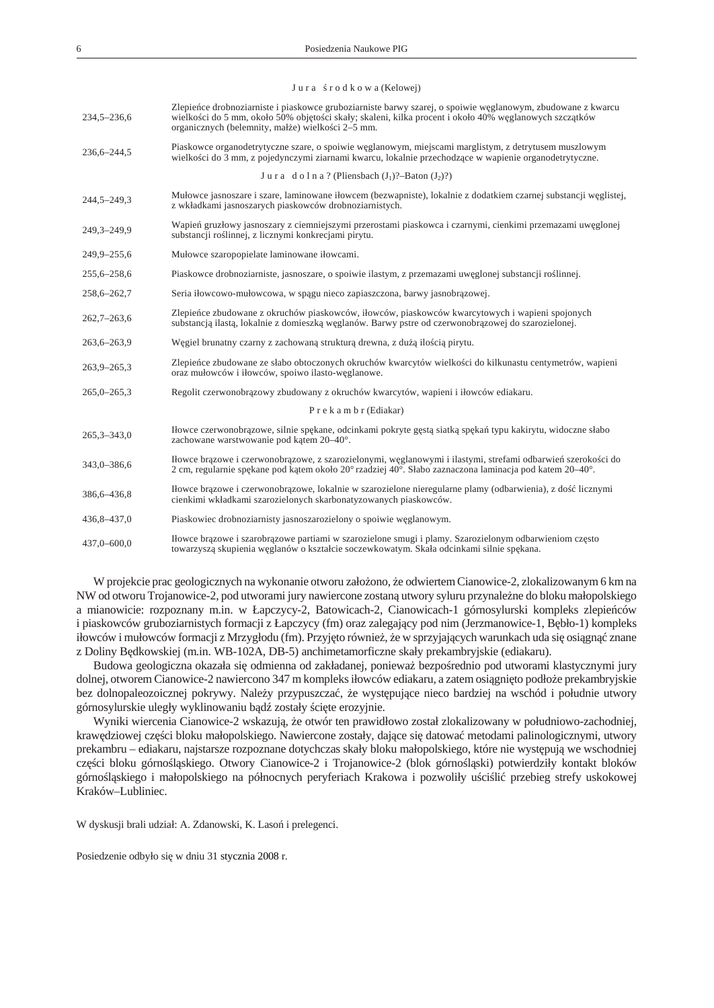| Jura | r o d k o w a (Kelowej) |  |
|------|-------------------------|--|
|------|-------------------------|--|

| 234,5-236,6     | Zlepie ce drobnoziarniste i piaskowce gruboziarniste barwy szarej, o spoiwie w glanowym, zbudowane z kwarcu<br>wielko ci do 5 mm, około 50% obj to ci skały; skaleni, kilka procent i około 40% w glanowych szcz tków<br>organicznych (belemnity, mał e) wielko ci 2–5 mm. |
|-----------------|----------------------------------------------------------------------------------------------------------------------------------------------------------------------------------------------------------------------------------------------------------------------------|
| 236, 6 - 244, 5 | Piaskowce organodetrytyczne szare, o spoiwie w glanowym, miejscami marglistym, z detrytusem muszlowym<br>wielko ci do 3 mm, z pojedynczymi ziarnami kwarcu, lokalnie przechodz ce w wapienie organodetrytyczne.                                                            |
|                 | Jura dolna? (Pliensbach $(J_1)$ ?-Baton $(J_2)$ ?)                                                                                                                                                                                                                         |
| 244,5-249,3     | Mułowce jasnoszare i szare, laminowane iłowcem (bezwapniste), lokalnie z dodatkiem czarnej substancji w glistej,<br>z wkładkami jasnoszarych piaskowców drobnoziarnistych.                                                                                                 |
| 249,3-249,9     | Wapie gruzłowy jasnoszary z ciemniejszymi przerostami piaskowca i czarnymi, cienkimi przemazami uw glonej<br>substancji ro linnej, z licznymi konkrecjami pirytu.                                                                                                          |
| 249,9-255,6     | Mułowce szaropopielate laminowane iłowcami.                                                                                                                                                                                                                                |
| 255,6-258,6     | Piaskowce drobnoziarniste, jasnoszare, o spoiwie ilastym, z przemazami uw glonej substancji ro linnej.                                                                                                                                                                     |
| 258,6-262,7     | Seria iłowcowo-mułowcowa, w sp gu nieco zapiaszczona, barwy jasnobr zowej.                                                                                                                                                                                                 |
| $262,7 - 263,6$ | Zlepie ce zbudowane z okruchów piaskowców, iłowców, piaskowców kwarcytowych i wapieni spojonych<br>substanci ilast, lokalnie z domieszk w glanów. Barwy pstre od czerwonobr zowej do szarozielonej.                                                                        |
| 263,6-263,9     | W giel brunatny czarny z zachowan struktur drewna, z du ilo ci pirytu.                                                                                                                                                                                                     |
| $263,9 - 265,3$ | Zlepie ce zbudowane ze słabo obtoczonych okruchów kwarcytów wielko ci do kilkunastu centymetrów, wapieni<br>oraz mułowców i iłowców, spoiwo ilasto-w glanowe.                                                                                                              |
| $265,0 - 265,3$ | Regolit czerwonobr zowy zbudowany z okruchów kwarcytów, wapieni i iłowców ediakaru.                                                                                                                                                                                        |
|                 | P r e k a m b r (Ediakar)                                                                                                                                                                                                                                                  |
| $265,3 - 343,0$ | Iłowce czerwonobr zowe, silnie sp kane, odcinkami pokryte g st siatk sp ka typu kakirytu, widoczne słabo<br>zachowane warstwowanie pod k tem 20-40°.                                                                                                                       |
| 343,0-386,6     | Iłowce br zowe i czerwonobr zowe, z szarozielonymi, w glanowymi i ilastymi, strefami odbarwie szeroko ci do<br>2 cm, regularnie sp kane pod k tem około 20° rzadziej 40°. Słabo zaznaczona laminacja pod katem 20–40°.                                                     |
| 386,6-436,8     | Howce br zowe i czerwonobr zowe, lokalnie w szarozielone nieregularne plamy (odbarwienia), z do licznymi<br>cienkimi wkładkami szarozielonych skarbonatyzowanych piaskowców.                                                                                               |
| 436, 8 - 437, 0 | Piaskowiec drobnoziarnisty jasnoszarozielony o spoiwie w glanowym.                                                                                                                                                                                                         |
| 437,0-600,0     | Howce br zowe i szarobr zowe partiami w szarozielone smugi i plamy. Szarozielonym odbarwieniom cz sto<br>towarzysz skupienia w glanów o kształcie soczewkowatym. Skała odcinkami silnie sp kana.                                                                           |

W projekcie prac geologicznych na wykonanie otworu zało ono, e odwiertem Cianowice-2, zlokalizowanym 6 km na NW od otworu Trojanowice-2, pod utworami jury nawiercone zostan utwory syluru przynale ne do bloku małopolskiego a mianowicie: rozpoznany m.in. w Łapczycy-2, Batowicach-2, Cianowicach-1 górnosylurski kompleks zlepie ców i piaskowców gruboziarnistych formacji z Łapczycy (fm) oraz zalegaj cy pod nim (Jerzmanowice-1, B bło-1) kompleks iłowców i mułowców formacji z Mrzygłodu (fm). Przyj to równie, e w sprzyjających warunkach uda się osięgną znane z Doliny B dkowskiej (m.in. WB-102A, DB-5) anchimetamorficzne skały prekambryjskie (ediakaru).

Budowa geologiczna okazała się odmienna od zakładanej, poniewa bezpo rednio pod utworami klastycznymi jury dolnej, otworem Cianowice-2 nawiercono 347 m kompleks iłowców ediakaru, a zatem osi gni to podło e prekambryjskie bez dolnopaleozoicznej pokrywy. Nale y przypuszcza, e wyst puj ce nieco bardziej na wschód i południe utwory górnosylurskie uległy wyklinowaniu b d zostały ci te erozyjnie.

Wyniki wiercenia Cianowice-2 wskazuj, e otwór ten prawidłowo został zlokalizowany w południowo-zachodniej, kraw dziowej cz ci bloku małopolskiego. Nawiercone zostały, dające się datowa metodami palinologicznymi, utwory prekambru – ediakaru, najstarsze rozpoznane dotychczas skały bloku małopolskiego, które nie występują we wschodniej cz ci bloku górno l skiego. Otwory Cianowice-2 i Trojanowice-2 (blok górno l ski) potwierdziły kontakt bloków górno l skiego i małopolskiego na północnych peryferiach Krakowa i pozwoliły u ci li przebieg strefy uskokowej Kraków–Lubliniec.

W dyskusji brali udział: A. Zdanowski, K. Laso i prelegenci.

Posiedzenie odbyło się w dniu 31 stycznia 2008 r.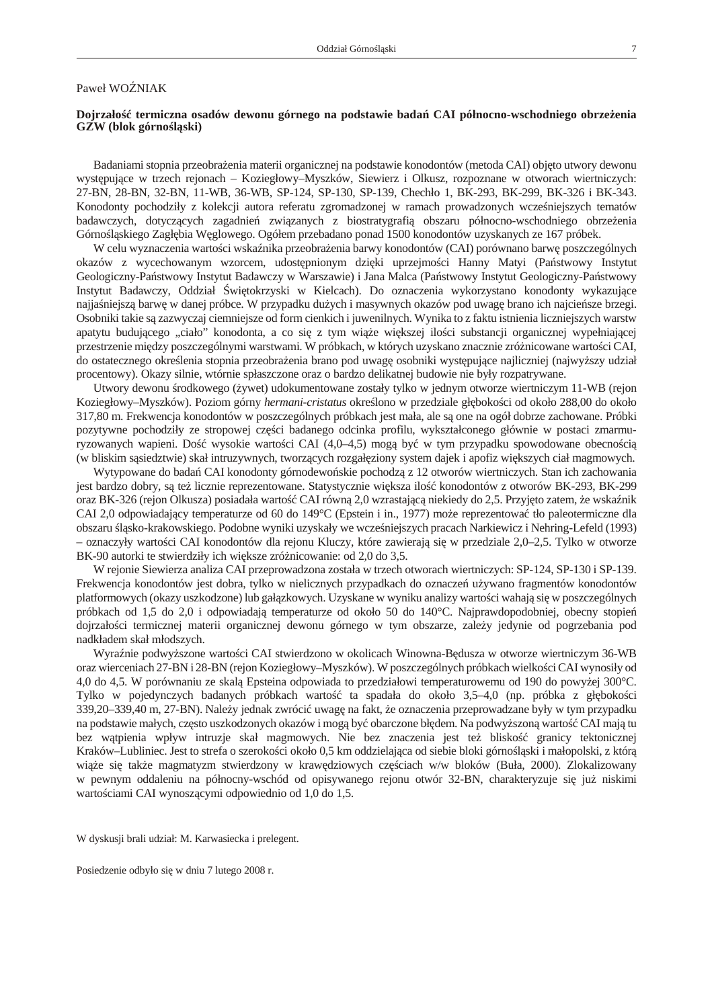# <span id="page-5-0"></span>Paweł WOZNIAK

# Dojrzało termiczna osadów dewonu górnego na podstawie bada CAI północno-wschodniego obrze enia GZW (blok górno 1 ski)

Badaniami stopnia przeobra enia materii organicznej na podstawie konodontów (metoda CAI) objęto utwory dewonu wyst puj ce w trzech rejonach – Koziegłowy–Myszków, Siewierz i Olkusz, rozpoznane w otworach wiertniczych: 27-BN, 28-BN, 32-BN, 11-WB, 36-WB, SP-124, SP-130, SP-139, Chechło 1, BK-293, BK-299, BK-326 i BK-343. Konodonty pochodziły z kolekcji autora referatu zgromadzonej w ramach prowadzonych wcze niejszych tematów badawczych, dotycz cych zagadnie zwi zanych z biostratygrafi obszaru północno-wschodniego obrze enia Górno 1 skiego Zagł bia W glowego. Ogółem przebadano ponad 1500 konodontów uzyskanych ze 167 próbek.

W celu wyznaczenia warto ci wska nika przeobra enia barwy konodontów (CAI) porównano barw poszczególnych okazów z wycechowanym wzorcem, udost pnionym dzi ki uprzejmo ci Hanny Matyi (Pa stwowy Instytut Geologiczny-Pa stwowy Instytut Badawczy w Warszawie) i Jana Malca (Pa stwowy Instytut Geologiczny-Pa stwowy Instytut Badawczy, Oddział wi tokrzyski w Kielcach). Do oznaczenia wykorzystano konodonty wykazuj ce najja niejsz barw w danej próbce. W przypadku du ych i masywnych okazów pod uwag brano ich najcie sze brzegi. Osobniki takie s zazwyczaj ciemniejsze od form cienkich i juwenilnych. Wynika to z faktu istnienia liczniejszych warstw apatytu budującego "ciało" konodonta, a co się z tym więc większej ilo ci substancji organicznej wypełniającej przestrzenie między poszczególnymi warstwami. W próbkach, w których uzyskano znacznie zróżnicowane wartości CAI, do ostatecznego okre lenia stopnia przeobra enia brano pod uwag osobniki wyst pujące najliczniej (najwy szy udział procentowy). Okazy silnie, wtórnie spłaszczone oraz o bardzo delikatnej budowie nie były rozpatrywane.

Utwory dewonu rodkowego (zwet) udokumentowane zostały tylko w jednym otworze wiertniczym 11-WB (rejon Koziegłowy–Myszków). Poziom górny *hermani-cristatus* okre*lono w przedziale gł boko ci od około* 288,00 do około 317,80 m. Frekwencja konodontów w poszczególnych próbkach jest mała, ale s one na ogół dobrze zachowane. Próbki pozytywne pochodziły ze stropowej cz ci badanego odcinka profilu, wykształconego głównie w postaci zmarmuryzowanych wapieni. Do wysokie warto ci CAI (4,0–4,5) mog by w tym przypadku spowodowane obecno ci (w bliskim s siedztwie) skał intruzywnych, tworz cych rozgał ziony system dajek i apofiz wi kszych ciał magmowych.

Wytypowane do bada CAI konodonty górnodewo skie pochodz z 12 otworów wiertniczych. Stan ich zachowania jest bardzo dobry, są też licznie reprezentowane. Statystycznie większa ilo konodontów z otworów BK-293, BK-299 oraz BK-326 (rejon Olkusza) posiadała warto CAI równą 2,0 wzrastającą niekiedy do 2,5. Przyjąto zatem, że wska nik CAI 2,0 odpowiadaj cy temperaturze od 60 do 149°C (Epstein i in., 1977) może reprezentowa tło paleotermiczne dla obszaru 1 sko-krakowskiego. Podobne wyniki uzyskały we wcze niejszych pracach Narkiewicz i Nehring-Lefeld (1993) – oznaczyły warto ci CAI konodontów dla rejonu Kluczy, które zawieraj si w przedziale 2,0–2,5. Tylko w otworze BK-90 autorki te stwierdziły ich wi ksze zró nicowanie: od 2,0 do 3,5.

W rejonie Siewierza analiza CAI przeprowadzona została w trzech otworach wiertniczych: SP-124, SP-130 i SP-139. Frekwencja konodontów jest dobra, tylko w nielicznych przypadkach do oznacze u ywano fragmentów konodontów platformowych (okazy uszkodzone) lub gał zkowych. Uzyskane w wyniku analizy warto ci wahają się w poszczególnych próbkach od 1,5 do 2,0 i odpowiadaj temperaturze od około 50 do 140°C. Najprawdopodobniej, obecny stopie dojrzało ci termicznej materii organicznej dewonu górnego w tym obszarze, zale y jedynie od pogrzebania pod nadkładem skał młodszych.

Wyra nie podwy szone warto ci CAI stwierdzono w okolicach Winowna-B dusza w otworze wiertniczym 36-WB oraz wierceniach 27-BN i 28-BN (rejon Koziegłowy–Myszków). W poszczególnych próbkach wielkości CAI wynosiły od 4,0 do 4,5. W porównaniu ze skal Epsteina odpowiada to przedziałowi temperaturowemu od 190 do powy ej 300°C. Tylko w pojedynczych badanych próbkach warto ta spadała do około 3,5–4,0 (np. próbka z gł boko ci 339,20–339,40 m, 27-BN). Nale y jednak zwróci uwag na fakt, e oznaczenia przeprowadzane były w tym przypadku na podstawie małych, cz sto uszkodzonych okazów i mogą by obarczone bł dem. Na podwy szoną warto CAI mają tu bez w tpienia wpływ intruzje skał magmowych. Nie bez znaczenia jest te blisko granicy tektonicznej Kraków–Lubliniec. Jest to strefa o szeroko ci około 0,5 km oddzielaj ca od siebie bloki górno 1 ski i małopolski, z któr więc się tak e magmatyzm stwierdzony w kraw dziowych częciach w/w bloków (Buła, 2000). Zlokalizowany w pewnym oddaleniu na północny-wschód od opisywanego rejonu otwór 32-BN, charakteryzuje si ju niskimi warto ciami CAI wynosz cymi odpowiednio od 1,0 do 1,5.

W dyskusji brali udział: M. Karwasiecka i prelegent.

Posiedzenie odbyło się w dniu 7 lutego 2008 r.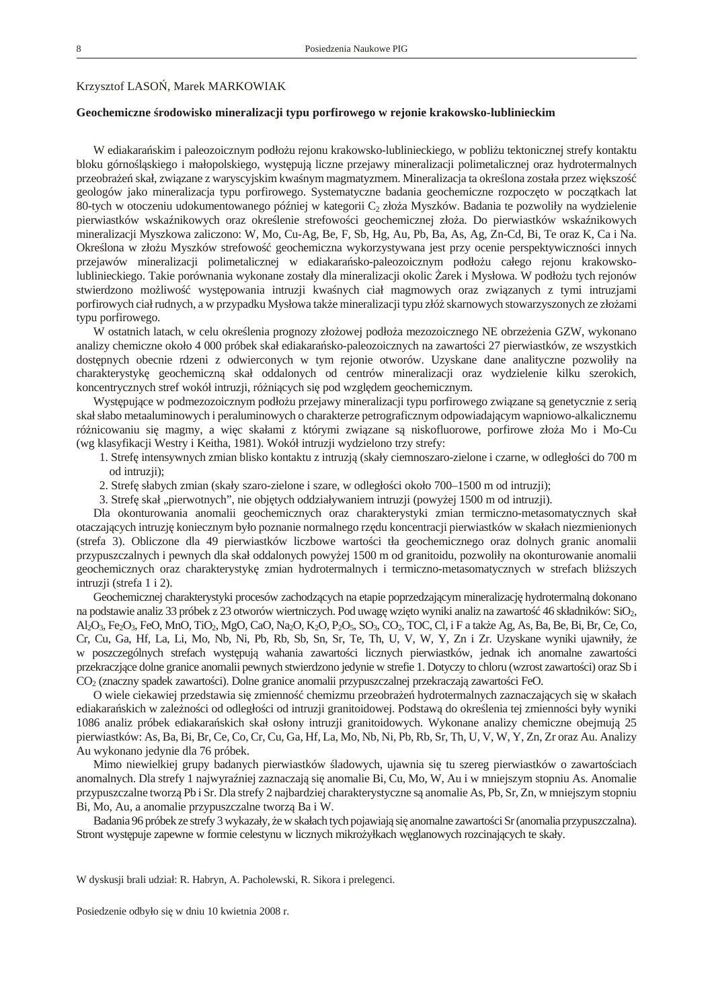### <span id="page-6-0"></span>Krzysztof LASO , Marek MARKOWIAK

#### **Geochemiczne środowisko mineralizacji typu porfirowego w rejonie krakowsko-lublinieckim**

W ediakara skim i paleozoicznym podło u rejonu krakowsko-lublinieckiego, w pobli u tektonicznej strefy kontaktu bloku górno l skiego i małopolskiego, wyst puj liczne przejawy mineralizacji polimetalicznej oraz hydrotermalnych przeobra e skał, zwi zane z waryscyjskim kwa nym magmatyzmem. Mineralizacja ta okre lona została przez większo

geologów jako mineralizacja typu porfirowego. Systematyczne badania geochemiczne rozpocz to w pocz tkach lat 80-tych w otoczeniu udokumentowanego pó niej w kategorii C<sub>2</sub> zło a Myszków. Badania te pozwoliły na wydzielenie pierwiastków wska nikowych oraz okre lenie strefowo ci geochemicznej zło a. Do pierwiastków wska nikowych mineralizacji Myszkowa zaliczono: W, Mo, Cu-Ag, Be, F, Sb, Hg, Au, Pb, Ba, As, Ag, Zn-Cd, Bi, Te oraz K, Ca i Na. Okre lona w zło u Myszków strefowo geochemiczna wykorzystywana jest przy ocenie perspektywiczno ci innych przejawów mineralizacji polimetalicznej w ediakara sko-paleozoicznym podło u całego rejonu krakowskolublinieckiego. Takie porównania wykonane zostały dla mineralizacji okolic arek i Mysłowa. W podło u tych rejonów stwierdzono moliwo wyst powania intruzji kwa nych ciał magmowych oraz zwi zanych z tymi intruzjami porfirowych ciał rudnych, a w przypadku Mysłowa tak e mineralizacji typu złó skarnowych stowarzyszonych ze zło ami typu porfirowego.

W ostatnich latach, w celu okre lenia prognozy zło owej podło a mezozoicznego NE obrze enia GZW, wykonano analizy chemiczne około 4 000 próbek skał ediakara sko-paleozoicznych na zawarto ci 27 pierwiastków, ze wszystkich dost pnych obecnie rdzeni z odwierconych w tym rejonie otworów. Uzyskane dane analityczne pozwoliły na charakterystykę geochemiczną skał oddalonych od centrów mineralizacji oraz wydzielenie kilku szerokich, koncentrycznych stref wokół intruzji, ró ni cych się pod względem geochemicznym.

Wyst puj ce w podmezozoicznym podło u przejawy mineralizacji typu porfirowego zwi zane s genetycznie z seri skał słabo metaaluminowych i peraluminowych o charakterze petrograficznym odpowiadającym wapniowo-alkalicznemu ró nicowaniu się magmy, a więc skałami z którymi związane są niskofluorowe, porfirowe zło a Mo i Mo-Cu (wg klasyfikacji Westry i Keitha, 1981). Wokół intruzji wydzielono trzy strefy:

1. Stref intensywnych zmian blisko kontaktu z intruzj (skały ciemnoszaro-zielone i czarne, w odległo ci do 700 m od intruzji);

2. Stref słabych zmian (skały szaro-zielone i szare, w odległo ci około 700–1500 m od intruzji);

3. Stref skał "pierwotnych", nie obj tych oddziaływaniem intruzji (powy ej 1500 m od intruzji).

Dla okonturowania anomalii geochemicznych oraz charakterystyki zmian termiczno-metasomatycznych skał otaczaj cych intruzj koniecznym było poznanie normalnego rzędu koncentracji pierwiastków w skałach niezmienionych (strefa 3). Obliczone dla 49 pierwiastków liczbowe warto ci tła geochemicznego oraz dolnych granic anomalii przypuszczalnych i pewnych dla skał oddalonych powy ej 1500 m od granitoidu, pozwoliły na okonturowanie anomalii geochemicznych oraz charakterystyk zmian hydrotermalnych i termiczno-metasomatycznych w strefach bli szych intruzji (strefa 1 i 2).

Geochemicznej charakterystyki procesów zachodz cych na etapie poprzedzaj cym mineralizacj hydrotermaln dokonano na podstawie analiz 33 próbek z 23 otworów wiertniczych. Pod uwagę wzięto wyniki analiz na zawarto $\frac{46 \text{ skladników: SiO}_2}{46 \text{ skladników: SiO}_2}$ Al2O3, Fe2O3, FeO, MnO, TiO2, MgO, CaO, Na2O, K2O, P2O5, SO3, CO2, TOC, Cl, i F a także Ag, As, Ba, Be, Bi, Br, Ce, Co, Cr, Cu, Ga, Hf, La, Li, Mo, Nb, Ni, Pb, Rb, Sb, Sn, Sr, Te, Th, U, V, W, Y, Zn i Zr. Uzyskane wyniki ujawniły, że w poszczególnych strefach wyst puj wahania zawarto ci licznych pierwiastków, jednak ich anomalne zawarto ci przekraczj ce dolne granice anomalii pewnych stwierdzono jedynie w strefie 1. Dotyczy to chloru (wzrost zawarto ci) oraz Sb i CO<sub>2</sub> (znaczny spadek zawarto ci). Dolne granice anomalii przypuszczalnej przekraczaj zawarto ci FeO.

O wiele ciekawiej przedstawia się zmienność chemizmu przeobrać e hydrotermalnych zaznaczających się w skałach ediakara skich w zale no ci od odległo ci od intruzji granitoidowej. Podstaw do okre lenia tej zmienno ci były wyniki 1086 analiz próbek ediakara skich skał osłony intruzji granitoidowych. Wykonane analizy chemiczne obejmują 25 pierwiastków: As, Ba, Bi, Br, Ce, Co, Cr, Cu, Ga, Hf, La, Mo, Nb, Ni, Pb, Rb, Sr, Th, U, V, W, Y, Zn, Zr oraz Au. Analizy Au wykonano jedynie dla 76 próbek.

Mimo niewielkiej grupy badanych pierwiastków ladowych, ujawnia się tu szereg pierwiastków o zawarto ciach anomalnych. Dla strefy 1 najwyra niej zaznaczaj się anomalie Bi, Cu, Mo, W, Au i w mniejszym stopniu As. Anomalie przypuszczalne tworzą Pb i Sr. Dla strefy 2 najbardziej charakterystyczne są anomalie As, Pb, Sr, Zn, w mniejszym stopniu Bi, Mo, Au, a anomalie przypuszczalne tworzą Ba i W.

Badania 96 próbek ze strefy 3 wykazały, e w skałach tych pojawiaj si anomalne zawarto ci Sr (anomalia przypuszczalna). Stront wyst puje zapewne w formie celestynu w licznych mikro yłkach w glanowych rozcinaj cych te skały.

W dyskusji brali udział: R. Habryn, A. Pacholewski, R. Sikora i prelegenci.

Posiedzenie odbyło się w dniu 10 kwietnia 2008 r.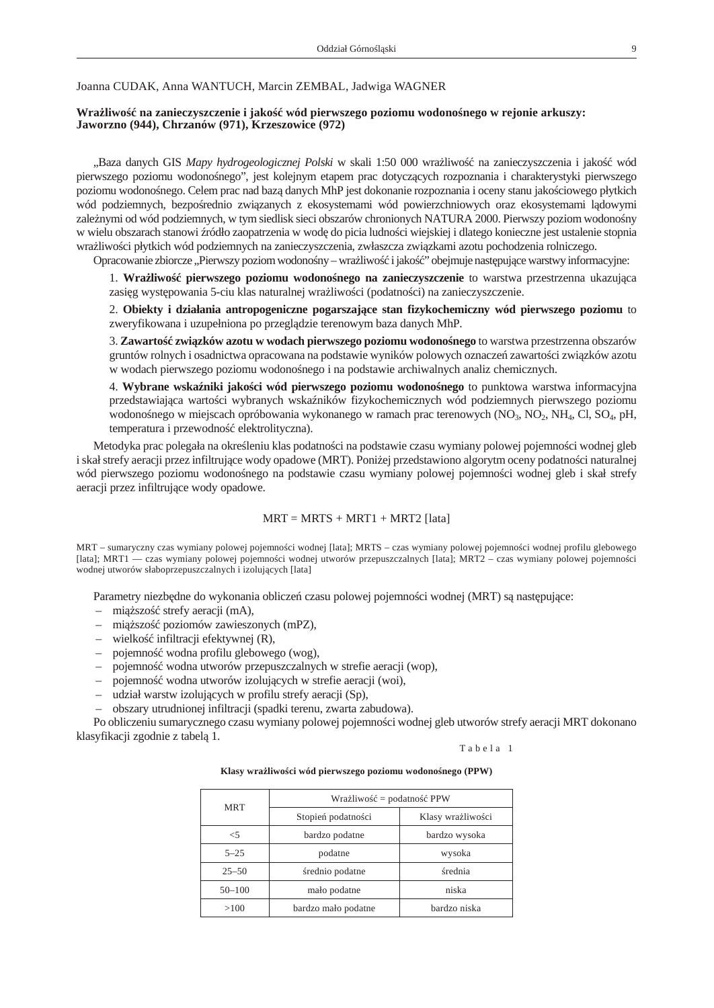<span id="page-7-0"></span>Joanna CUDAK, Anna WANTUCH, Marcin ZEMBAL, Jadwiga WAGNER

# **Wra** liwo na zanieczyszczenie i jako wód pierwszego poziomu wodono nego w rejonie arkuszy: **Jaworzno (944), Chrzanów (971), Krzeszowice (972)**

"Baza danych GIS *Mapy hydrogeologicznej Polski* w skali 1:50 000 wra liwo na zanieczyszczenia i jako wód pierwszego poziomu wodono nego", jest kolejnym etapem prac dotycz cych rozpoznania i charakterystyki pierwszego poziomu wodono nego. Celem prac nad baz danych MhP jest dokonanie rozpoznania i oceny stanu jako ciowego płytkich wód podziemnych, bezpo rednio zwi zanych z ekosystemami wód powierzchniowych oraz ekosystemami l dowymi zale nymi od wód podziemnych, w tym siedlisk sieci obszarów chronionych NATURA 2000. Pierwszy poziom wodono ny w wielu obszarach stanowi ródło zaopatrzenia w wod do picia ludno ci wiejskiej i dlatego konieczne jest ustalenie stopnia wra liwo ci płytkich wód podziemnych na zanieczyszczenia, zwłaszcza zwi zkami azotu pochodzenia rolniczego.

Opracowanie zbiorcze "Pierwszy poziom wodono ny – wrażliwości jakość obejmuje następujące warstwy informacyjne:

1. Wra liwo pierwszego poziomu wodono nego na zanieczyszczenie to warstwa przestrzenna ukazuj ca zasi g wyst powania 5-ciu klas naturalnej wra liwo ci (podatno ci) na zanieczyszczenie.

2. **Obiekty i działania antropogeniczne pogarszające stan fizykochemiczny wód pierwszego poziomu** to zweryfikowana i uzupełniona po przeglądzie terenowym baza danych MhP.

3. Zawarto zwi zków azotu w wodach pierwszego poziomu wodono nego to warstwa przestrzenna obszarów gruntów rolnych i osadnictwa opracowana na podstawie wyników polowych oznaczeń zawartości związków azotu w wodach pierwszego poziomu wodono nego i na podstawie archiwalnych analiz chemicznych.

4. Wybrane wska niki jako ci wód pierwszego poziomu wodono nego to punktowa warstwa informacyjna przedstawiaj ca warto ci wybranych wska ników fizykochemicznych wód podziemnych pierwszego poziomu wodono nego w miejscach opróbowania wykonanego w ramach prac terenowych (NO<sub>3</sub>, NO<sub>2</sub>, NH<sub>4</sub>, Cl, SO<sub>4</sub>, pH, temperatura i przewodno elektrolityczna).

Metodyka prac polegała na okre leniu klas podatno ci na podstawie czasu wymiany polowej pojemno ci wodnej gleb i skał strefy aeracji przez infiltruj ce wody opadowe (MRT). Poni ej przedstawiono algorytm oceny podatno ci naturalnej wód pierwszego poziomu wodono nego na podstawie czasu wymiany polowej pojemno ci wodnej gleb i skał strefy aeracji przez infiltruj ce wody opadowe.

# $MRT = MRTS + MRT1 + MRT2$  [lata]

MRT – sumaryczny czas wymiany polowej pojemno ci wodnej [lata]; MRTS – czas wymiany polowej pojemno ci wodnej profilu glebowego [lata]; MRT1 — czas wymiany polowej pojemno ci wodnej utworów przepuszczalnych [lata]; MRT2 – czas wymiany polowej pojemno ci wodnej utworów słaboprzepuszczalnych i izoluj cych [lata]

Parametry niezb dne do wykonania oblicze czasu polowej pojemno ci wodnej (MRT) s nast puj ce:

- $-$  mi szo strefy aeracji (mA),
- mi szo poziomów zawieszonych (mPZ),
- wielko infiltracji efektywnej  $(R)$ ,
- pojemno wodna profilu glebowego (wog),
- pojemno wodna utworów przepuszczalnych w strefie aeracji (wop),
- pojemno wodna utworów izoluj cych w strefie aeracji (woi),
- udział warstw izolujących w profilu strefy aeracji (Sp),
- obszary utrudnionej infiltracji (spadki terenu, zwarta zabudowa).

Po obliczeniu sumarycznego czasu wymiany polowej pojemno ci wodnej gleb utworów strefy aeracji MRT dokonano klasyfikacji zgodnie z tabel 1.

Tabela 1

Klasy wra liwo ci wód pierwszego poziomu wodono nego (PPW)

|            | Wra liwo                        | <b>PPW</b><br>$=$ podatno |
|------------|---------------------------------|---------------------------|
| <b>MRT</b> | Stopie podatno ci               | Klasy wra liwo ci         |
| <5         | bardzo podatne<br>bardzo wysoka |                           |
| $5 - 25$   | podatne                         | wysoka                    |
| $25 - 50$  | rednio podatne                  | rednia                    |
| $50 - 100$ | niska<br>mało podatne           |                           |
| >100       | bardzo mało podatne             | bardzo niska              |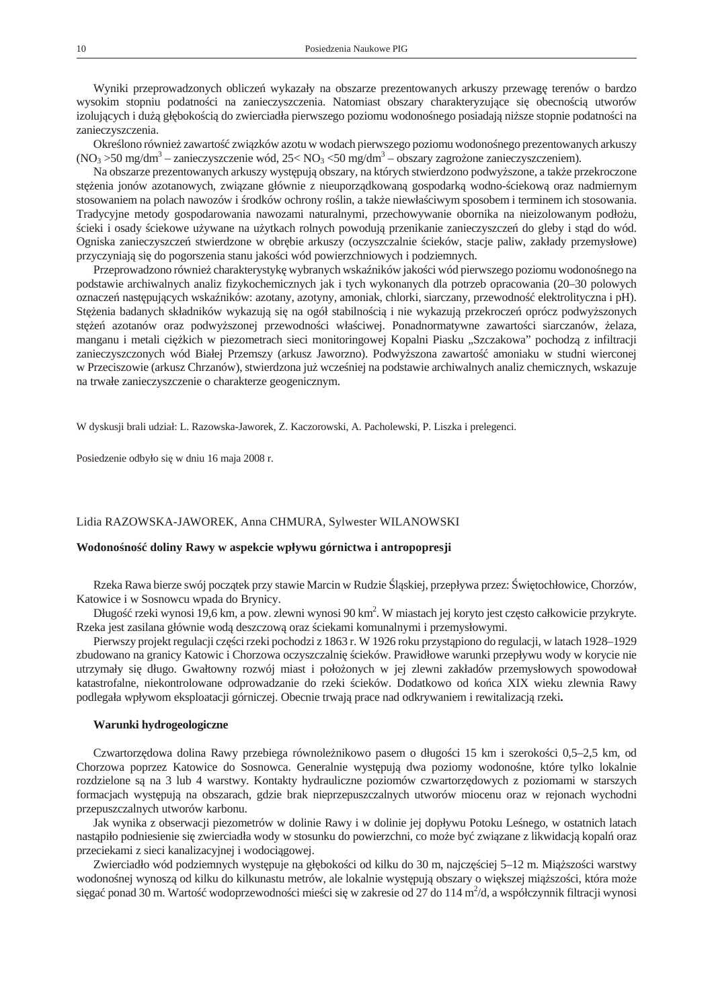<span id="page-8-0"></span>Wyniki przeprowadzonych oblicze wykazały na obszarze prezentowanych arkuszy przewag terenów o bardzo wysokim stopniu podatno ci na zanieczyszczenia. Natomiast obszary charakteryzujące się obecnością utworów izoluj cych i du gł boko ci do zwierciadła pierwszego poziomu wodono nego posiadaj ni sze stopnie podatno ci na zanieczyszczenia.

Okre lono równie zawarto zwi zków azotu w wodach pierwszego poziomu wodono nego prezentowanych arkuszy  $(NO<sub>3</sub> > 50 mg/dm<sup>3</sup> - zanieczyszczenie wód, 25 < NO<sub>3</sub> < 50 mg/dm<sup>3</sup> - obszary zagro one zanieczyszczeniem).$ 

Na obszarze prezentowanych arkuszy wyst puj obszary, na których stwierdzono podwy szone, a tak e przekroczone stęcinia jonów azotanowych, związane głównie z nieuporządkowaną gospodarką wodno-ciekową oraz nadmiernym stosowaniem na polach nawozów i rodków ochrony ro lin, a tak e niewła ciwym sposobem i terminem ich stosowania. Tradycyjne metody gospodarowania nawozami naturalnymi, przechowywanie obornika na nieizolowanym podło u, cieki i osady ciekowe u ywane na u ytkach rolnych powoduj przenikanie zanieczyszcze do gleby i st d do wód. Ogniska zanieczyszcze stwierdzone w obr bie arkuszy (oczyszczalnie cieków, stacje paliw, zakłady przemysłowe) przyczyniaj się do pogorszenia stanu jako ci wód powierzchniowych i podziemnych.

Przeprowadzono równie charakterystyk wybranych wska ników jako ci wód pierwszego poziomu wodono nego na podstawie archiwalnych analiz fizykochemicznych jak i tych wykonanych dla potrzeb opracowania (20–30 polowych oznacze nast puj cych wska ników: azotany, azotyny, amoniak, chlorki, siarczany, przewodno elektrolityczna i pH). Stęcia badanych składników wykazują się na ogół stabilnością i nie wykazują przekrocze oprócz podwy szonych st e azotanów oraz podwy szonej przewodno ci wła ciwej. Ponadnormatywne zawarto ci siarczanów, elaza, manganu i metali ci kich w piezometrach sieci monitoringowej Kopalni Piasku "Szczakowa" pochodz z infiltracji zanieczyszczonych wód Białej Przemszy (arkusz Jaworzno). Podwy szona zawarto amoniaku w studni wierconej w Przeciszowie (arkusz Chrzanów), stwierdzona ju wcze niej na podstawie archiwalnych analiz chemicznych, wskazuje na trwałe zanieczyszczenie o charakterze geogenicznym.

W dyskusji brali udział: L. Razowska-Jaworek, Z. Kaczorowski, A. Pacholewski, P. Liszka i prelegenci.

Posiedzenie odbyło się w dniu 16 maja 2008 r.

#### Lidia RAZOWSKA-JAWOREK, Anna CHMURA, Sylwester WILANOWSKI

# Wodono no doliny Rawy w aspekcie wpływu górnictwa i antropopresji

Rzeka Rawa bierze swój początek przy stawie Marcin w Rudzie  $\,$ 1 skiej, przepływa przez: wiątochłowice, Chorzów, Katowice i w Sosnowcu wpada do Brynicy.

Długo rzeki wynosi 19,6 km, a pow. zlewni wynosi 90 km<sup>2</sup>. W miastach jej koryto jest cz sto całkowicie przykryte. Rzeka jest zasilana głównie wod deszczow oraz ciekami komunalnymi i przemysłowymi.

Pierwszy projekt regulacji cz ci rzeki pochodzi z 1863 r. W 1926 roku przyst piono do regulacji, w latach 1928–1929 zbudowano na granicy Katowic i Chorzowa oczyszczalni cieków. Prawidłowe warunki przepływu wody w korycie nie utrzymały si długo. Gwałtowny rozwój miast i poło onych w jej zlewni zakładów przemysłowych spowodował katastrofalne, niekontrolowane odprowadzanie do rzeki cieków. Dodatkowo od ko ca XIX wieku zlewnia Rawy podlegała wpływom eksploatacji górniczej. Obecnie trwają prace nad odkrywaniem i rewitalizacją rzeki**.**

#### **Warunki hydrogeologiczne**

Czwartorz dowa dolina Rawy przebiega równole nikowo pasem o długo ci 15 km i szeroko ci 0,5–2,5 km, od Chorzowa poprzez Katowice do Sosnowca. Generalnie wyst pują dwa poziomy wodono ne, które tylko lokalnie rozdzielone s na 3 lub 4 warstwy. Kontakty hydrauliczne poziomów czwartorz dowych z poziomami w starszych formacjach występują na obszarach, gdzie brak nieprzepuszczalnych utworów miocenu oraz w rejonach wychodni przepuszczalnych utworów karbonu.

Jak wynika z obserwacji piezometrów w dolinie Rawy i w dolinie jej dopływu Potoku Le nego, w ostatnich latach nast piło podniesienie si zwierciadła wody w stosunku do powierzchni, co może być związane z likwidacją kopalóraz przeciekami z sieci kanalizacyjnej i wodociągowej.

Zwierciadło wód podziemnych wyst puje na gł boko ci od kilku do 30 m, najcz ciej 5–12 m. Miąższo ci warstwy wodono nej wynosz od kilku do kilkunastu metrów, ale lokalnie wyst puj obszary o wi kszej miąższo ci, która może si ga ponad 30 m. Warto wodoprzewodno ci mie ci si w zakresie od 27 do 114 m<sup>2</sup>/d, a współczynnik filtracji wynosi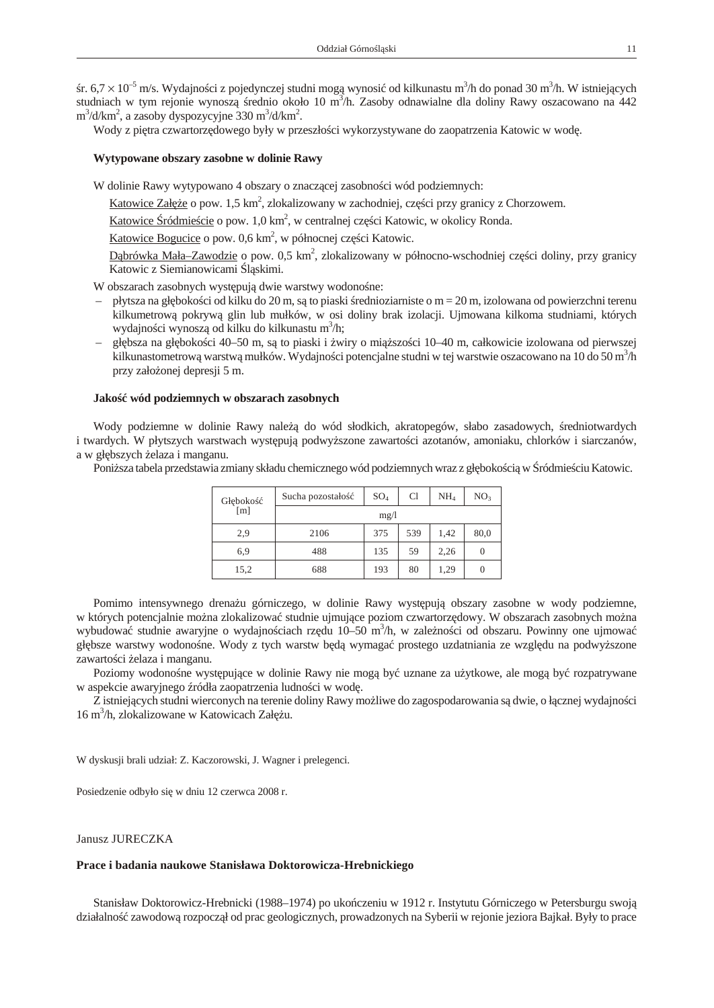<span id="page-9-0"></span>r.  $6.7 \times 10^{-5}$  m/s. Wydajno ci z pojedynczej studni mog wynosi od kilkunastu m<sup>3</sup>/h do ponad 30 m<sup>3</sup>/h. W istniej cych studniach w tym rejonie wynosz rednio około 10 m<sup>3</sup>/h. Zasoby odnawialne dla doliny Rawy oszacowano na 442  $\text{m}^3/\text{d}/\text{km}^2$ , a zasoby dyspozycyjne 330 m $\text{d}/\text{km}^2$ .

Wody z pi tra czwartorz dowego były w przeszło ci wykorzystywane do zaopatrzenia Katowic w wod.

### **Wytypowane obszary zasobne w dolinie Rawy**

W dolinie Rawy wytypowano 4 obszary o znacz cej zasobno ci wód podziemnych:

Katowice Załęc o pow. 1,5 km<sup>2</sup>, zlokalizowany w zachodniej, częci przy granicy z Chorzowem.

Katowice ródmie cie o pow. 1,0 km<sup>2</sup>, w centralnej częci Katowic, w okolicy Ronda.

Katowice Bogucice o pow. 0,6 km<sup>2</sup>, w północnej częci Katowic.

D brówka Mała–Zawodzie o pow. 0,5 km<sup>2</sup>, zlokalizowany w północno-wschodniej cz ci doliny, przy granicy Katowic z Siemianowicami 1 skimi.

W obszarach zasobnych wyst pują dwie warstwy wodono ne:

- płytsza na gł boko ci od kilku do 20 m, są to piaski rednioziarniste o m = 20 m, izolowana od powierzchni terenu kilkumetrową pokrywą glin lub mułków, w osi doliny brak izolacji. Ujmowana kilkoma studniami, których wydajno ci wynosz od kilku do kilkunastu m<sup>3</sup>/h;
- gł bsza na gł boko ci 40–50 m, są to piaski i wiry o miąższości 10–40 m, całkowicie izolowana od pierwszej kilkunastometrową warstwą mułków. Wydajno ci potencjalne studni w tej warstwie oszacowano na 10 do 50 m<sup>3</sup>/h przy zało onej depresji 5 m.

#### Jako wód podziemnych w obszarach zasobnych

Wody podziemne w dolinie Rawy nale do wód słodkich, akratopegów, słabo zasadowych, redniotwardych i twardych. W płytszych warstwach wyst puj podwy szone zawarto ci azotanów, amoniaku, chlorków i siarczanów, a w gł bszych elaza i manganu.

Poni sza tabela przedstawia zmiany składu chemicznego wód podziemnych wraz z gł boko ci w ródmie ciu Katowic.

| Gł boko | Sucha pozostało | $SO_4$ | C1  | NH <sub>4</sub> | NO <sub>3</sub> |
|---------|-----------------|--------|-----|-----------------|-----------------|
| [m]     | mg/l            |        |     |                 |                 |
| 2,9     | 2106            | 375    | 539 | 1,42            | 80,0            |
| 6,9     | 488             | 135    | 59  | 2.26            | $\theta$        |
| 15,2    | 688             | 193    | 80  | 1,29            | $\theta$        |

Pomimo intensywnego drena u górniczego, w dolinie Rawy wyst puj obszary zasobne w wody podziemne, w których potencjalnie mo na zlokalizowa studnie ujmujące poziom czwartorządowy. W obszarach zasobnych można wybudowa studnie awaryjne o wydajno ciach rz du 10–50 m<sup>3</sup>/h, w zale no ci od obszaru. Powinny one ujmowa gł bsze warstwy wodono ne. Wody z tych warstw b d wymaga prostego uzdatniania ze wzgl du na podwy szone zawarto ci elaza i manganu.

Poziomy wodono ne wyst puj ce w dolinie Rawy nie mogą by uznane za u ytkowe, ale mogą by rozpatrywane w aspekcie awaryjnego ródła zaopatrzenia ludno ci w wod.

Z istniej cych studni wierconych na terenie doliny Rawy mo liwe do zagospodarowania są dwie, oł cznej wydajno ci 16 m<sup>3</sup>/h, zlokalizowane w Katowicach Zał u.

W dyskusji brali udział: Z. Kaczorowski, J. Wagner i prelegenci.

Posiedzenie odbyło się w dniu 12 czerwca 2008 r.

### Janusz JURECZKA

### **Prace i badania naukowe Stanisława Doktorowicza-Hrebnickiego**

Stanisław Doktorowicz-Hrebnicki (1988–1974) po uko czeniu w 1912 r. Instytutu Górniczego w Petersburgu swoj działalno zawodow rozpocz ł od prac geologicznych, prowadzonych na Syberii w rejonie jeziora Bajkał. Były to prace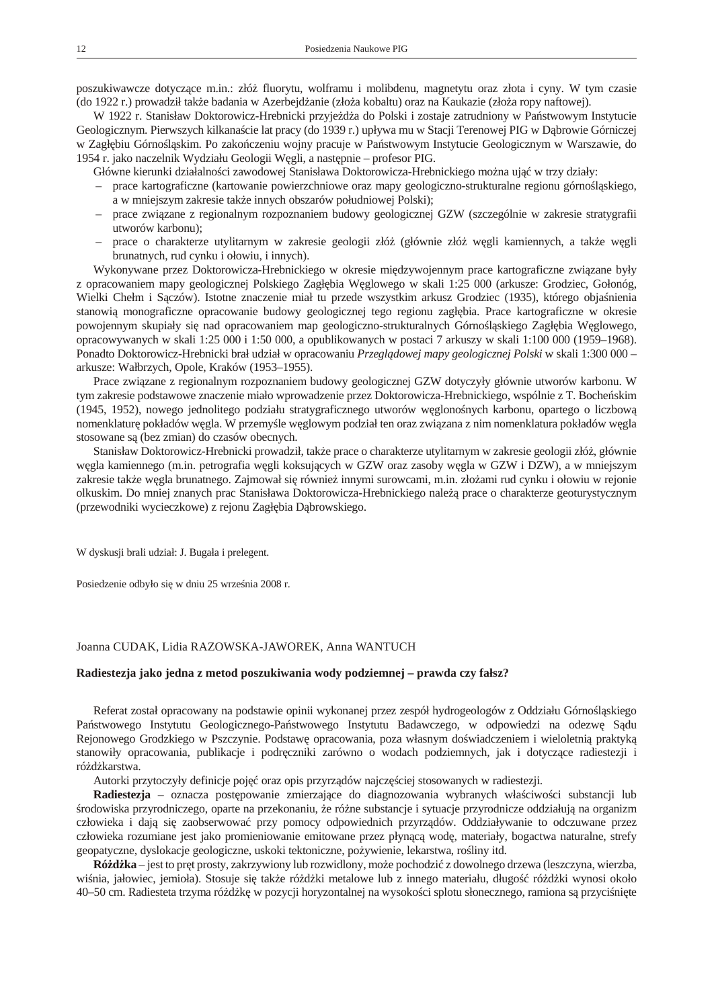<span id="page-10-0"></span>poszukiwawcze dotyczące m.in.: złóż fluorytu, wolframu i molibdenu, magnetytu oraz złota i cyny. W tym czasie (do 1922 r.) prowadził tak e badania w Azerbejd anie (zło a kobaltu) oraz na Kaukazie (zło a ropy naftowej).

W 1922 r. Stanisław Doktorowicz-Hrebnicki przyje d a do Polski i zostaje zatrudniony w Pa stwowym Instytucie Geologicznym. Pierwszych kilkana cie lat pracy (do 1939 r.) upływa mu w Stacji Terenowej PIG w D browie Górniczej w Zagł biu Górno 1 skim. Po zako czeniu wojny pracuje w Pa stwowym Instytucie Geologicznym w Warszawie, do 1954 r. jako naczelnik Wydziału Geologii W gli, a nast pnie – profesor PIG.

Główne kierunki działalno ci zawodowej Stanisława Doktorowicza-Hrebnickiego mo na ują w trzy działy:

- prace kartograficzne (kartowanie powierzchniowe oraz mapy geologiczno-strukturalne regionu górno 1 skiego, a w mniejszym zakresie tak e innych obszarów południowej Polski);
- prace związane z regionalnym rozpoznaniem budowy geologicznej GZW (szczególnie w zakresie stratygrafii utworów karbonu);
- prace o charakterze utylitarnym w zakresie geologii złó (głównie złó w gli kamiennych, a tak e w gli brunatnych, rud cynku i ołowiu, i innych).

Wykonywane przez Doktorowicza-Hrebnickiego w okresie mi dzywojennym prace kartograficzne zwi zane były z opracowaniem mapy geologicznej Polskiego Zagł bia W glowego w skali 1:25 000 (arkusze: Grodziec, Gołonóg, Wielki Chełm i S czów). Istotne znaczenie miał tu przede wszystkim arkusz Grodziec (1935), którego obja nienia stanowi monograficzne opracowanie budowy geologicznej tego regionu zagł bia. Prace kartograficzne w okresie powojennym skupiały si nad opracowaniem map geologiczno-strukturalnych Górno 1 skiego Zagł bia W glowego, opracowywanych w skali 1:25 000 i 1:50 000, a opublikowanych w postaci 7 arkuszy w skali 1:100 000 (1959–1968). Ponadto Doktorowicz-Hrebnicki brał udział w opracowaniu Przegl dowej mapy geologicznej Polski w skali 1:300 000 – arkusze: Wałbrzych, Opole, Kraków (1953–1955).

Prace zwi zane z regionalnym rozpoznaniem budowy geologicznej GZW dotyczyły głównie utworów karbonu. W tym zakresie podstawowe znaczenie miało wprowadzenie przez Doktorowicza-Hrebnickiego, wspólnie z T. Boche skim (1945, 1952), nowego jednolitego podziału stratygraficznego utworów w glono nych karbonu, opartego o liczbow nomenklatur pokładów w gla. W przemy le w glowym podział ten oraz zwi zana z nim nomenklatura pokładów w gla stosowane s (bez zmian) do czasów obecnych.

Stanisław Doktorowicz-Hrebnicki prowadził, tak e prace o charakterze utylitarnym w zakresie geologii złó, głównie w gla kamiennego (m.in. petrografia w gli koksuj cych w GZW oraz zasoby w gla w GZW i DZW), a w mniejszym zakresie tak e w gla brunatnego. Zajmował si równie innymi surowcami, m.in. zło ami rud cynku i ołowiu w rejonie olkuskim. Do mniej znanych prac Stanisława Doktorowicza-Hrebnickiego należą prace o charakterze geoturystycznym (przewodniki wycieczkowe) z rejonu Zagł bia D browskiego.

W dyskusji brali udział: J. Bugała i prelegent.

Posiedzenie odbyło się w dniu 25 września 2008 r.

#### Joanna CUDAK, Lidia RAZOWSKA-JAWOREK, Anna WANTUCH

# **Radiestezja jako jedna z metod poszukiwania wody podziemnej – prawda czy fałsz?**

Referat został opracowany na podstawie opinii wykonanej przez zespół hydrogeologów z Oddziału Górno 1 skiego Pa stwowego Instytutu Geologicznego-Pa stwowego Instytutu Badawczego, w odpowiedzi na odezw S du Rejonowego Grodzkiego w Pszczynie. Podstaw opracowania, poza własnym do wiadczeniem i wieloletni praktyk stanowiły opracowania, publikacje i podręczniki zarówno o wodach podziemnych, jak i dotycz ce radiestezji i ró d karstwa.

Autorki przytoczyły definicje poj oraz opis przyrz dów najczesiej stosowanych w radiestezji.

**Radiestezja** – oznacza post powanie zmierzaj ce do diagnozowania wybranych wła ciwo ci substancji lub rodowiska przyrodniczego, oparte na przekonaniu, e ró ne substancje i sytuacje przyrodnicze oddziałuj na organizm człowieka i daj się zaobserwowa przy pomocy odpowiednich przyrz dów. Oddziaływanie to odczuwane przez człowieka rozumiane jest jako promieniowanie emitowane przez płyn c wod, materiały, bogactwa naturalne, strefy geopatyczne, dyslokacje geologiczne, uskoki tektoniczne, po ywienie, lekarstwa, ro liny itd.

**Ró d ka** – jest to pr $t$  prosty, zakrzywiony lub rozwidlony, mo $\epsilon$  pochodzi z dowolnego drzewa (leszczyna, wierzba, wi nia, jałowiec, jemioła). Stosuje się także różdzki metalowe lub z innego materiału, długo różdzki wynosi około 40–50 cm. Radiesteta trzyma ród k w pozycji horyzontalnej na wysoko ci splotu słonecznego, ramiona s przyci ni te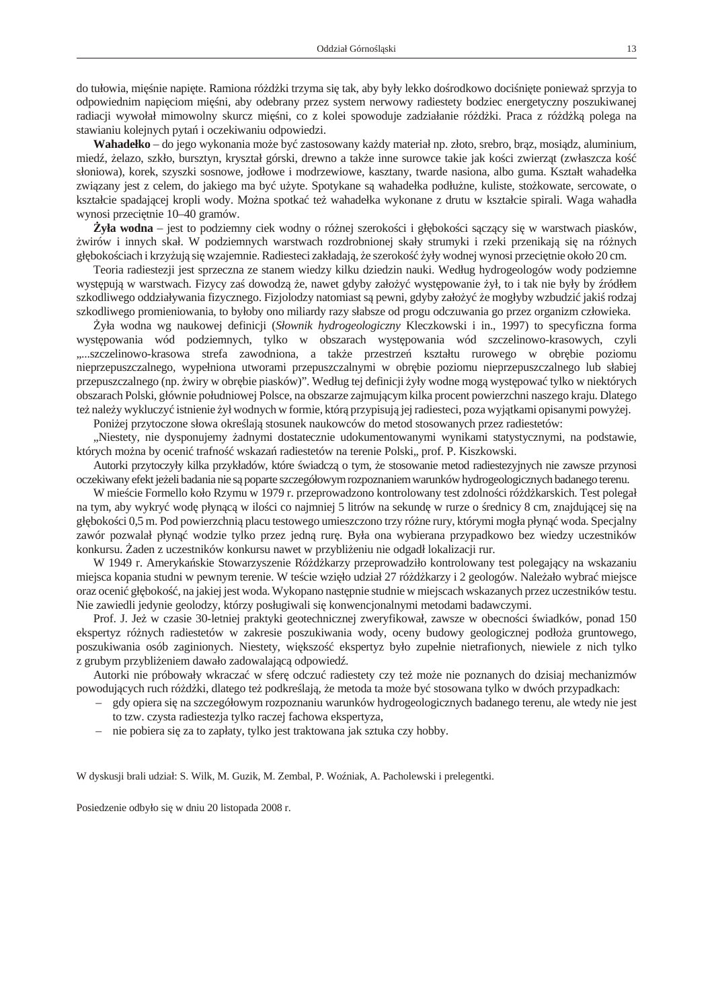do tułowia, mię napięte. Ramiona ród ki trzyma się tak, aby były lekko do rodkowo doci nięte poniewa sprzyja to odpowiednim napi ciom mięni, aby odebrany przez system nerwowy radiestety bodziec energetyczny poszukiwanej radiacji wywołał mimowolny skurcz mieni, co z kolei spowoduje zadziałanie ród ki. Praca z ród kepolega na stawianiu kolejnych pyta i oczekiwaniu odpowiedzi.

Wahadełko – do jego wykonania może by*zastosowany ka dy materiał np. złoto*, srebro, br*z*, mosiądz, aluminium, mied, elazo, szkło, bursztyn, kryształ górski, drewno a tak e inne surowce takie jak ko ci zwierz t (zwłaszcza ko słoniowa), korek, szyszki sosnowe, jodłowe i modrzewiowe, kasztany, twarde nasiona, albo guma. Kształt wahadełka zwi zany jest z celem, do jakiego ma by u yte. Spotykane s wahadełka podłu ne, kuliste, sto kowate, sercowate, o kształcie spadaj cej kropli wody. Mo na spotka te wahadełka wykonane z drutu w kształcie spirali. Waga wahadła wynosi przeci tnie 10–40 gramów.

**yła wodna** – jest to podziemny ciek wodny o ró nej szeroko ci i gł boko ci s cz cy się w warstwach piasków, wirów i innych skał. W podziemnych warstwach rozdrobnionej skały strumyki i rzeki przenikaj się na różnych gł boko ciach i krzy uj się wzajemnie. Radiesteci zakładają, e szeroko yły wodnej wynosi przeci tnie około 20 cm.

Teoria radiestezji jest sprzeczna ze stanem wiedzy kilku dziedzin nauki. Według hydrogeologów wody podziemne wyst puj w warstwach. Fizycy za dowodzą e, nawet gdyby zało y występowanie zł, to i tak nie były by ródłem szkodliwego oddziaływania fizycznego. Fizjolodzy natomiast są pewni, gdyby założyć e mogłyby wzbudzić jaki rodzaj szkodliwego promieniowania, to byłoby ono miliardy razy słabsze od progu odczuwania go przez organizm człowieka.

Żyła wodna wg naukowej definicji (*Słownik hydrogeologiczny* Kleczkowski i in., 1997) to specyficzna forma wyst powania wód podziemnych, tylko w obszarach wyst powania wód szczelinowo-krasowych, czyli ....szczelinowo-krasowa strefa zawodniona, a także przestrze kształtu rurowego w obrębie poziomu nieprzepuszczalnego, wypełniona utworami przepuszczalnymi w obr bie poziomu nieprzepuszczalnego lub słabiej przepuszczalnego (np. wiry w obr bie piasków)". Według tej definicji yły wodne mog wyst powa tylko w niektórych obszarach Polski, głównie południowej Polsce, na obszarze zajmującym kilka procent powierzchni naszego kraju. Dlatego te nale y wykluczy istnienie ył wodnych w formie, któr przypisuj jej radiesteci, poza wyjątkami opisanymi powy

Poni ej przytoczone słowa okre laj stosunek naukowców do metod stosowanych przez radiestetów:

"Niestety, nie dysponujemy adnymi dostatecznie udokumentowanymi wynikami statystycznymi, na podstawie, których mo na by oceni trafno wskaza radiestetów na terenie Polski,, prof. P. Kiszkowski.

Autorki przytoczyły kilka przykładów, które wiadcz o tym, e stosowanie metod radiestezyjnych nie zawsze przynosi oczekiwany efekt je eli badania nie s poparte szczegółowym rozpoznaniem warunków hydrogeologicznych badanego terenu.

W mie cie Formello koło Rzymu w 1979 r. przeprowadzono kontrolowany test zdolno ci ród karskich. Test polegał na tym, aby wykry wodę płynącą w ilo ci co najmniej 5 litrów na sekundę w rurze o rednicy 8 cm, znajdującej się na gł boko ci 0,5 m. Pod powierzchni placu testowego umieszczono trzy różne rury, którymi mogła płyną woda. Specjalny zawór pozwalał płyn wodzie tylko przez jedną rurą. Była ona wybierana przypadkowo bez wiedzy uczestników konkursu. aden z uczestników konkursu nawet w przybli eniu nie odgadł lokalizacji rur.

W 1949 r. Ameryka skie Stowarzyszenie Różd karzy przeprowadziło kontrolowany test polegający na wskazaniu miejsca kopania studni w pewnym terenie. W te cie wzi ło udział 27 różd karzy i 2 geologów. Należało wybraż miejsce oraz oceni gł boko, na jakiej jest woda. Wykopano nast pnie studnie w miejscach wskazanych przez uczestników testu. Nie zawiedli jedynie geolodzy, którzy posługiwali się konwencjonalnymi metodami badawczymi.

Prof. J. Je w czasie 30-letniej praktyki geotechnicznej zweryfikował, zawsze w obecno ci wiadków, ponad 150 ekspertyz ró nych radiestetów w zakresie poszukiwania wody, oceny budowy geologicznej podło a gruntowego, poszukiwania osób zaginionych. Niestety, wi kszo ekspertyz było zupełnie nietrafionych, niewiele z nich tylko z grubym przybli eniem dawało zadowalaj c odpowied.

Autorki nie próbowały wkracza w sfer odczu radiestety czy te może nie poznanych do dzisiaj mechanizmów powoduj cych ruch ró d ki, dlatego te podkre laj, e metoda ta może by stosowana tylko w dwóch przypadkach:

- gdy opiera się na szczegółowym rozpoznaniu warunków hydrogeologicznych badanego terenu, ale wtedy nie jest to tzw. czysta radiestezja tylko raczej fachowa ekspertyza,
- nie pobiera się za to zapłaty, tylko jest traktowana jak sztuka czy hobby.

W dyskusji brali udział: S. Wilk, M. Guzik, M. Zembal, P. Wo niak, A. Pacholewski i prelegentki.

Posiedzenie odbyło się w dniu 20 listopada 2008 r.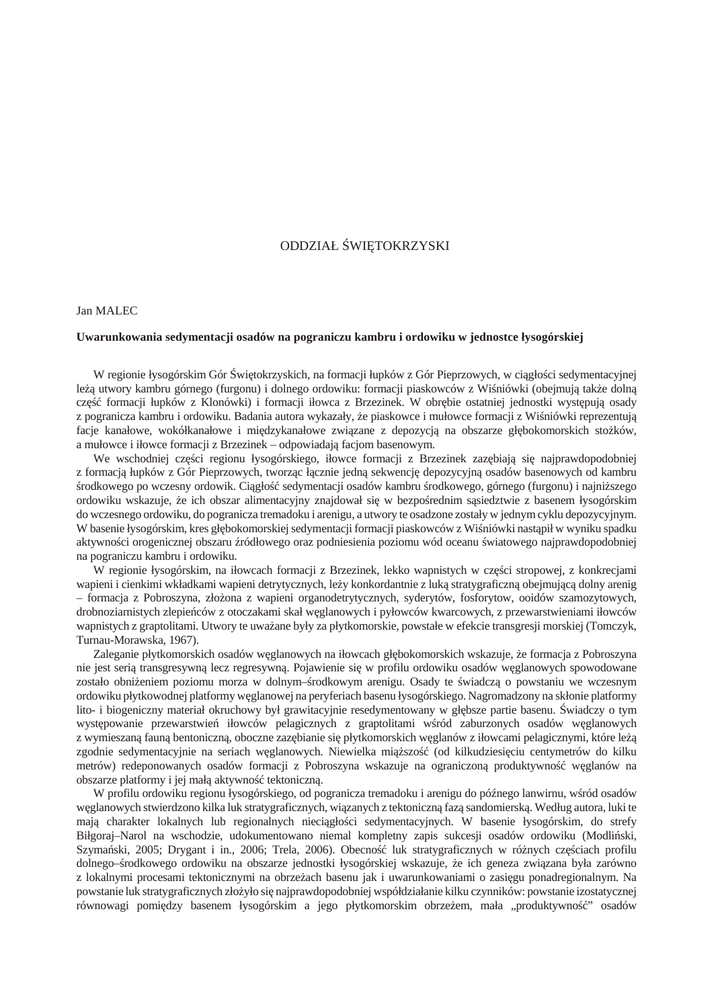# ODDZIAŁ WI TOKRZYSKI

# <span id="page-12-0"></span>Jan MALEC

#### **Uwarunkowania sedymentacji osadów na pograniczu kambru i ordowiku w jednostce łysogórskiej**

W regionie łysogórskim Gór wi tokrzyskich, na formacji łupków z Gór Pieprzowych, w ciąło ciągłymentacyjnej le utwory kambru górnego (furgonu) i dolnego ordowiku: formacji piaskowców z Wi niówki (obejmują tak e doln cz formacji łupków z Klonówki) i formacji iłowca z Brzezinek. W obrębie ostatniej jednostki występują osady z pogranicza kambru i ordowiku. Badania autora wykazały, e piaskowce i mułowce formacji z Wi niówki reprezentuj facje kanałowe, wokółkanałowe i międzykanałowe zwi zane z depozycją na obszarze głębokomorskich stożków, a mułowce i iłowce formacji z Brzezinek – odpowiadają facjom basenowym.

We wschodniej cz ci regionu łysogórskiego, iłowce formacji z Brzezinek zaz biaj się najprawdopodobniej z formacją łupków z Gór Pieprzowych, tworząc łącznie jedną sekwencją depozycyjną osadów basenowych od kambru rodkowego po wczesny ordowik. Ci gło sedymentacji osadów kambru rodkowego, górnego (furgonu) i najni szego ordowiku wskazuje, e ich obszar alimentacyjny znajdował się w bezpo rednim s siedztwie z basenem łysogórskim do wczesnego ordowiku, do pogranicza tremadoku i arenigu, a utwory te osadzone zostały w jednymcyklu depozycyjnym. W basenie łysogórskim, kres gł bokomorskiej sedymentacji formacji piaskowców z Wi niówki nast pił w wyniku spadku aktywno ci orogenicznej obszaru ródłowego oraz podniesienia poziomu wód oceanu wiatowego najprawdopodobniej na pograniczu kambru i ordowiku.

W regionie łysogórskim, na iłowcach formacji z Brzezinek, lekko wapnistych w cz ci stropowej, z konkrecjami wapieni i cienkimi wkładkami wapieni detrytycznych, le y konkordantnie z luk stratygraficzną obejmującą dolny arenig – formacja z Pobroszyna, złożona z wapieni organodetrytycznych, syderytów, fosforytow, ooidów szamozytowych, drobnoziarnistych zlepie ców z otoczakami skał w glanowych i pyłowców kwarcowych, z przewarstwieniami iłowców wapnistych z graptolitami. Utwory te uwa ane były za płytkomorskie, powstałe w efekcie transgresji morskiej (Tomczyk, Turnau-Morawska, 1967).

Zaleganie płytkomorskich osadów w glanowych na iłowcach gł bokomorskich wskazuje, e formacja z Pobroszyna nie jest seri transgresywn lecz regresywn. Pojawienie się w profilu ordowiku osadów w glanowych spowodowane zostało obni eniem poziomu morza w dolnym– rodkowym arenigu. Osady te wiadcz o powstaniu we wczesnym ordowiku płytkowodnej platformy węglanowej na peryferiach basenu łysogórskiego. Nagromadzony na skłonie platformy lito- i biogeniczny materiał okruchowy był grawitacyjnie resedymentowany w gł bsze partie basenu. wiadczy o tym wyst powanie przewarstwie iłowców pelagicznych z graptolitami w ród zaburzonych osadów w glanowych z wymieszan faun bentoniczn, oboczne zaz bianie się płytkomorskich w glanów z iłowcami pelagicznymi, które le zgodnie sedymentacyjnie na seriach w glanowych. Niewielka miąższo (od kilkudziesi ciu centymetrów do kilku metrów) redeponowanych osadów formacji z Pobroszyna wskazuje na ograniczon produktywno w glanów na obszarze platformy i jej mał aktywno tektoniczne.

W profilu ordowiku regionu łysogórskiego, od pogranicza tremadoku i arenigu do pó nego lanwirnu, w ród osadów w glanowych stwierdzono kilka luk stratygraficznych, wi zanych z tektoniczn faz sandomierske. Według autora, luki te maj charakter lokalnych lub regionalnych nieci gło ci sedymentacyjnych. W basenie łysogórskim, do strefy Biłgoraj–Narol na wschodzie, udokumentowano niemal kompletny zapis sukcesji osadów ordowiku (Modli ski, Szyma ski, 2005; Drygant i in., 2006; Trela, 2006). Obecno luk stratygraficznych w różnych cz ciach profilu dolnego– rodkowego ordowiku na obszarze jednostki łysogórskiej wskazuje, e ich geneza zwi zana była zarówno z lokalnymi procesami tektonicznymi na obrze ach basenu jak i uwarunkowaniami o zasi gu ponadregionalnym. Na powstanie luk stratygraficznych zło yło si najprawdopodobniej współdziałanie kilku czynników: powstanie izostatycznej równowagi pomi dzy basenem łysogórskim a jego płytkomorskim obrze em, mała "produktywno" osadów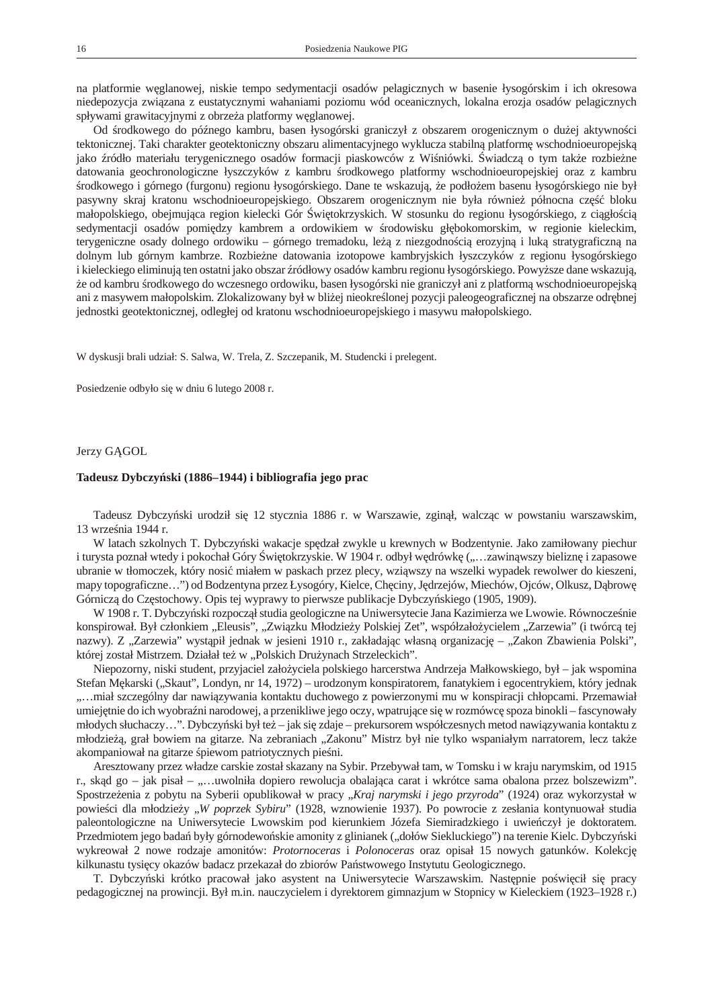<span id="page-13-0"></span>na platformie węglanowej, niskie tempo sedymentacji osadów pelagicznych w basenie łysogórskim i ich okresowa niedepozycja zwi zana z eustatycznymi wahaniami poziomu wód oceanicznych, lokalna erozja osadów pelagicznych spływami grawitacyjnymi z obrze a platformy w glanowej.

Od rodkowego do pó nego kambru, basen łysogórski graniczył z obszarem orogenicznym o du ej aktywno ci tektonicznej. Taki charakter geotektoniczny obszaru alimentacyjnego wyklucza stabiln platform wschodnioeuropejsk jako ródło materiału terygenicznego osadów formacji piaskowców z Wi niówki. wiadcz o tym tak e rozbie ne datowania geochronologiczne łyszczyków z kambru rodkowego platformy wschodnioeuropejskiej oraz z kambru rodkowego i górnego (furgonu) regionu łysogórskiego. Dane te wskazuj, e podło em basenu łysogórskiego nie był pasywny skraj kratonu wschodnioeuropejskiego. Obszarem orogenicznym nie była równie północna cz bloku małopolskiego, obejmuj ca region kielecki Gór wi tokrzyskich. W stosunku do regionu łysogórskiego, z ci gło ci sedymentacji osadów pomi dzy kambrem a ordowikiem w rodowisku gł bokomorskim, w regionie kieleckim, terygeniczne osady dolnego ordowiku – górnego tremadoku, le z niezgodno ci erozyjn i luk stratygraficzn na dolnym lub górnym kambrze. Rozbie ne datowania izotopowe kambryjskich łyszczyków z regionu łysogórskiego i kieleckiego eliminuj ten ostatni jako obszar ródłowy osadów kambru regionu łysogórskiego. Powy sze dane wskazuj, że od kambru środkowego do wczesnego ordowiku, basen łysogórski nie graniczył ani z platformą wschodnioeuropejską ani z masywem małopolskim. Zlokalizowany był w bli ej nieokre lonej pozycji paleogeograficznej na obszarze odr

jednostki geotektonicznej, odległej od kratonu wschodnioeuropejskiego i masywu małopolskiego.

W dyskusji brali udział: S. Salwa, W. Trela, Z. Szczepanik, M. Studencki i prelegent.

Posiedzenie odbyło się w dniu 6 lutego 2008 r.

Jerzy G GOL

## **Tadeusz Dybczyński (1886–1944) i bibliografia jego prac**

Tadeusz Dybczy ski urodził si 12 stycznia 1886 r. w Warszawie, zgin ł, walcz c w powstaniu warszawskim, 13 wrze nia 1944 r.

W latach szkolnych T. Dybczy ski wakacje sp dzał zwykle u krewnych w Bodzentynie. Jako zamiłowany piechur i turysta poznał wtedy i pokochał Góry wi tokrzyskie. W 1904 r. odbył w drówkę ("…zawin wszy bielizne i zapasowe ubranie w tłomoczek, który nosi miałem w paskach przez plecy, wzi wszy na wszelki wypadek rewolwer do kieszeni, mapy topograficzne...") od Bodzentyna przez Łysogóry, Kielce, Cheiny, Jedrzejów, Miechów, Ojców, Olkusz, Debrow Górnicz do Cz stochowy. Opis tej wyprawy to pierwsze publikacje Dybczy skiego (1905, 1909).

W 1908 r. T. Dybczy ski rozpocz ł studia geologiczne na Uniwersytecie Jana Kazimierza we Lwowie. Równocze nie konspirował. Był członkiem "Eleusis", "Zwi zku Młodzie y Polskiej Zet", współzało ycielem "Zarzewia" (i twórc nazwy). Z "Zarzewia" wyst pił jednak w jesieni 1910 r., zakładaj c własną organizacją – "Zakon Zbawienia Polski", której został Mistrzem. Działał te w "Polskich Dru ynach Strzeleckich".

Niepozorny, niski student, przyjaciel zało yciela polskiego harcerstwa Andrzeja Małkowskiego, był – jak wspomina Stefan M karski ("Skaut", Londyn, nr 14, 1972) – urodzonym konspiratorem, fanatykiem i egocentrykiem, który jednak "...miał szczególny dar nawi zywania kontaktu duchowego z powierzonymi mu w konspiracji chłopcami. Przemawiał umiej tnie do ich wyobra ni narodowej, a przenikliwe jego oczy, wpatruj ce si w rozmówc spoza binokli – fascynowały młodych słuchaczy…". Dybczy ski był te – jak si zdaje – prekursorem współczesnych metod nawi zywania kontaktu z młodzie, grał bowiem na gitarze. Na zebraniach "Zakonu" Mistrz był nie tylko wspaniałym narratorem, lecz tak e akompaniował na gitarze piewom patriotycznych pie ni.

Aresztowany przez władze carskie został skazany na Sybir. Przebywał tam, w Tomsku i w kraju narymskim, od 1915 r., sk d go – jak pisał – "...uwolniła dopiero rewolucja obalaj ca carat i wkrótce sama obalona przez bolszewizm". Spostrze enia z pobytu na Syberii opublikował w pracy "*Kraj narymski i jego przyroda*" (1924) oraz wykorzystał w powie ci dla młodzie y "*W poprzek Sybiru*" (1928, wznowienie 1937). Po powrocie z zesłania kontynuował studia paleontologiczne na Uniwersytecie Lwowskim pod kierunkiem Józefa Siemiradzkiego i uwie czył je doktoratem. Przedmiotem jego bada były górnodewo skie amonity z glinianek ("dołów Siekluckiego") na terenie Kielc. Dybczy ski wykreował 2 nowe rodzaje amonitów: *Protornoceras* i *Polonoceras* oraz opisał 15 nowych gatunków. Kolekcję kilkunastu tysi cy okazów badacz przekazał do zbiorów Pa stwowego Instytutu Geologicznego.

T. Dybczy ski krótko pracował jako asystent na Uniwersytecie Warszawskim. Nast pnie po wi cił się pracy pedagogicznej na prowincji. Był m.in. nauczycielem i dyrektorem gimnazjum w Stopnicy w Kieleckiem (1923–1928 r.)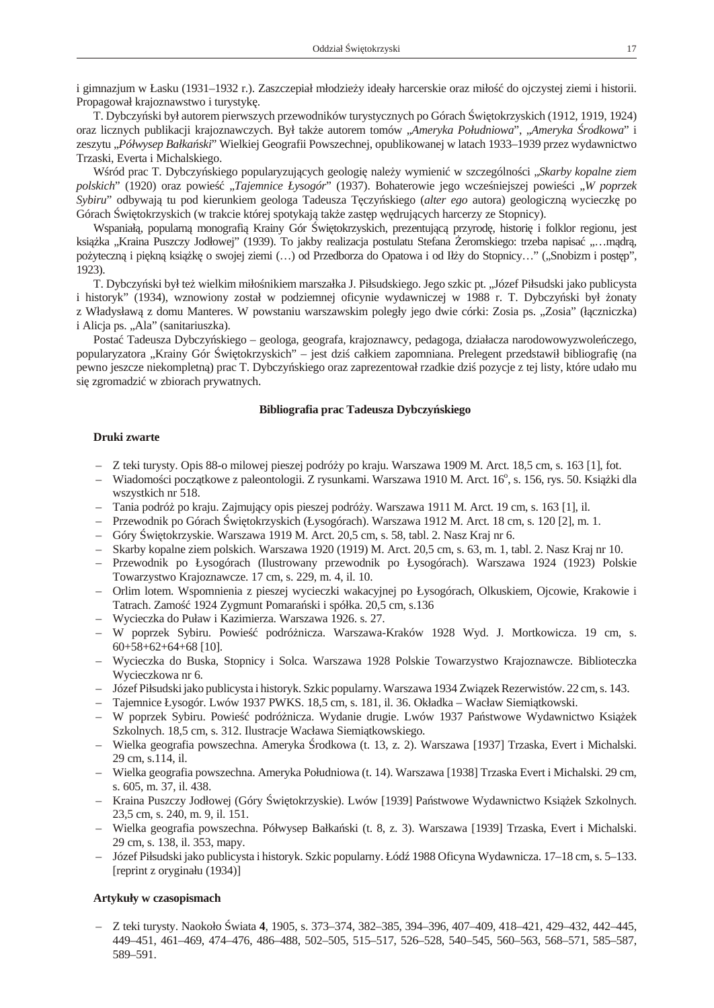i gimnazjum w Łasku (1931–1932 r.). Zaszczepiał młodzie y ideały harcerskie oraz miło do ojczystej ziemi i historii. Propagował krajoznawstwo i turystyk.

T. Dybczy ski był autorem pierwszych przewodników turystycznych po Górach wi tokrzyskich (1912, 1919, 1924) oraz licznych publikacji krajoznawczych. Był tak e autorem tomów "Ameryka Południowa", "Ameryka rodkowa" i zeszytu "Półwysep Bałka ski" Wielkiej Geografii Powszechnej, opublikowanej w latach 1933–1939 przez wydawnictwo Trzaski, Everta i Michalskiego.

W ród prac T. Dybczy skiego popularyzuj cych geologi nale y wymieni w szczególno ci "Skarby kopalne ziem *polskich*" (1920) oraz powieść "*Tajemnice Łysogór*" (1937). Bohaterowie jego wcześniejszej powieści "*W poprzek Sybiru*" odbywaj tu pod kierunkiem geologa Tadeusza T czy skiego (*alter ego* autora) geologiczn wycieczkę po Górach wi tokrzyskich (w trakcie której spotykaj tak e zast p w druj cych harcerzy ze Stopnicy).

Wspaniał, popularną monografią Krainy Gór więtokrzyskich, prezentującą przyrodą, historią i folklor regionu, jest ksi ka "Kraina Puszczy Jodłowej" (1939). To jakby realizacja postulatu Stefana eromskiego: trzeba napisa "…m dr po yteczną i piękną księżką o swojej ziemi (…) od Przedborza do Opatowa i od Iły do Stopnicy…" ("Snobizm i postęp", 1923).

T. Dybczy ski był te wielkim miło nikiem marszałka J. Piłsudskiego. Jego szkic pt. "Józef Piłsudski jako publicysta i historyk" (1934), wznowiony został w podziemnej oficynie wydawniczej w 1988 r. T. Dybczy ski był onaty z Władysław z domu Manteres. W powstaniu warszawskim poległy jego dwie córki: Zosia ps. "Zosia" (ł czniczka) i Alicja ps. "Ala" (sanitariuszka).

Posta Tadeusza Dybczy skiego – geologa, geografa, krajoznawcy, pedagoga, działacza narodowowyzwole czego, popularyzatora "Krainy Gór wi tokrzyskich" – jest dzi całkiem zapomniana. Prelegent przedstawił bibliografi (na pewno jeszcze niekompletn) prac T. Dybczy skiego oraz zaprezentował rzadkie dzi pozycje z tej listy, które udało mu si zgromadzi w zbiorach prywatnych.

#### **Bibliografia prac Tadeusza Dybczyńskiego**

# **Druki zwarte**

- Z teki turysty. Opis 88-o milowej pieszej podróży po kraju. Warszawa 1909 M. Arct. 18,5 cm, s. 163 [1], fot.
- Wiadomo ci pocz tkowe z paleontologii. Z rysunkami. Warszawa 1910 M. Arct. 16°, s. 156, rys. 50. Ksi ki dla wszystkich nr 518.
- Tania podróż po kraju. Zajmujący opis pieszej podróży. Warszawa 1911 M. Arct. 19 cm, s. 163 [1], il.
- Przewodnik po Górach wi tokrzyskich (Łysogórach). Warszawa 1912 M. Arct. 18 cm, s. 120 [2], m. 1.
- Góry wi tokrzyskie. Warszawa 1919 M. Arct. 20,5 cm, s. 58, tabl. 2. Nasz Kraj nr 6.
- Skarby kopalne ziem polskich. Warszawa 1920 (1919) M. Arct. 20,5 cm, s. 63, m. 1, tabl. 2. Nasz Kraj nr 10.
- Przewodnik po Łysogórach (Ilustrowany przewodnik po Łysogórach). Warszawa 1924 (1923) Polskie Towarzystwo Krajoznawcze. 17 cm, s. 229, m. 4, il. 10.
- Orlim lotem. Wspomnienia z pieszej wycieczki wakacyjnej po Łysogórach, Olkuskiem, Ojcowie, Krakowie i Tatrach. Zamo $1924$  Zygmunt Pomara ski i spółka. 20,5 cm, s.136
- Wycieczka do Puław i Kazimierza. Warszawa 1926. s. 27.
- W poprzek Sybiru. Powie podrónicza. Warszawa-Kraków 1928 Wyd. J. Mortkowicza. 19 cm, s. 60+58+62+64+68 [10].
- Wycieczka do Buska, Stopnicy i Solca. Warszawa 1928 Polskie Towarzystwo Krajoznawcze. Biblioteczka Wycieczkowa nr 6.
- Józef Piłsudski jako publicysta i historyk. Szkic popularny. Warszawa 1934 Związek Rezerwistów. 22 cm, s. 143.
- Tajemnice Łysogór. Lwów 1937 PWKS. 18,5 cm, s. 181, il. 36. Okładka Wacław Siemiątkowski.
- W poprzek Sybiru. Powie podró nicza. Wydanie drugie. Lwów 1937 Pa stwowe Wydawnictwo Ksi ek Szkolnych. 18,5 cm, s. 312. Ilustracje Wacława Siemi tkowskiego.
- Wielka geografia powszechna. Ameryka rodkowa (t. 13, z. 2). Warszawa [1937] Trzaska, Evert i Michalski. 29 cm, s.114, il.
- Wielka geografia powszechna. Ameryka Południowa (t. 14). Warszawa [1938] Trzaska Evert i Michalski. 29 cm, s. 605, m. 37, il. 438.
- Kraina Puszczy Jodłowej (Góry wi tokrzyskie). Lwów [1939] Pa stwowe Wydawnictwo Księck Szkolnych. 23,5 cm, s. 240, m. 9, il. 151.
- Wielka geografia powszechna. Półwysep Bałkański (t. 8, z. 3). Warszawa [1939] Trzaska, Evert i Michalski. 29 cm, s. 138, il. 353, mapy.
- Józef Piłsudski jako publicysta i historyk. Szkic popularny. Łód 1988 Oficyna Wydawnicza. 17–18 cm, s. 5–133. [reprint z oryginału (1934)]

## **Artykuły w czasopismach**

– Z teki turysty. Naokoło Świata **4**, 1905, s. 373–374, 382–385, 394–396, 407–409, 418–421, 429–432, 442–445, 449–451, 461–469, 474–476, 486–488, 502–505, 515–517, 526–528, 540–545, 560–563, 568–571, 585–587, 589–591.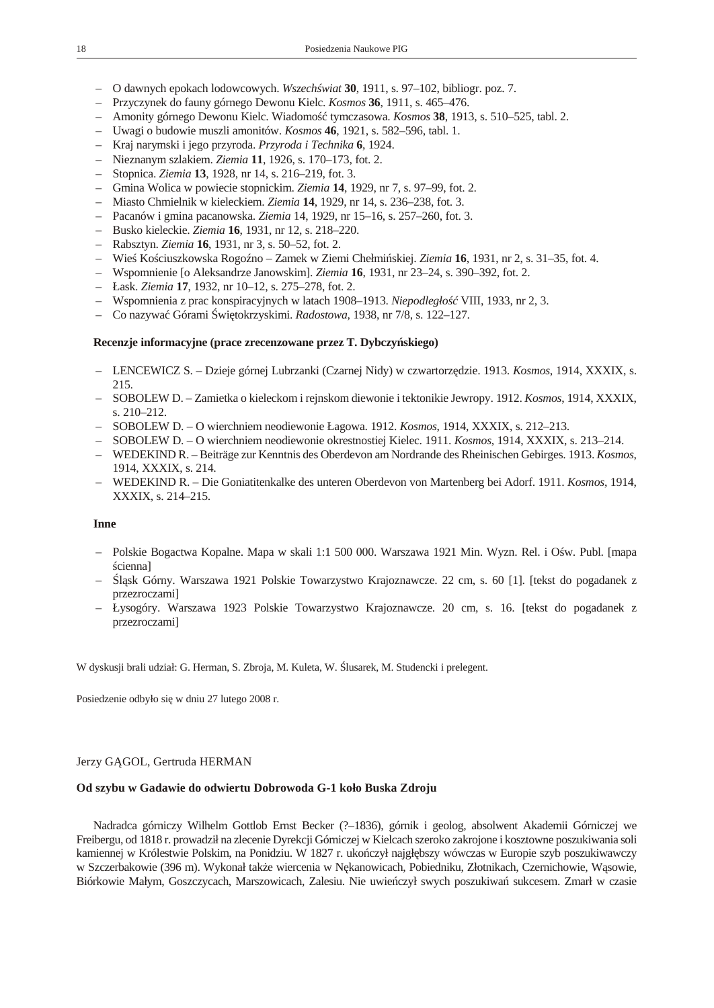- <span id="page-15-0"></span>– O dawnych epokach lodowcowych. *Wszech wiat* **30**, 1911, s. 97–102, bibliogr. poz. 7.
- Przyczynek do fauny górnego Dewonu Kielc. *Kosmos* **36**, 1911, s. 465–476.
- Amonity górnego Dewonu Kielc. Wiadomość tymczasowa. *Kosmos* **38**, 1913, s. 510–525, tabl. 2.
- Uwagi o budowie muszli amonitów. *Kosmos* **46**, 1921, s. 582–596, tabl. 1.
- Kraj narymski i jego przyroda. *Przyroda i Technika* **6**, 1924.
- Nieznanym szlakiem. *Ziemia* **11**, 1926, s. 170–173, fot. 2.
- Stopnica. *Ziemia* **13**, 1928, nr 14, s. 216–219, fot. 3.
- Gmina Wolica w powiecie stopnickim. *Ziemia* **14**, 1929, nr 7, s. 97–99, fot. 2.
- Miasto Chmielnik w kieleckiem. *Ziemia* **14**, 1929, nr 14, s. 236–238, fot. 3.
- Pacanów i gmina pacanowska. *Ziemia* 14, 1929, nr 15–16, s. 257–260, fot. 3.
- Busko kieleckie. *Ziemia* **16**, 1931, nr 12, s. 218–220.
- Rabsztyn. *Ziemia* **16**, 1931, nr 3, s. 50–52, fot. 2.
- Wieś Kościuszkowska Rogoźno Zamek w Ziemi Chełmińskiej. *Ziemia* **16**, 1931, nr 2, s. 31–35, fot. 4.
- Wspomnienie [o Aleksandrze Janowskim]. *Ziemia* **16**, 1931, nr 23–24, s. 390–392, fot. 2.
- Łask. *Ziemia* **17**, 1932, nr 10–12, s. 275–278, fot. 2.
- Wspomnienia z prac konspiracyjnych w latach 1908–1913. *Niepodległość* VIII, 1933, nr 2, 3.
- Co nazywa Górami wi tokrzyskimi. *Radostowa*, 1938, nr 7/8, s. 122–127.

### Recenzje informacyjne (prace zrecenzowane przez T. Dybczy skiego)

- LENCEWICZ S. Dzieje górnej Lubrzanki (Czarnej Nidy) w czwartorzędzie. 1913. *Kosmos*, 1914, XXXIX, s. 215.
- SOBOLEW D. Zamietka o kieleckom i rejnskom diewonie i tektonikie Jewropy. 1912. *Kosmos*, 1914, XXXIX, s. 210–212.
- SOBOLEW D. O wierchniem neodiewonie Łagowa. 1912. *Kosmos*, 1914, XXXIX, s. 212–213.
- SOBOLEW D. O wierchniem neodiewonie okrestnostiej Kielec. 1911. *Kosmos*, 1914, XXXIX, s. 213–214.
- WEDEKIND R. Beiträge zur Kenntnis des Oberdevon am Nordrande des Rheinischen Gebirges. 1913. *Kosmos*, 1914, XXXIX, s. 214.
- WEDEKIND R. Die Goniatitenkalke des unteren Oberdevon von Martenberg bei Adorf. 1911. *Kosmos*, 1914, XXXIX, s. 214–215.

# **Inne**

- Polskie Bogactwa Kopalne. Mapa w skali 1:1 500 000. Warszawa 1921 Min. Wyzn. Rel. i Ośw. Publ. [mapa cienna]
- 1 sk Górny. Warszawa 1921 Polskie Towarzystwo Krajoznawcze. 22 cm, s. 60 [1]. [tekst do pogadanek z przezroczami]
- Łysogóry. Warszawa 1923 Polskie Towarzystwo Krajoznawcze. 20 cm, s. 16. [tekst do pogadanek z przezroczami]

W dyskusji brali udział: G. Herman, S. Zbroja, M. Kuleta, W. lusarek, M. Studencki i prelegent.

Posiedzenie odbyło się w dniu 27 lutego 2008 r.

#### Jerzy G GOL, Gertruda HERMAN

#### **Od szybu w Gadawie do odwiertu Dobrowoda G-1 koło Buska Zdroju**

Nadradca górniczy Wilhelm Gottlob Ernst Becker (?–1836), górnik i geolog, absolwent Akademii Górniczej we Freibergu, od 1818 r. prowadził na zlecenie Dyrekcji Górniczej w Kielcach szeroko zakrojone i kosztowne poszukiwania soli kamiennej w Królestwie Polskim, na Ponidziu. W 1827 r. uko czył najgł bszy wówczas w Europie szyb poszukiwawczy w Szczerbakowie (396 m). Wykonał tak e wiercenia w N kanowicach, Pobiedniku, Złotnikach, Czernichowie, W sowie, Biórkowie Małym, Goszczycach, Marszowicach, Zalesiu. Nie uwie czył swych poszukiwa sukcesem. Zmarł w czasie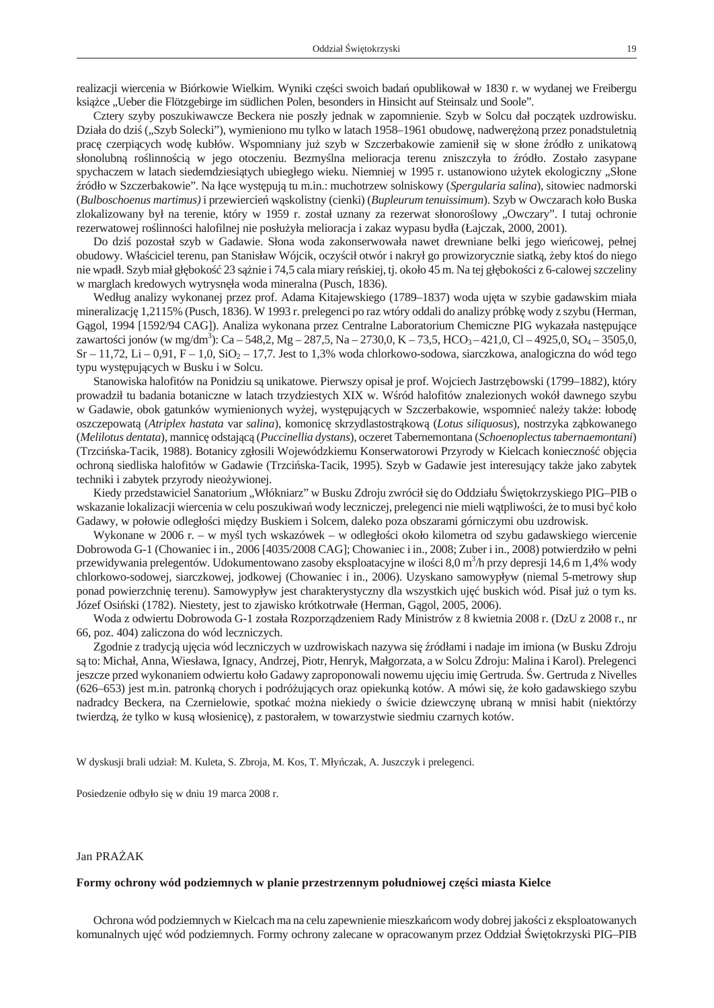<span id="page-16-0"></span>realizacji wiercenia w Biórkowie Wielkim. Wyniki cz ci swoich bada opublikował w 1830 r. w wydanej we Freibergu ksi ce "Ueber die Flötzgebirge im südlichen Polen, besonders in Hinsicht auf Steinsalz und Soole".

Cztery szyby poszukiwawcze Beckera nie poszły jednak w zapomnienie. Szyb w Solcu dał początek uzdrowisku. Działa do dzi ("Szyb Solecki"), wymieniono mu tylko w latach 1958–1961 obudow, nadwer on przez ponadstuletnią prac czerpi cych wod kubłów. Wspomniany ju szyb w Szczerbakowie zamienił się w słone ródło z unikatow słonolubn ro linno ci w jego otoczeniu. Bezmy lna melioracja terenu zniszczyła to ródło. Zostało zasypane spychaczem w latach siedemdziesi tych ubiegłego wieku. Niemniej w 1995 r. ustanowiono u ytek ekologiczny "Słone ródło w Szczerbakowie". Na ł ce wyst puj tu m.in.: muchotrzew solniskowy (*Spergularia salina*), sitowiec nadmorski (*Bulboschoenus martimus)* i przewiercień wąskolistny (cienki) (*Bupleurum tenuissimum*). Szyb w Owczarach koło Buska zlokalizowany był na terenie, który w 1959 r. został uznany za rezerwat słonoro lowy "Owczary". I tutaj ochronie rezerwatowej ro linno ci halofilnej nie posłu yła melioracja i zakaz wypasu bydła (Łajczak, 2000, 2001).

Do dzi pozostał szyb w Gadawie. Słona woda zakonserwowała nawet drewniane belki jego wie cowej, pełnej obudowy. Wła ciciel terenu, pan Stanisław Wójcik, oczy cił otwór i nakrył go prowizorycznie siatkę, eby ktoś do niego nie wpadł. Szyb miał gł boko 23 sążnie i 74,5 cala miary reśkiej, tj. około 45 m. Na tej gł bokości z 6-calowej szczeliny w marglach kredowych wytrysn ła woda mineralna (Pusch, 1836).

Według analizy wykonanej przez prof. Adama Kitajewskiego (1789–1837) woda uj ta w szybie gadawskim miała mineralizację 1,2115% (Pusch, 1836). W 1993 r. prelegenci po raz wtóry oddali do analizy próbkę wody z szybu (Herman, G gol, 1994 [1592/94 CAG]). Analiza wykonana przez Centralne Laboratorium Chemiczne PIG wykazała nast pujące zawarto ci jonów (w mg/dm<sup>3</sup>): Ca – 548,2, Mg – 287,5, Na – 2730,0, K – 73,5, HCO<sub>3</sub> – 421,0, Cl – 4925,0, SO<sub>4</sub> – 3505,0,  $Sr - 11,72$ , Li – 0,91, F – 1,0, SiO<sub>2</sub> – 17,7. Jest to 1,3% woda chlorkowo-sodowa, siarczkowa, analogiczna do wód tego typu występujących w Busku i w Solcu.

Stanowiska halofitów na Ponidziu są unikatowe. Pierwszy opisał je prof. Wojciech Jastrz bowski (1799–1882), który prowadził tu badania botaniczne w latach trzydziestych XIX w. W ród halofitów znalezionych wokół dawnego szybu w Gadawie, obok gatunków wymienionych wy ej, wyst puj cych w Szczerbakowie, wspomnie nale y tak e: łobod oszczepowat (Atriplex hastata var salina), komonic skrzydlastostr kow (*Lotus siliquosus*), nostrzyka z bkowanego (*Melilotus dentata*), mannicę odstającą (*Puccinellia dystans*), oczeret Tabernemontana (*Schoenoplectus tabernaemontani*) (Trzci ska-Tacik, 1988). Botanicy zgłosili Wojewódzkiemu Konserwatorowi Przyrody w Kielcach konieczno obj cia ochron siedliska halofitów w Gadawie (Trzci ska-Tacik, 1995). Szyb w Gadawie jest interesuj cy tak e jako zabytek techniki i zabytek przyrody nieo ywionej.

Kiedy przedstawiciel Sanatorium "Włókniarz" w Busku Zdroju zwrócił się do Oddziału więtokrzyskiego PIG–PIB o wskazanie lokalizacji wiercenia w celu poszukiwa wody leczniczej, prelegenci nie mieli w tpliwo ci, e to musi by koło Gadawy, w połowie odległo ci mi dzy Buskiem i Solcem, daleko poza obszarami górniczymi obu uzdrowisk.

Wykonane w 2006 r. – w my l tych wskazówek – w odległo ci około kilometra od szybu gadawskiego wiercenie Dobrowoda G-1 (Chowaniec i in., 2006 [4035/2008 CAG]; Chowaniec i in., 2008; Zuber i in., 2008) potwierdziło w pełni przewidywania prelegentów. Udokumentowano zasoby eksploatacyjne w ilo ci 8,0 m<sup>3</sup>/h przy depresji 14,6 m 1,4% wody chlorkowo-sodowej, siarczkowej, jodkowej (Chowaniec i in., 2006). Uzyskano samowypływ (niemal 5-metrowy słup ponad powierzchni terenu). Samowypływ jest charakterystyczny dla wszystkich uj buskich wód. Pisał ju o tym ks. Józef Osi ski (1782). Niestety, jest to zjawisko krótkotrwałe (Herman, G gol, 2005, 2006).

Woda z odwiertu Dobrowoda G-1 została Rozporz dzeniem Rady Ministrów z 8 kwietnia 2008 r. (DzU z 2008 r., nr 66, poz. 404) zaliczona do wód leczniczych.

Zgodnie z tradycj uj cia wód leczniczych w uzdrowiskach nazywa si ródłami i nadaje im imiona (w Busku Zdroju s to: Michał, Anna, Wiesława, Ignacy, Andrzej, Piotr, Henryk, Małgorzata, a w Solcu Zdroju: Malina i Karol). Prelegenci jeszcze przed wykonaniem odwiertu koło Gadawy zaproponowali nowemu ujęciu imię Gertruda. w. Gertruda z Nivelles (626–653) jest m.in. patronką chorych i podróżujących oraz opiekunką kotów. A mówi się, że koło gadawskiego szybu nadradcy Beckera, na Czernielowie, spotka mo na niekiedy o wicie dziewczyn ubran w mnisi habit (niektórzy twierdz, e tylko w kus włosienic), z pastorałem, w towarzystwie siedmiu czarnych kotów.

W dyskusji brali udział: M. Kuleta, S. Zbroja, M. Kos, T. Mły czak, A. Juszczyk i prelegenci.

Posiedzenie odbyło się w dniu 19 marca 2008 r.

# Jan PRA AK

# **Formy ochrony wód podziemnych w planie przestrzennym południowej cz ści miasta Kielce**

Ochrona wód podziemnych w Kielcach ma na celu zapewnienie mieszka com wody dobrej jako ci z eksploatowanych komunalnych uj wód podziemnych. Formy ochrony zalecane w opracowanym przez Oddział wi tokrzyski PIG–PIB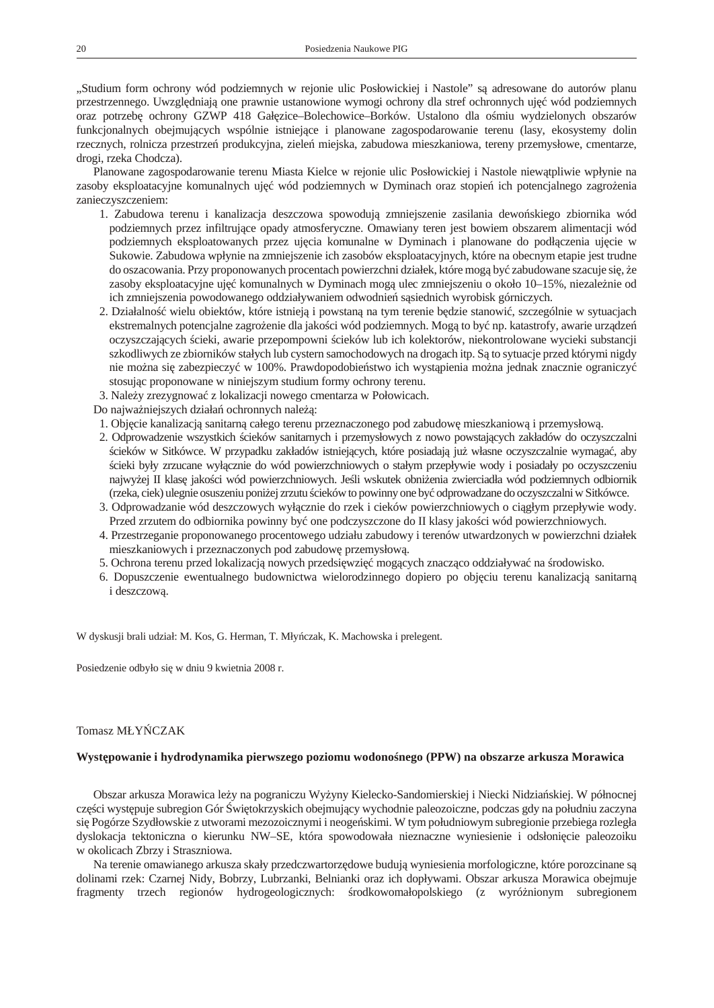<span id="page-17-0"></span>"Studium form ochrony wód podziemnych w rejonie ulic Posłowickiej i Nastole" s adresowane do autorów planu przestrzennego. Uwzgl dniaj one prawnie ustanowione wymogi ochrony dla stref ochronnych uj wód podziemnych oraz potrzeb ochrony GZWP 418 Gał zice–Bolechowice–Borków. Ustalono dla o miu wydzielonych obszarów funkcjonalnych obejmuj cych wspólnie istniej ce i planowane zagospodarowanie terenu (lasy, ekosystemy dolin rzecznych, rolnicza przestrze produkcyjna, ziele miejska, zabudowa mieszkaniowa, tereny przemysłowe, cmentarze, drogi, rzeka Chodcza).

Planowane zagospodarowanie terenu Miasta Kielce w rejonie ulic Posłowickiej i Nastole niew tpliwie wpłynie na zasoby eksploatacyjne komunalnych uje wód podziemnych w Dyminach oraz stopie ich potencjalnego zagroenia zanieczyszczeniem:

- 1. Zabudowa terenu i kanalizacja deszczowa spowoduj zmniejszenie zasilania dewo skiego zbiornika wód podziemnych przez infiltruj ce opady atmosferyczne. Omawiany teren jest bowiem obszarem alimentacji wód podziemnych eksploatowanych przez uj cia komunalne w Dyminach i planowane do podł czenia uj cie w Sukowie. Zabudowa wpłynie na zmniejszenie ich zasobów eksploatacyjnych, które na obecnym etapie jest trudne do oszacowania. Przy proponowanych procentach powierzchni działek, które mogą by zabudowane szacuje się, e zasoby eksploatacyjne uj komunalnych w Dyminach mog ulec zmniejszeniu o około 10–15%, niezale nie od ich zmniejszenia powodowanego oddziaływaniem odwodnie s siednich wyrobisk górniczych.
- 2. Działalno wielu obiektów, które istnieją i powstaną na tym terenie będzie stanowię, szczególnie w sytuacjach ekstremalnych potencjalne zagro enie dla jako ci wód podziemnych. Mogą to by np. katastrofy, awarie urządze oczyszczaj cych cieki, awarie przepompowni cieków lub ich kolektorów, niekontrolowane wycieki substancji szkodliwych ze zbiorników stałych lub cystern samochodowych na drogach itp. Są to sytuacje przed którymi nigdy nie mo na się zabezpieczy w 100%. Prawdopodobie stwo ich wyst pienia mo na jednak znacznie ograniczy stosuj c proponowane w niniejszym studium formy ochrony terenu.
- 3. Nale y zrezygnowa z lokalizacji nowego cmentarza w Połowicach.

Do najwa niejszych działa ochronnych nale:

- 1. Obj cie kanalizacj sanitarną całego terenu przeznaczonego pod zabudowe mieszkaniową i przemysłową.
- 2. Odprowadzenie wszystkich cieków sanitarnych i przemysłowych z nowo powstaj cych zakładów do oczyszczalni cieków w Sitkówce. W przypadku zakładów istniej cych, które posiadaj ju własne oczyszczalnie wymaga, aby cieki były zrzucane wył cznie do wód powierzchniowych o stałym przepływie wody i posiadały po oczyszczeniu najwy ej II klas jako ci wód powierzchniowych. Je li wskutek obni enia zwierciadła wód podziemnych odbiornik (rzeka, ciek) ulegnie osuszeniu poni ej zrzutu cieków to powinny one byódprowadzane do oczyszczalni w Sitkówce.
- 3. Odprowadzanie wód deszczowych wył cznie do rzek i cieków powierzchniowych o ciątym przepływie wody. Przed zrzutem do odbiornika powinny by one podczyszczone do II klasy jako ci wód powierzchniowych.
- 4. Przestrzeganie proponowanego procentowego udziału zabudowy i terenów utwardzonych w powierzchni działek mieszkaniowych i przeznaczonych pod zabudow przemysłow.
- 5. Ochrona terenu przed lokalizacją nowych przedsię wziętopacych znaczę co oddziaływa na rodowisko.
- 6. Dopuszczenie ewentualnego budownictwa wielorodzinnego dopiero po obj ciu terenu kanalizacj sanitarn i deszczow.

W dyskusji brali udział: M. Kos, G. Herman, T. Mły czak, K. Machowska i prelegent.

Posiedzenie odbyło się w dniu 9 kwietnia 2008 r.

# Tomasz MŁY CZAK

# Wyst powanie i hydrodynamika pierwszego poziomu wodono nego (PPW) na obszarze arkusza Morawica

Obszar arkusza Morawica le y na pograniczu Wy yny Kielecko-Sandomierskiej i Niecki Nidzia skiej. W północnej cz ci wyst puje sub region Gór wi tokrzyskich obejmujący wychodnie paleozoiczne, podczas gdy na południu zaczyna si Pogórze Szydłowskie z utworami mezozoicznymi i neoge skimi. W tym południowym subregionie przebiega rozległa dyslokacja tektoniczna o kierunku NW–SE, która spowodowała nieznaczne wyniesienie i odsłoni cie paleozoiku w okolicach Zbrzy i Straszniowa.

Na terenie omawianego arkusza skały przedczwartorz dowe buduj wyniesienia morfologiczne, które porozcinane s dolinami rzek: Czarnej Nidy, Bobrzy, Lubrzanki, Belnianki oraz ich dopływami. Obszar arkusza Morawica obejmuje fragmenty trzech regionów hydrogeologicznych: rodkowomałopolskiego (z wyrónionym subregionem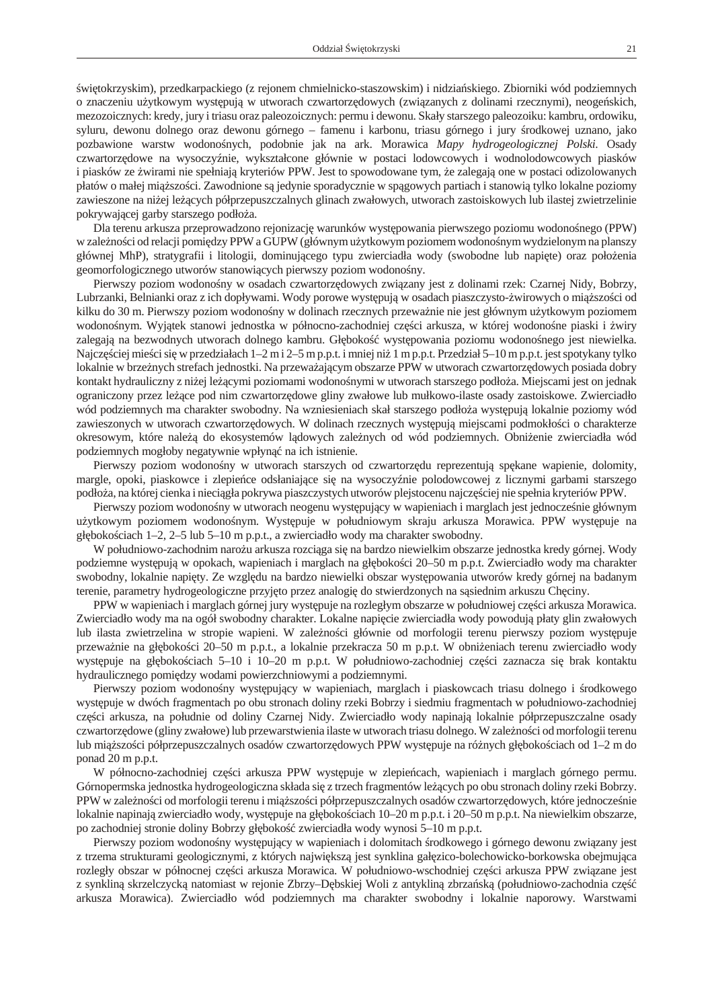wi tokrzyskim), przedkarpackiego (z rejonem chmielnicko-staszowskim) i nidzia skiego. Zbiorniki wód podziemnych o znaczeniu u ytkowym wyst puj w utworach czwartorz dowych (zwi zanych z dolinami rzecznymi), neoge skich, mezozoicznych: kredy, jury i triasu oraz paleozoicznych: permu i dewonu. Skały starszego paleozoiku: kambru, ordowiku, syluru, dewonu dolnego oraz dewonu górnego – famenu i karbonu, triasu górnego i jury rodkowej uznano, jako pozbawione warstw wodono nych, podobnie jak na ark. Morawica *Mapy hydrogeologicznej Polski*. Osady czwartorz dowe na wysoczy nie, wykształcone głównie w postaci lodowcowych i wodnolodowcowych piasków i piasków ze wirami nie spełniaj kryteriów PPW. Jest to spowodowane tym, e zalegaj one w postaci odizolowanych płatów o małej miąższo ci. Zawodnione są jedynie sporadycznie w spągowych partiach i stanowią tylko lokalne poziomy zawieszone na ni ej le cych półprzepuszczalnych glinach zwałowych, utworach zastoiskowych lub ilastej zwietrzelinie pokrywaj cej garby starszego podło a.

Dla terenu arkusza przeprowadzono rejonizacj warunków wyst powania pierwszego poziomu wodono nego (PPW) w zale no ci od relacji pomiędzy PPW a GUPW (głównym u ytkowym poziomem wodono nym wydzielonym na planszy głównej MhP), stratygrafii i litologii, dominuj cego typu zwierciadła wody (swobodne lub napi te) oraz poło enia geomorfologicznego utworów stanowi cych pierwszy poziom wodono ny.

Pierwszy poziom wodono ny w osadach czwartorz dowych zwi zany jest z dolinami rzek: Czarnej Nidy, Bobrzy, Lubrzanki, Belnianki oraz z ich dopływami. Wody porowe występują w osadach piaszczysto-wirowych o miąższości od kilku do 30 m. Pierwszy poziom wodono ny w dolinach rzecznych przewa nie nie jest głównym u ytkowym poziomem wodono nym. Wyj tek stanowi jednostka w północno-zachodniej cz ci arkusza, w której wodono ne piaski i wiry zalegaj na bezwodnych utworach dolnego kambru. Gł boko wyst powania poziomu wodono nego jest niewielka. Najcz ciej mie ci si w przedziałach 1–2 m i 2–5 m p.p.t. i mniej ni 1 m p.p.t. Przedział 5–10 m p.p.t. jest spotykany tylko lokalnie w brze nych strefach jednostki. Na przewa aj cym obszarze PPW w utworach czwartorz dowych posiada dobry kontakt hydrauliczny z niej leżymi poziomami wodono nymi w utworach starszego podłoża. Miejscami jest on jednak ograniczony przez le ce pod nim czwartorz dowe gliny zwałowe lub mułkowo-ilaste osady zastoiskowe. Zwierciadło wód podziemnych ma charakter swobodny. Na wzniesieniach skał starszego podło a wyst puj lokalnie poziomy wód zawieszonych w utworach czwartorz dowych. W dolinach rzecznych wyst puj miejscami podmokło ci o charakterze okresowym, które nale do ekosystemów l dowych zale nych od wód podziemnych. Obni enie zwierciadła wód podziemnych mogłoby negatywnie wpłyn na ich istnienie.

Pierwszy poziom wodono ny w utworach starszych od czwartorz du reprezentuj sp kane wapienie, dolomity, margle, opoki, piaskowce i zlepie ce odsłaniające się na wysoczy nie polodowcowej z licznymi garbami starszego podło a, na której cienka i nieci gła pokrywa piaszczystych utworów plejstocenu najczewiej nie spełnia kryteriów PPW.

Pierwszy poziom wodono ny w utworach neogenu wyst puj cy w wapieniach i marglach jest jednocze nie głównym u ytkowym poziomem wodono nym. Wyst puje w południowym skraju arkusza Morawica. PPW wyst puje na gł boko ciach 1–2, 2–5 lub 5–10 m p.p.t., a zwierciadło wody ma charakter swobodny.

W południowo-zachodnim naro u arkusza rozci ga si na bardzo niewielkim obszarze jednostka kredy górnej. Wody podziemne wyst puj w opokach, wapieniach i marglach na gł boko ci 20–50 m p.p.t. Zwierciadło wody ma charakter swobodny, lokalnie napi ty. Ze wzgl du na bardzo niewielki obszar wyst powania utworów kredy górnej na badanym terenie, parametry hydrogeologiczne przyj to przez analogi do stwierdzonych na s siednim arkuszu Ch ciny.

PPW w wapieniach i marglach górnej jury wyst puje na rozległym obszarze w południowej cz ci arkusza Morawica. Zwierciadło wody ma na ogół swobodny charakter. Lokalne napi cie zwierciadła wody powoduj płaty glin zwałowych lub ilasta zwietrzelina w stropie wapieni. W zale no ci głównie od morfologii terenu pierwszy poziom wyst puje przewa nie na gł boko ci 20–50 m p.p.t., a lokalnie przekracza 50 m p.p.t. W obni eniach terenu zwierciadło wody wyst puje na gł boko ciach 5–10 i 10–20 m p.p.t. W południowo-zachodniej cz ci zaznacza się brak kontaktu hydraulicznego pomi dzy wodami powierzchniowymi a podziemnymi.

Pierwszy poziom wodono ny wyst puj cy w wapieniach, marglach i piaskowcach triasu dolnego i rodkowego wyst puje w dwóch fragmentach po obu stronach doliny rzeki Bobrzy i siedmiu fragmentach w południowo-zachodniej cz ci arkusza, na południe od doliny Czarnej Nidy. Zwierciadło wody napinaj lokalnie półprzepuszczalne osady czwartorz dowe (gliny zwałowe) lub przewarstwienia ilaste w utworach triasu dolnego. W zale no ci od morfologii terenu lub miąższo ci półprzepuszczalnych osadów czwartorz dowych PPW występuje na różnych głębokościach od 1–2 m do ponad 20 m p.p.t.

W północno-zachodniej cz ci arkusza PPW wyst puje w zlepie cach, wapieniach i marglach górnego permu. Górnopermska jednostka hydrogeologiczna składa si z trzech fragmentów le cych po obu stronach doliny rzeki Bobrzy. PPW w zale no ci od morfologii terenu i miąższo ci półprzepuszczalnych osadów czwartorz dowych, które jednocze nie lokalnie napinaj zwierciadło wody, wyst puje na gł boko ciach 10–20 m p.p.t. i 20–50 m p.p.t. Na niewielkim obszarze, po zachodniej stronie doliny Bobrzy gł boko zwierciadła wody wynosi 5–10 m p.p.t.

Pierwszy poziom wodono ny wyst puj cy w wapieniach i dolomitach rodkowego i górnego dewonu zwi zany jest z trzema strukturami geologicznymi, z których najwi ksz jest synklina gał zico-bolechowicko-borkowska obejmuj ca rozległy obszar w północnej cz ci arkusza Morawica. W południowo-wschodniej cz ci arkusza PPW zwi zane jest z synklin skrzelczyck natomiast w rejonie Zbrzy–D bskiej Woli z antyklin zbrza sk (południowo-zachodnia cz arkusza Morawica). Zwierciadło wód podziemnych ma charakter swobodny i lokalnie naporowy. Warstwami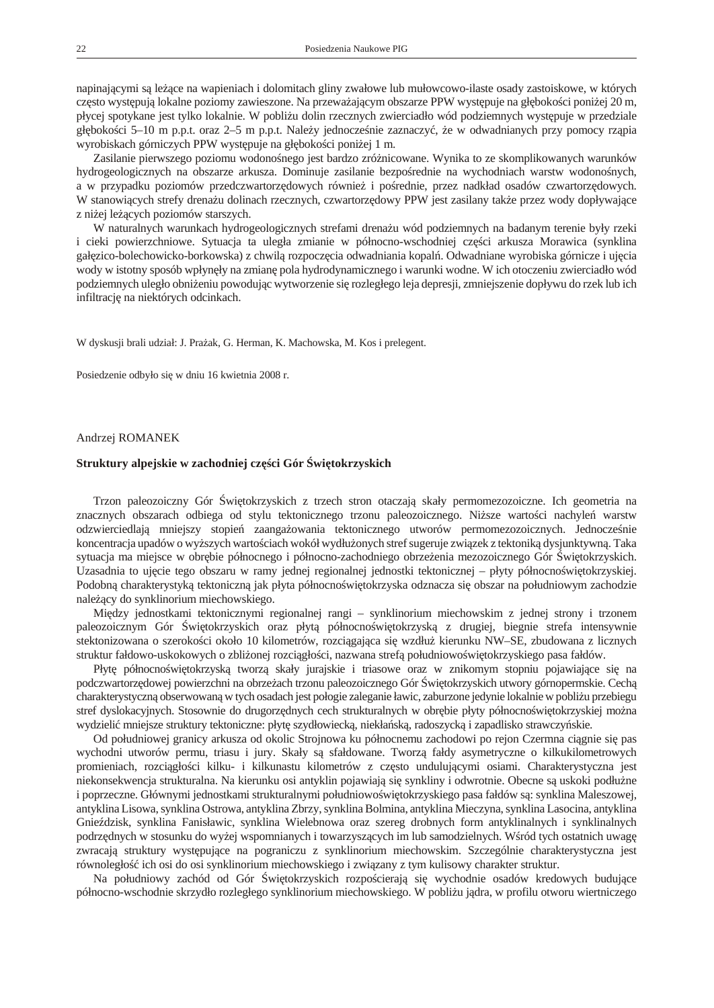<span id="page-19-0"></span>napinaj cymi są leżące na wapieniach i dolomitach gliny zwałowe lub mułowcowo-ilaste osady zastoiskowe, w których cz sto wyst puj lokalne poziomy zawieszone. Na przewa aj cym obszarze PPW wyst puje na gł boko ci poni ej 20 m, płycej spotykane jest tylko lokalnie. W pobli u dolin rzecznych zwierciadło wód podziemnych wyst puje w przedziale gł boko ci 5–10 m p.p.t. oraz 2–5 m p.p.t. Nale y jednocze nie zaznaczy, e w odwadnianych przy pomocy rz pia wyrobiskach górniczych PPW wyst puje na gł boko ci poni ej 1 m.

Zasilanie pierwszego poziomu wodono nego jest bardzo zró nicowane. Wynika to ze skomplikowanych warunków hydrogeologicznych na obszarze arkusza. Dominuje zasilanie bezpo rednie na wychodniach warstw wodono nych, a w przypadku poziomów przedczwartorz dowych równie i po rednie, przez nadkład osadów czwartorz dowych. W stanowi cych strefy drena u dolinach rzecznych, czwartorz dowy PPW jest zasilany tak e przez wody dopływaj ce z ni ej le cych poziomów starszych.

W naturalnych warunkach hydrogeologicznych strefami drena u wód podziemnych na badanym terenie były rzeki i cieki powierzchniowe. Sytuacja ta uległa zmianie w północno-wschodniej cz ci arkusza Morawica (synklina gał zico-bolechowicko-borkowska) z chwil rozpocz cia odwadniania kopal . Odwadniane wyrobiska górnicze i uj cia wody w istotny sposób wpłyn ły na zmian pola hydrodynamicznego i warunki wodne. W ich otoczeniu zwierciadło wód podziemnych uległo obni eniu powoduj c wytworzenie si rozległego leja depresji, zmniejszenie dopływu do rzek lub ich infiltrację na niektórych odcinkach.

W dyskusji brali udział: J. Pra ak, G. Herman, K. Machowska, M. Kos i prelegent.

Posiedzenie odbyło się w dniu 16 kwietnia 2008 r.

# Andrzej ROMANEK

# Struktury alpejskie w zachodniej cz ci Gór wi tokrzyskich

Trzon paleozoiczny Gór wi tokrzyskich z trzech stron otaczaj skały permomezozoiczne. Ich geometria na znacznych obszarach odbiega od stylu tektonicznego trzonu paleozoicznego. Ni sze warto ci nachyle warstw odzwierciedlaj mniejszy stopie zaanga owania tektonicznego utworów permomezozoicznych. Jednocze nie koncentracja upadów o wy szych warto ciach wokół wydłu onych stref sugeruje zwi zek z tektonik dysjunktywn. Taka sytuacja ma miejsce w obr bie północnego i północno-zachodniego obrze enia mezozoicznego Gór wi tokrzyskich. Uzasadnia to uj cie tego obszaru w ramy jednej regionalnej jednostki tektonicznej – płyty północno wi tokrzyskiej. Podobn charakterystyk tektoniczną jak płyta północno więtokrzyska odznacza się obszar na południowym zachodzie nale cy do synklinorium miechowskiego.

Między jednostkami tektonicznymi regionalnej rangi – synklinorium miechowskim z jednej strony i trzonem paleozoicznym Gór wi tokrzyskich oraz płyt północno wi tokrzysk z drugiej, biegnie strefa intensywnie stektonizowana o szeroko ci około 10 kilometrów, rozci gaj ca si wzdłu kierunku NW–SE, zbudowana z licznych struktur fałdowo-uskokowych o zbli onej rozci gło ci, nazwana stref południowo wi tokrzyskiego pasa fałdów.

Płyt północno wi tokrzysk tworz skały jurajskie i triasowe oraz w znikomym stopniu pojawiające się na podczwartorz dowej powierzchni na obrze ach trzonu paleozoicznego Gór wi tokrzyskich utwory górnopermskie. Cech charakterystyczn obserwowan w tych osadach jest połogie zaleganie ławic, zaburzone jedynie lokalnie w pobli u przebiegu stref dyslokacyjnych. Stosownie do drugorz dnych cech strukturalnych w obr bie płyty północno wi tokrzyskiej mo na wydzieli mniejsze struktury tektoniczne: płyt szydłowieck, niekła sk, radoszyck i zapadlisko strawczy skie.

Od południowej granicy arkusza od okolic Strojnowa ku północnemu zachodowi po rejon Czermna ci gnie si pas wychodni utworów permu, triasu i jury. Skały s sfałdowane. Tworz fałdy asymetryczne o kilkukilometrowych promieniach, rozci gło ci kilku- i kilkunastu kilometrów z cz sto unduluj cymi osiami. Charakterystyczna jest niekonsekwencja strukturalna. Na kierunku osi antyklin pojawiaj si synkliny i odwrotnie. Obecne s uskoki podłu ne i poprzeczne. Głównymi jednostkami strukturalnymi południowo wi tokrzyskiego pasa fałdów s: synklina Maleszowej, antyklina Lisowa, synklina Ostrowa, antyklina Zbrzy, synklina Bolmina, antyklina Mieczyna, synklina Lasocina, antyklina Gnie dzisk, synklina Fanisławic, synklina Wielebnowa oraz szereg drobnych form antyklinalnych i synklinalnych podrz dnych w stosunku do wy ej wspomnianych i towarzysz cych im lub samodzielnych. W ród tych ostatnich uwag zwracaj struktury wyst pujęce na pograniczu z synklinorium miechowskim. Szczególnie charakterystyczna jest równoległo ich osi do osi synklinorium miechowskiego i zwi zany z tym kulisowy charakter struktur.

Na południowy zachód od Gór wi tokrzyskich rozpo cieraj si wychodnie osadów kredowych buduj ce północno-wschodnie skrzydło rozległego synklinorium miechowskiego. W pobli u j dra, w profilu otworu wiertniczego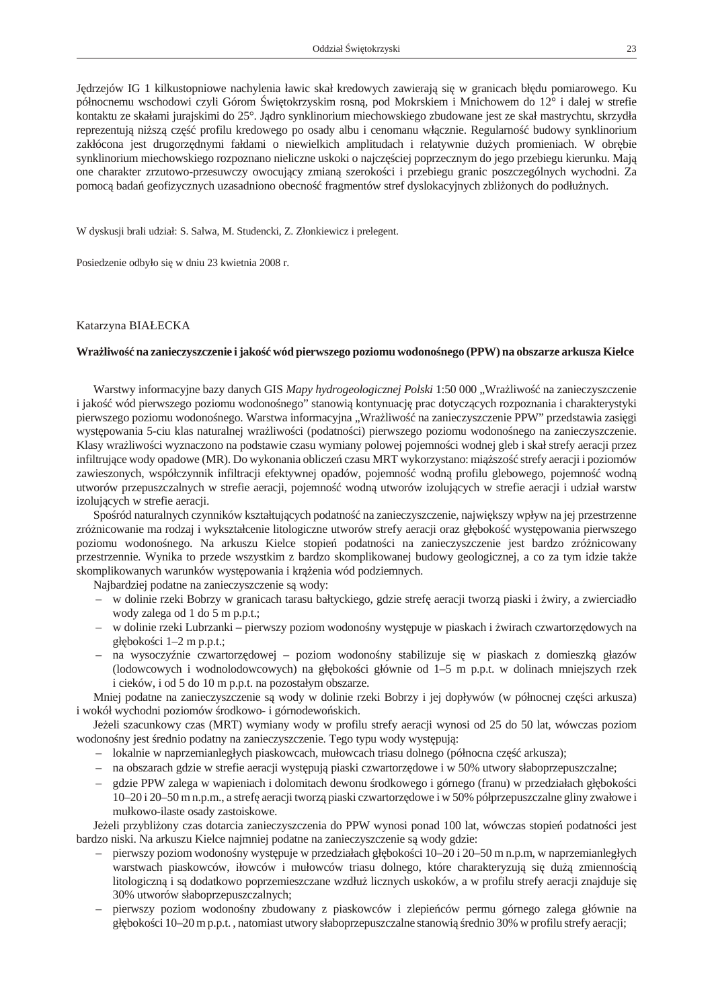<span id="page-20-0"></span>J drzejów IG 1 kilkustopniowe nachylenia ławic skał kredowych zawieraj się w granicach bł du pomiarowego. Ku północnemu wschodowi czyli Górom wi tokrzyskim rosną, pod Mokrskiem i Mnichowem do 12° i dalej w strefie kontaktu ze skałami jurajskimi do 25°. J dro synklinorium miechowskiego zbudowane jest ze skał mastrychtu, skrzydła reprezentuj ni sz cz profilu kredowego po osady albu i cenomanu wł cznie. Regularno budowy synklinorium zakłócona jest drugorz dnymi fałdami o niewielkich amplitudach i relatywnie du ych promieniach. W obr bie synklinorium miechowskiego rozpoznano nieliczne uskoki o najczęciej poprzecznym do jego przebiegu kierunku. Maj one charakter zrzutowo-przesuwczy owocuj cy zmian szeroko ci i przebiegu granic poszczególnych wychodni. Za pomoc bada geofizycznych uzasadniono obecno fragmentów stref dyslokacyjnych zbli onych do podłu nych.

W dyskusji brali udział: S. Salwa, M. Studencki, Z. Złonkiewicz i prelegent.

Posiedzenie odbyło się w dniu 23 kwietnia 2008 r.

## Katarzyna BIAŁECKA

#### Wra liwo na zanieczyszczenie i jako wód pierwszego poziomu wodono nego (PPW) na obszarze arkusza Kielce

Warstwy informacyjne bazy danych GIS *Mapy hydrogeologicznej Polski* 1:50 000 "Wra liwo na zanieczyszczenie i jako wód pierwszego poziomu wodono nego" stanowi kontynuacj prac dotycz cych rozpoznania i charakterystyki pierwszego poziomu wodono nego. Warstwa informacyjna "Wra liwo na zanieczyszczenie PPW" przedstawia zasi gi wyst powania 5-ciu klas naturalnej wra liwo ci (podatno ci) pierwszego poziomu wodono nego na zanieczyszczenie. Klasy wra liwo ci wyznaczono na podstawie czasu wymiany polowej pojemno ci wodnej gleb i skał strefy aeracji przez infiltruj ce wody opadowe (MR). Do wykonania oblicze czasu MRT wykorzystano: miąższość strefy aeracji i poziomów zawieszonych, współczynnik infiltracji efektywnej opadów, pojemno wodną profilu glebowego, pojemno wodn utworów przepuszczalnych w strefie aeracji, pojemno wodną utworów izoluj cych w strefie aeracji i udział warstw izoluj cych w strefie aeracji.

Spo ród naturalnych czynników kształtuj cych podatno na zanieczyszczenie, najwi kszy wpływ na jej przestrzenne zró nicowanie ma rodzaj i wykształcenie litologiczne utworów strefy aeracji oraz gł boko wyst powania pierwszego poziomu wodono nego. Na arkuszu Kielce stopie podatno ci na zanieczyszczenie jest bardzo zró nicowany przestrzennie. Wynika to przede wszystkim z bardzo skomplikowanej budowy geologicznej, a co za tym idzie także skomplikowanych warunków wyst powania i kręcia wód podziemnych.

Najbardziej podatne na zanieczyszczenie s wody:

- w dolinie rzeki Bobrzy w granicach tarasu bałtyckiego, gdzie stref aeracji tworz piaski i wiry, a zwierciadło wody zalega od 1 do 5 m p.p.t.;
- w dolinie rzeki Lubrzankipierwszy poziom wodonośny występuje w piaskach i żwirach czwartorzędowych na gł boko ci  $1-2$  m p.p.t.;
- na wysoczy nie czwartorz dowej poziom wodono ny stabilizuje się w piaskach z domieszkę głazów (lodowcowych i wodnolodowcowych) na gł boko ci głównie od 1–5 m p.p.t. w dolinach mniejszych rzek i cieków, i od 5 do 10 m p.p.t. na pozostałym obszarze.

Mniej podatne na zanieczyszczenie s wody w dolinie rzeki Bobrzy i jej dopływów (w północnej cz ci arkusza) i wokół wychodni poziomów rodkowo- i górnodewo skich.

Je eli szacunkowy czas (MRT) wymiany wody w profilu strefy aeracji wynosi od 25 do 50 lat, wówczas poziom wodono ny jest rednio podatny na zanieczyszczenie. Tego typu wody wyst puj:

- lokalnie w naprzemianległych piaskowcach, mułowcach triasu dolnego (północna cześci arkusza);
- $-$  na obszarach gdzie w strefie aeracji wyst puj piaski czwartorz dowe i w 50% utwory słaboprzepuszczalne;
- gdzie PPW zalega w wapieniach i dolomitach dewonu rodkowego i górnego (franu) w przedziałach gł boko ci 10–20 i 20–50 m n.p.m., a strefę aeracji tworzą piaski czwartorzędowe i w 50% półprzepuszczalne gliny zwałowe i mułkowo-ilaste osady zastoiskowe.

Je eli przybli ony czas dotarcia zanieczyszczenia do PPW wynosi ponad 100 lat, wówczas stopie podatno ci jest bardzo niski. Na arkuszu Kielce najmniej podatne na zanieczyszczenie s wody gdzie:

- pierwszy poziom wodono ny wyst puje w przedziałach gł boko ci 10–20 i 20–50 m n.p.m, w naprzemianległych warstwach piaskowców, iłowców i mułowców triasu dolnego, które charakteryzuj się duż zmienno ci litologiczn<sub>i</sub> i są dodatkowo poprzemieszczane wzdłu licznych uskoków, a w profilu strefy aeracji znajduje się 30% utworów słaboprzepuszczalnych;
- pierwszy poziom wodono ny zbudowany z piaskowców i zlepie ców permu górnego zalega głównie na gł boko ci 10–20 m p.p.t., natomiast utwory słaboprzepuszczalne stanowi rednio 30% w profilu strefy aeracji;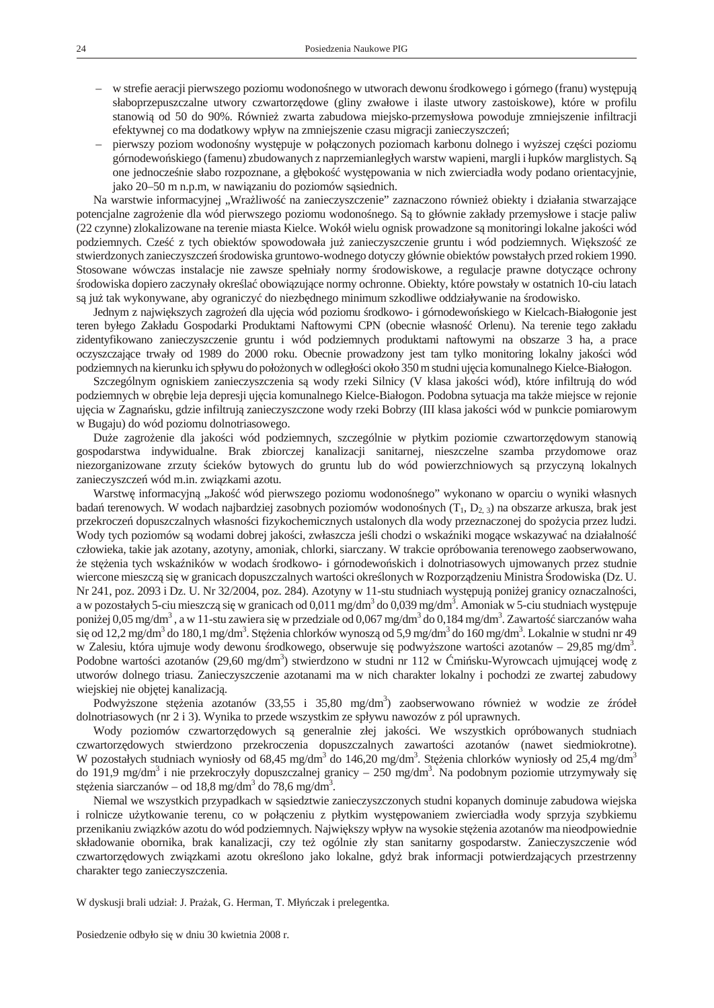- w strefie aeracji pierwszego poziomu wodono nego w utworach dewonu rodkowego i górnego (franu) występuj słaboprzepuszczalne utwory czwartorz dowe (gliny zwałowe i ilaste utwory zastoiskowe), które w profilu stanowi od 50 do 90%. Równie zwarta zabudowa miejsko-przemysłowa powoduje zmniejszenie infiltracji efektywnej co ma dodatkowy wpływ na zmniejszenie czasu migracji zanieczyszcze;
- pierwszy poziom wodono ny wyst puje w poł czonych poziomach karbonu dolnego i wy szej części poziomu górnodewo skiego (famenu) zbudowanych z naprzemianległych warstw wapieni, margli i łupków marglistych. S one jednocze nie słabo rozpoznane, a gł boko wyst powania w nich zwierciadła wody podano orientacyjnie, jako 20–50 m n.p.m, w nawi zaniu do poziomów s siednich.

Na warstwie informacyjnej "Wra liwo na zanieczyszczenie" zaznaczono równie obiekty i działania stwarzaj ce potencjalne zagro enie dla wód pierwszego poziomu wodono nego. S to głównie zakłady przemysłowe i stacje paliw (22 czynne) zlokalizowane na terenie miasta Kielce. Wokół wielu ognisk prowadzone s monitoringi lokalne jako ci wód podziemnych. Cze z tych obiektów spowodowała ju zanieczyszczenie gruntu i wód podziemnych. Wi kszo ze stwierdzonych zanieczyszcze rodowiska gruntowo-wodnego dotyczy głównie obiektów powstałych przed rokiem 1990. Stosowane wówczas instalacje nie zawsze spełniały normy rodowiskowe, a regulacje prawne dotycz ce ochrony rodowiska dopiero zaczynały okre la obowi zujące normy ochronne. Obiekty, które powstały w ostatnich 10-ciu latach s ju tak wykonywane, aby ograniczy do niezb dnego minimum szkodliwe oddziaływanie na rodowisko.

Jednym z najwi kszych zagro e dla uj cia wód poziomu rodkowo- i górnodewo skiego w Kielcach-Białogonie jest teren byłego Zakładu Gospodarki Produktami Naftowymi CPN (obecnie własno Orlenu). Na terenie tego zakładu zidentyfikowano zanieczyszczenie gruntu i wód podziemnych produktami naftowymi na obszarze 3 ha, a prace oczyszczaj ce trwały od 1989 do 2000 roku. Obecnie prowadzony jest tam tylko monitoring lokalny jako ci wód podziemnych na kierunku ich spływu do poło onych w odległo ci około 350 m studni uj cia komunalnego Kielce-Białogon.

Szczególnym ogniskiem zanieczyszczenia s wody rzeki Silnicy (V klasa jako ci wód), które infiltruj do wód podziemnych w obrębie leja depresji ujęcia komunalnego Kielce-Białogon. Podobna sytuacja ma także miejsce w rejonie uj cia w Zagna sku, gdzie infiltruj zanieczyszczone wody rzeki Bobrzy (III klasa jako ci wód w punkcie pomiarowym w Bugaju) do wód poziomu dolnotriasowego.

Du e zagro enie dla jako ci wód podziemnych, szczególnie w płytkim poziomie czwartorz dowym stanowi gospodarstwa indywidualne. Brak zbiorczej kanalizacji sanitarnej, nieszczelne szamba przydomowe oraz niezorganizowane zrzuty cieków bytowych do gruntu lub do wód powierzchniowych s przyczyn lokalnych zanieczyszcze wód m.in. zwi zkami azotu.

Warstw informacyjn "Jako wód pierwszego poziomu wodono nego" wykonano w oparciu o wyniki własnych bada terenowych. W wodach najbardziej zasobnych poziomów wodono nych (T<sub>1</sub>, D<sub>2</sub>, 3) na obszarze arkusza, brak jest przekrocze dopuszczalnych własno ci fizykochemicznych ustalonych dla wody przeznaczonej do spo ycia przez ludzi. Wody tych poziomów są wodami dobrej jako ci, zwłaszcza je li chodzi o wska niki mogące wskazywa na działalno

człowieka, takie jak azotany, azotyny, amoniak, chlorki, siarczany. W trakcie opróbowania terenowego zaobserwowano, e stenia tych wska ników w wodach rodkowo- i górnodewo skich i dolnotriasowych ujmowanych przez studnie wiercone mieszcz się w granicach dopuszczalnych wartości okre $\log N$  w Rozporządzeniu Ministra rodowiska (Dz. U. Nr 241, poz. 2093 i Dz. U. Nr 32/2004, poz. 284). Azotyny w 11-stu studniach wyst puj poni ej granicy oznaczalno ci, a w pozostałych 5-ciu mieszcz się w granicach od 0,011 mg/dm<sup>3</sup> do 0,039 mg/dm<sup>3</sup>. Amoniak w 5-ciu studniach występuje poniej 0,05 mg/dm<sup>3</sup>, a w 11-stu zawiera się w przedziale od 0,067 mg/dm<sup>3</sup> do 0,184 mg/dm<sup>3</sup>. Zawarto siarczanów waha si od 12,2 mg/dm<sup>3</sup> do 180,1 mg/dm<sup>3</sup>. Steżenia chlorków wynoszo od 5,9 mg/dm<sup>3</sup> do 160 mg/dm<sup>3</sup>. Lokalnie w studni nr 49 w Zalesiu, która ujmuje wody dewonu rodkowego, obserwuje si podwy szone warto ci azotanów – 29,85 mg/dm<sup>3</sup>. Podobne warto ci azotanów (29,60 mg/dm<sup>3</sup>) stwierdzono w studni nr 112 w mi sku-Wyrowcach ujmuj cej wod z utworów dolnego triasu. Zanieczyszczenie azotanami ma w nich charakter lokalny i pochodzi ze zwartej zabudowy wiejskiej nie obj tej kanalizacją.

Podwy szone st enia azotanów (33,55 i 35,80 mg/dm<sup>3</sup>) zaobserwowano równie w wodzie ze ródeł dolnotriasowych (nr 2 i 3). Wynika to przede wszystkim ze spływu nawozów z pól uprawnych.

Wody poziomów czwartorz dowych s generalnie złej jakości. We wszystkich opróbowanych studniach czwartorz dowych stwierdzono przekroczenia dopuszczalnych zawartości azotanów (nawet siedmiokrotne). W pozostałych studniach wyniosły od 68,45 mg/dm<sup>3</sup> do 146,20 mg/dm<sup>3</sup>. Stężenia chlorków wyniosły od 25,4 mg/dm<sup>3</sup> do 191,9 mg/dm<sup>3</sup> i nie przekroczyły dopuszczalnej granicy – 250 mg/dm<sup>3</sup>. Na podobnym poziomie utrzymywały si st enia siarczanów – od 18,8 mg/dm<sup>3</sup> do 78,6 mg/dm<sup>3</sup>.

Niemal we wszystkich przypadkach w s siedztwie zanieczyszczonych studni kopanych dominuje zabudowa wiejska i rolnicze u ytkowanie terenu, co w poł czeniu z płytkim wyst powaniem zwierciadła wody sprzyja szybkiemu przenikaniu związków azotu do wód podziemnych. Najwi kszy wpływ na wysokie stępnia azotanów ma nieodpowiednie składowanie obornika, brak kanalizacji, czy te ogólnie zły stan sanitarny gospodarstw. Zanieczyszczenie wód czwartorz dowych zwi zkami azotu okre lono jako lokalne, gdy brak informacji potwierdzaj cych przestrzenny charakter tego zanieczyszczenia.

W dyskusji brali udział: J. Pra ak, G. Herman, T. Mły czak i prelegentka.

Posiedzenie odbyło się w dniu 30 kwietnia 2008 r.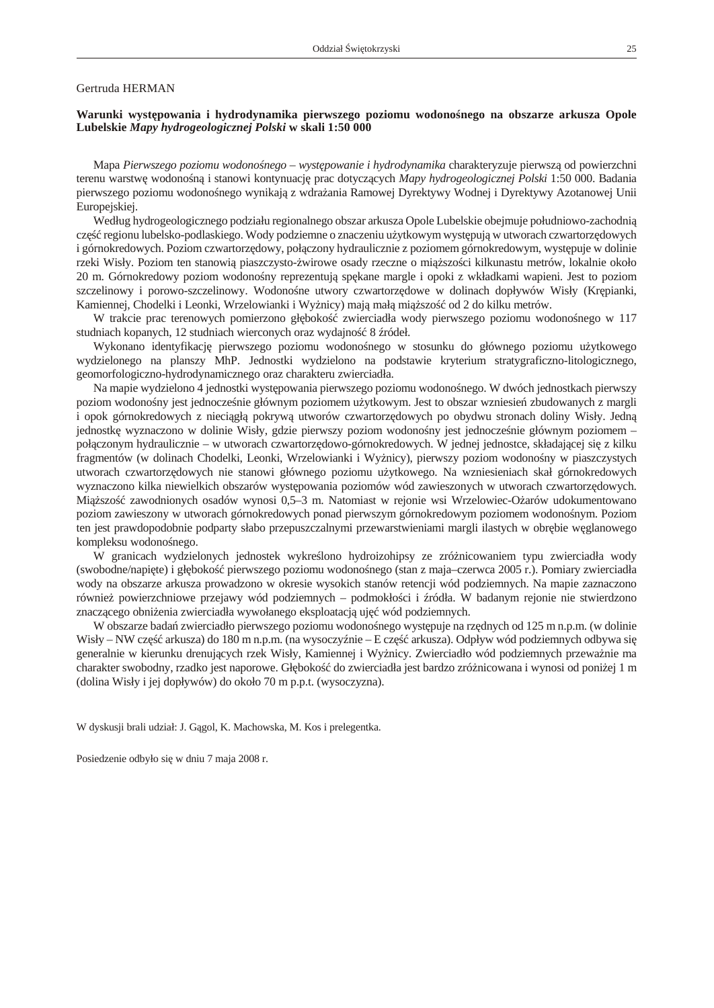# <span id="page-22-0"></span>Gertruda HERMAN

# Warunki wyst powania i hydrodynamika pierwszego poziomu wodono nego na obszarze arkusza Opole **Lubelskie** *Mapy hydrogeologicznej Polski* **w skali 1:50 000**

Mapa *Pierwszego poziomu wodono nego – wyst powanie i hydrodynamika* charakteryzuje pierwsz od powierzchni terenu warstw wodono n i stanowi kontynuacj prac dotycz cych *Mapy hydrogeologicznej Polski* 1:50 000. Badania pierwszego poziomu wodono nego wynikają z wdra ania Ramowej Dyrektywy Wodnej i Dyrektywy Azotanowej Unii Europejskiej.

Według hydrogeologicznego podziału regionalnego obszar arkusza Opole Lubelskie obejmuje południowo-zachodnią cz regionu lubelsko-podlaskiego. Wody podziemne o znaczeniu u ytkowym występują w utworach czwartorzędowych i górnokredowych. Poziom czwartorz dowy, poł czony hydraulicznie z poziomem górnokredowym, występuje w dolinie rzeki Wisły. Poziom ten stanowi piaszczysto- wirowe osady rzeczne o miąższo ci kilkunastu metrów, lokalnie około 20 m. Górnokredowy poziom wodono ny reprezentuj sp kane margle i opoki z wkładkami wapieni. Jest to poziom szczelinowy i porowo-szczelinowy. Wodono ne utwory czwartorz dowe w dolinach dopływów Wisły (Kr pianki, Kamiennej, Chodelki i Leonki, Wrzelowianki i Wynicy) mają małą miąższości od 2 do kilku metrów.

W trakcie prac terenowych pomierzono gł boko zwierciadła wody pierwszego poziomu wodono nego w 117 studniach kopanych, 12 studniach wierconych oraz wydajno 8 ródeł.

Wykonano identyfikacj pierwszego poziomu wodono nego w stosunku do głównego poziomu u ytkowego wydzielonego na planszy MhP. Jednostki wydzielono na podstawie kryterium stratygraficzno-litologicznego, geomorfologiczno-hydrodynamicznego oraz charakteru zwierciadła.

Na mapie wydzielono 4 jednostki wyst powania pierwszego poziomu wodono nego. W dwóch jednostkach pierwszy poziom wodono ny jest jednocze nie głównym poziomem u ytkowym. Jest to obszar wzniesie zbudowanych z margli i opok górnokredowych z nieci gł pokrywą utworów czwartorz dowych po obydwu stronach doliny Wisły. Jedn jednostk wyznaczono w dolinie Wisły, gdzie pierwszy poziom wodono ny jest jednocze nie głównym poziomem – poł czonym hydraulicznie – w utworach czwartorz dowo-górnokredowych. W jednej jednostce, składaj cej się z kilku fragmentów (w dolinach Chodelki, Leonki, Wrzelowianki i Wynicy), pierwszy poziom wodono ny w piaszczystych utworach czwartorz dowych nie stanowi głównego poziomu u ytkowego. Na wzniesieniach skał górnokredowych wyznaczono kilka niewielkich obszarów występowania poziomów wód zawieszonych w utworach czwartorzędowych. Mięcszo zawodnionych osadów wynosi 0,5–3 m. Natomiast w rejonie wsi Wrzelowiec-O arów udokumentowano poziom zawieszony w utworach górnokredowych ponad pierwszym górnokredowym poziomem wodono nym. Poziom ten jest prawdopodobnie podparty słabo przepuszczalnymi przewarstwieniami margli ilastych w obr bie w glanowego kompleksu wodono nego.

W granicach wydzielonych jednostek wykre lono hydroizohipsy ze zró nicowaniem typu zwierciadła wody (swobodne/napi te) i gł boko pierwszego poziomu wodono nego (stan z maja–czerwca 2005 r.). Pomiary zwierciadła wody na obszarze arkusza prowadzono w okresie wysokich stanów retencji wód podziemnych. Na mapie zaznaczono równie powierzchniowe przejawy wód podziemnych – podmokło ci i ródła. W badanym rejonie nie stwierdzono znacz cego obni enia zwierciadła wywołanego eksploatacj uj wód podziemnych.

W obszarze bada zwierciadło pierwszego poziomu wodono nego wyst puje na rz dnych od 125 m n.p.m. (w dolinie Wisły – NW cz arkusza) do 180 m n.p.m. (na wysoczy nie – E cz arkusza). Odpływ wód podziemnych odbywa si generalnie w kierunku drenuj cych rzek Wisły, Kamiennej i Wy nicy. Zwierciadło wód podziemnych przewa nie ma charakter swobodny, rzadko jest naporowe. Gł boko do zwierciadła jest bardzo zróżnicowana i wynosi od poniej 1 m (dolina Wisły i jej dopływów) do około 70 m p.p.t. (wysoczyzna).

W dyskusji brali udział: J. G gol, K. Machowska, M. Kos i prelegentka.

Posiedzenie odbyło się w dniu 7 maja 2008 r.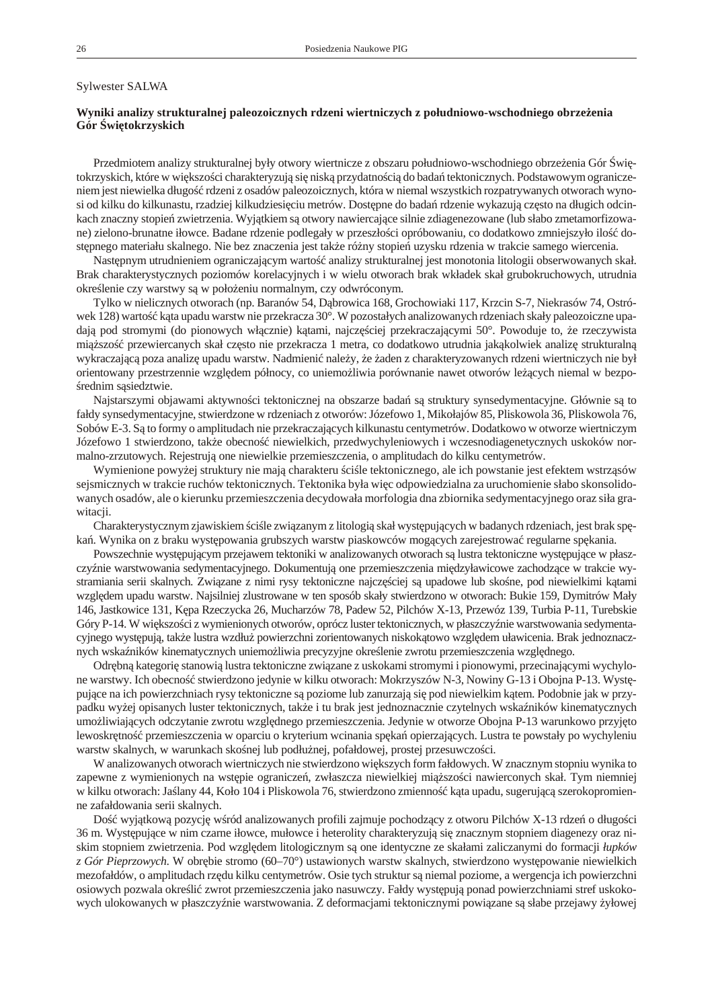#### <span id="page-23-0"></span>Sylwester SALWA

## Wyniki analizy strukturalnej paleozoicznych rdzeni wiertniczych z południowo-wschodniego obrze enia Gór wi tokrzyskich

Przedmiotem analizy strukturalnej były otwory wiertnicze z obszaru południowo-wschodniego obrze enia Gór wito krzy skich, które w większo ci charakteryzuj się niską przydatno ci do bada tektonicznych. Podstawowym ograniczeniem jest niewielka długo rdzeni z osadów paleozoicznych, która w niemal wszystkich rozpatrywanych otworach wynosi od kil ku do kil kunastu, rzadziej kil kudziesi ciu metrów. Dost pne do bada rdzenie wykazują czę sto na długich odcinkach znaczny stopie zwietrzenia. Wyj tkiem s otwory nawiercaj ce silnie zdiagenezowane (lub słabo zmetamorfizowane) zielono-brunatne iłowce. Badane rdzenie podlegały w przeszło ci opróbowaniu, co dodatkowo zmniejszyło ilo dost pnego materiału skalnego. Nie bez znaczenia jest tak e ró ny stopie uzysku rdzenia w trakcie samego wiercenia.

Nast pnym utrudnieniem ograniczaj cym warto analizy strukturalnej jest monotonia litologii obserwowanych skał. Brak charakterystycznych poziomów korelacyjnych i w wielu otworach brak wkładek skał grubokruchowych, utrudnia okre lenie czy warstwy są w poło eniu normalnym, czy odwróconym.

Tylko w nielicznych otworach (np. Baranów 54, D browica 168, Grochowiaki 117, Krzcin S-7, Niekrasów 74, Ostrówek 128) warto k ta upadu warstw nie przekracza 30°. W pozostałych analizowanych rdzeniach skały paleozoiczne upadaj pod stromymi (do pionowych wł cznie) k tami, najcz ciej przekraczaj cymi 50°. Powoduje to, e rzeczywista mi szo przewiercanych skał cz sto nie przekracza 1 metra, co dodatkowo utrudnia jak kolwiek analiz strukturaln wy kraczaj c poza analiz upadu warstw. Nadmieni nale y, e aden z charaktery zowanych rdzeni wiertniczych nie był orientowany przestrzennie wzgl dem północy, co uniemo liwia porównanie nawet otworów le cych niemal w bez porednim s siedztwie.

Najstarszymi objawami aktywno ci tektonicznej na obszarze bada s struktury synsedymentacyjne. Głównie s to fałdy syn sedymentacyjne, stwierdzone w rdzeniach z otworów: Józefowo 1, Mikołajów 85, Pliskowola 36, Pliskowola 76, Sobów E-3. Są to formy o amplitudach nie przekraczających kil kunastu centymetrów. Dodatkowo w otworze wiertniczym Józefowo 1 stwierdzono, tak e obecno niewielkich, przedwychy leniowych i wczesnodiagenetycznych uskoków normal no-zrzu to wych. Rejestrują one nie wielkie przemieszczenia, o amplitudach do kilku centy metrów.

Wymienione powy ej struktury nie maj charakteru ci le tektonicznego, ale ich powstanie jest efektem wstrz sów sej smicznych w trakcie ruchów tektonicznych. Tektonika była więc odpowiedzialna za uru chomienie słabo skonsolidowanych osadów, ale o kierunku przemieszczenia decydowała morfologia dna zbiornika sedymentacyjnego oraz siła grawitacji.

Charakterystycznym zjawiskiem ci le zwi zanym z litologi skał wyst puj cych w badanych rdzeniach, jest brak spka. Wynika on z braku wyst powania grub szych warstw pia skowców mogących za rejestrowa regularne spę kania.

Powszechnie wyst puj cym przejawem tektoniki w analizowanych otworach s lustra tektoniczne wyst puj ce w płaszczy nie warstwowania sedymentacyjnego. Dokumentuj one przemieszczenia mi dzyławicowe zachodz ce w trakcie wystramiania serii skalnych. Zwi zane z nimi rysy tektoniczne najcz ciej s upadowe lub sko ne, pod niewielkimi k tami wzgl dem upadu warstw. Najsilniej zlustrowane w ten sposób skały stwierdzono w otworach: Bukie 159, Dymitrów Mały 146, Jastkowice 131, K pa Rzeczycka 26, Mucharzów 78, Padew 52, Pilchów X-13, Przewóz 139, Turbia P-11, Turebskie Góry P-14. W wi kszo ci z wymienionych otworów, oprócz luster tektonicznych, w płaszczy nie warstwo wania sedymentacyjnego wyst puj, tak e lustra wzdłu powierzchni zorientowanych niskok towo wzgl dem uławicenia. Brak jednoznacznych wska ników kinematycznych uniemo liwia precyzyjne okre lenie zwrotu przemieszczenia wzgl dnego.

Odr bn kategori stanowi lustra tektoniczne zwi zane z uskokami stromymi i pionowymi, przecinaj cymi wychylone warstwy. Ich obecno stwierdzono jedynie w kilku otworach: Mokrzyszów N-3, Nowiny G-13 i Obojna P-13. Wyst puj ce na ich powierzchniach rysy tektoniczne s poziome lub zanurzaj si pod niewielkim k tem. Podobnie jak w przypadku wy ej opisanych luster tektonicznych, tak e i tu brak jest jednoznacznie czytelnych wska ników kinematycznych umo liwiaj cych odczytanie zwrotu wzgl dnego przemieszczenia. Jedynie w otworze Obojna P-13 warunkowo przyj to lewoskr tno przemieszczenia w oparciu o kryterium wcinania sp ka opierzaj cych. Lustra te powstały po wychy leniu warstw skalnych, w warunkach sko nej lub podłu nej, pofałdowej, prostej przesuwczo ci.

W analizowanych otworach wiertniczych nie stwierdzono wi kszych form fałdowych. W znacznym stopniu wynika to zapewne z wymienionych na wst pie ogranicze, zwłaszcza niewielkiej miąższo ci nawierconych skał. Tym niemniej w kilku otworach: Ja lany 44, Koło 104 i Pliskowola 76, stwierdzono zmienno k ta upadu, sugeruj c szerokopromienne zafałdowania serii skalnych.

Do wyj tkow pozycj w ród analizowanych profili zajmuje pochodz cy z otworu Pilchów X-13 rdze o długo ci 36 m. Wyst puj ce w nim czarne iłowce, mułowce i heterolity charakteryzuj się znacznym stopniem diagenezy oraz niskim stopniem zwietrzenia. Pod wzgl dem litologicznym są one identyczne ze skałami zaliczanymi do formacji łupków *z Gór Pieprzowych*. W obr bie stromo (60–70°) ustawionych warstw skalnych, stwierdzono wyst powanie niewielkich mezofałdów, o amplitudach rz du kilku centymetrów. Osie tych struktur sγniemal poziome, a wergencja ich powierzchni osiowych pozwala okre li zwrot przemieszczenia jako nasuwczy. Fałdy wyst puj ponad powierzchniami stref uskokowych ulokowanych w płaszczy nie warstwowania. Z deformacjami tektonicznymi powi zane s słabe przejawy yłowej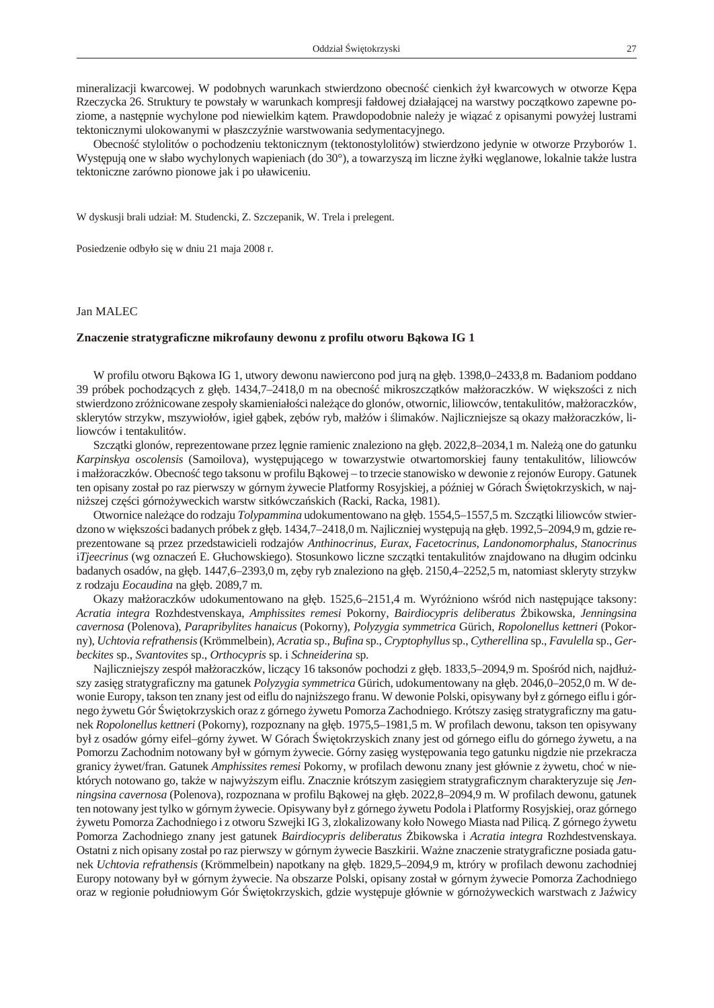<span id="page-24-0"></span>mineralizacji kwarcowej. W podobnych warunkach stwierdzono obecno cienkich ył kwarcowych w otworze K pa Rzeczycka 26. Struktury te powstały w warunkach kompresji fałdowej działaj cej na warstwy pocz tkowo zapewne poziome, a nast pnie wy chy lone pod nie wielkim k tem. Prawdopodobnie nale y je wiąza z opisanymi powy ej lustrami tektonicznymi ulokowanymi w płaszczy nie warstwowania sedymentacyjnego.

Obecno stylolitów o pochodzeniu tektonicznym (tek to nostylolitów) stwierdzono jedynie w otworze Przyborów 1. Wyst puj one w słabo wychy lonych wa pieniach (do 30°), a to warzysz im liczne yłki w glanowe, lokalnie tak e lustra tektoniczne zarówno pionowe jak i po uławiceniu.

W dyskusji brali udział: M. Studencki, Z. Szczepanik, W. Trela i prelegent.

Posiedzenie odbyło się w dniu 21 maja 2008 r.

### Jan MALEC

#### **Znaczenie stratygraficzne mikrofauny dewonu z profilu otworu B kowa IG 1**

W profilu otworu B kowa IG 1, utwory dewonu nawiercono pod jur na gł b. 1398,0–2433,8 m. Badaniom poddano 39 próbek pochodz cych z gł b. 1434,7–2418,0 m na obecno mikroszcz tków mał oraczków. W wię k szo ci z nich stwierdzono zró nicowane zespoły skamieniało ci nale ce do glonów, otwornic, liliowców, tentakulitów, mał oraczków, sklerytów strzykw, mszywiołów, igieł g bek, z bów ryb, małów i limaków. Najliczniejsze s okazy mał oraczków, liliowców i tentakulitów.

Szcz tki glonów, reprezentowane przez l gnie ramienic znaleziono na gł b. 2022,8–2034,1 m. Nale one do gatunku Karpinskya oscolensis (Samoilova), wyst puj cego w towarzystwie otwartomorskiej fauny tentakulitów, liliowców i mał oraczków. Obecno tego tak so nu w profilu B kowej – to trzecie sta nowisko w dewonie z rejonów Europy. Gatunek ten opisany został po raz pierwszy w górnym ywecie Platformy Rosyjskiej, a pó niej w Górach wi tokrzyskich, w najni szej cz ci górno ywec kich warstw sit ków cza skich (Racki, Racka, 1981).

Otwornice nale ce do rodzaju *Tolypammina* udokumentowano na gł b. 1554,5–1557,5 m. Szcz tki liliowców stwierdzono w wię kszo ci badanych próbek z głęb. 1434,7–2418,0 m. Najliczniej wystę pują na głęb. 1992,5–2094,9 m, gdzie repre zen to wa ne są przez przed sta wi cie li ro dza jów *An thi no cri nus, Eu rax, Fa ce to cri nus*, *Lan do no mor pha lus*, *Sta no cri nus iTjeecrinus* (wg oznacze E. Głuchowskiego). Stosunkowo liczne szcz tki tentakulitów znajdowano na długim odcinku badanych osadów, na gł b. 1447,6–2393,0 m, z by ryb znaleziono na gł b. 2150,4–2252,5 m, natomiast skleryty strzykw z rodzaju *Eocaudina* na gł b. 2089,7 m.

Okazy mał oraczków udoku mentowano na gł b. 1525,6–2151,4 m. Wyró niono w ród nich nast puj ce tak sony: *Acra tia in te gra* Roz hde stven skaya, *Am phis si tes re me si* Po kor ny, *Ba ir dio cy pris de li be ra tus* Żbi kow ska, *Jen ningsi na*  $cavernosa$  (Polenova), *Parapribylites hanaicus* (Pokorny), *Polyzygia symmetrica* Gürich, *Ropolonellus kettneri* (Pokorny), *Uchtovia refrathensis* (Krömmelbein), *Acratia* sp., *Bufina* sp., *Cryptophyllus* sp., *Cytherellina* sp., *Favulella* sp., *Gerbec ki tes* sp., *Svan tovi tes* sp., *Or tho cy pris* sp. i *Sch ne ider i na* sp.

Najliczniejszy zespół mał oraczków, licz cy 16 taksonów pochodzi z gł b. 1833,5–2094,9 m. Spo ród nich, najdłu szy zasi g stratygraficzny ma gatunek *Polyzygia symmetrica* Gürich, udokumentowany na gł b. 2046,0–2052,0 m. W dewonie Europy, takson ten znany jest od eiflu do najni szego franu. W dewonie Polski, opisywany był z górnego eiflu i górnego ywetu Gór wi tokrzyskich oraz z górnego ywetu Pomorza Zachodniego. Krótszy zasi g stratygraficzny ma gatunek *Ropolonellus kettneri* (Pokorny), rozpoznany na gł b. 1975,5–1981,5 m. W profilach dewonu, takson ten opisywany był z osadów górny eifel-górny ywet. W Górach wi tokrzyskich znany jest od górnego eiflu do górnego ywetu, a na Pomorzu Zachodnim notowany był w górnym ywecie. Górny zasi g wyst powania tego gatunku nigdzie nie przekracza granicy ywet/fran. Gatunek *Amphissites remesi* Pokorny, w profilach dewonu znany jest głównie z ywetu, cho w niektórych notowano go, tak e w najwy szym eiflu. Znacznie krótszym zasi giem stratygraficznym charakteryzuje si *Jenningsina cavernosa* (Polenova), rozpoznana w profilu B kowej na gł b. 2022,8–2094,9 m. W profilach dewonu, gatunek ten notowany jest tylko w górnym zywecie. Opisywany był z górnego zywetu Podola i Platformy Rosyjskiej, oraz górnego

ywetu Pomorza Zachodniego i z otworu Szwejki IG 3, zlokalizowany koło Nowego Miasta nad Pilic $\,$ . Z górnego  $\,$ ywetu Pomorza Zachodniego znany jest gatunek *Bairdiocypris deliberatus* bikowska i *Acratia integra* Rozhdestvenskaya. Ostatni z nich opisany został po raz pierwszy w górnym ywecie Baszkirii. Wa ne znaczenie stratygraficzne posiada gatunek *Uchtovia refrathensis* (Krömmelbein) napotkany na gł b. 1829,5–2094,9 m, ktróry w profilach dewonu zachodniej Europy notowany był w górnym ywecie. Na obszarze Polski, opisany został w górnym ywecie Pomorza Zachodniego oraz w regionie południowym Gór wi tokrzyskich, gdzie wyst puje głównie w górno yweckich warstwach z Ja wicy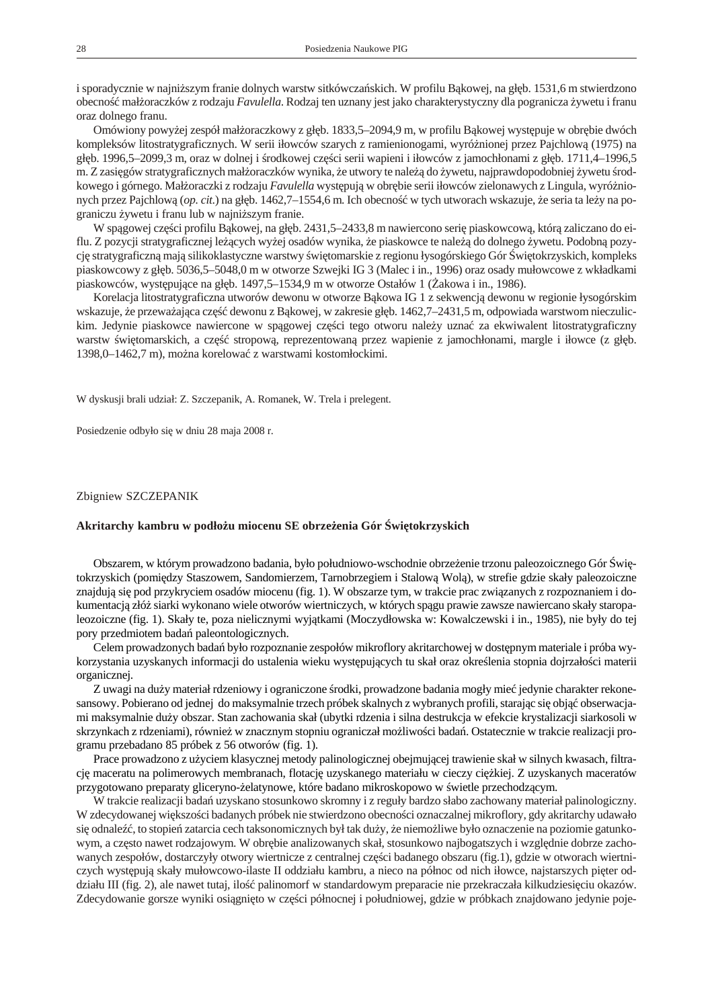<span id="page-25-0"></span>i sporadycznie w najni szym franie dolnych warstw sitkówcza skich. W profilu B kowej, na gł b. 1531,6 m stwierdzono obecno mał oraczków z rodzaju *Favulella*. Rodzaj ten uznany jest jako charakterystyczny dla pogranicza ywetu i franu oraz dolnego franu.

Omówiony powy ej zespół mał oraczkowy z gł b. 1833,5–2094,9 m, w profilu B kowej wyst puje w obr bie dwóch kompleksów litostratygraficznych. W serii iłowców szarych z ramienionogami, wyró nionej przez Pajchlow (1975) na gł b. 1996,5–2099,3 m, oraz w dolnej i rodkowej cz ci serii wapieni i iłowców z jamochłonami z gł b. 1711,4–1996,5 m. Z zasi gów stratygraficznych mał oraczków wynika, e utwory te nale do ywetu, najprawdopodobniej ywetu rodkowego i górnego. Mał oraczki z rodzaju *Favulella* wyst puj w obr bie serii iłowców zielonawych z Lingula, wyró nionych przez Pajchlow (*op. cit.*) na gł b. 1462,7–1554,6 m. Ich obecno w tych utworach wskazuje, e seria ta le y na pograniczu ywetu i franu lub w najni szym franie.

W sp gowej cz ci profilu B kowej, na gł b. 2431,5–2433,8 m nawiercono seri piaskow cow, któr zaliczano do eiflu. Z pozycji stratygraficznej le cych wy ej osadów wynika, e piaskowce te nale do dolnego ywetu. Podobn pozycj stratygraficzn maj silikoklastyczne warstwy wi tomarskie z regionu łysogórskiego Gór wi tokrzyskich, kompleks piaskowcowy z gł b. 5036,5–5048,0 m w otworze Szwejki IG 3 (Malec i in., 1996) oraz osady mułowcowe z wkładkami piaskowców, wyst puj ce na gł b. 1497,5–1534,9 m w otworze Ostałów 1 ( akowa i in., 1986).

Korelacja litostratygraficzna utworów dewonu w otworze B kowa IG 1 z sekwencj dewonu w regionie łysogórskim wskazuje, e przewa aj ca cz dewonu z B kowej, w zakresie gł b. 1462,7–2431,5 m, odpowiada warstwom nieczulickim. Jedynie piaskowce nawiercone w sp gowej cz ci tego otworu nale y uzna za ekwiwalent litostratygraficzny warstw wi to marskich, a cz stropow, reprezentowan przez wapienie z jamochłonami, margle i iłowce (z gł b. 1398,0–1462,7 m), mo na korelowa z warstwa mi kostomłocki mi.

W dyskusji brali udział: Z. Szczepanik, A. Romanek, W. Trela i prelegent.

Posiedzenie odbyło się w dniu 28 maja 2008 r.

### Zbigniew SZCZEPANIK

#### **Akritarchy kambru w podło u miocenu SE obrze enia Gór wi tokrzyskich**

Obszarem, w którym prowadzono badania, było południo wo-wschodnie obrze enie trzonu paleozoicznego Gór witokrzyskich (pomi dzy Staszowem, Sandomierzem, Tarnobrzegiem i Stalow Wol), w strefie gdzie skały paleozoiczne znajduj si pod przykryciem osadów miocenu (fig. 1). W obszarze tym, w trakcie prac zwi zanych z rozpoznaniem i doku mentacj złó siarki wy konano wiele otworów wiertniczych, w których spągu prawie zawsze nawiercano skały staropaleozoiczne (fig. 1). Skały te, poza nielicznymi wyj tkami (Moczydłowska w: Kowalczewski i in., 1985), nie były do tej pory przedmiotem bada paleontologicznych.

Celem prowadzonych bada było rozpoznanie zespołów mikroflory akritarchowej w dost pnym materiale i próba wykorzystania uzyskanych informacji do ustalenia wieku wyst puj cych tu skał oraz okre lenia stopnia dojrzało ci materii organicznej.

Z uwagi na du y materiał rdzeniowy i ograniczone rodki, prowadzone badania mogły mie jedynie charakter rekonesansowy. Pobierano od jednej do mak symalnie trzech próbek skalnych z wybranych profili, staraj c się objęch serwacjami mak symalnie du y obszar. Stan zachowania skał (ubytki rdzenia i silna destrukcja w efekcie krystalizacji siarkosoli w skrzynkach z rdzeniami), równie w znacznym stopniu ograniczał mo liwo ci bada. Ostatecznie w trakcie realizacji programu przebadano 85 próbek z 56 otworów (fig. 1).

Prace prowadzono z u yciem klasycznej metody palinologicznej obejmującej trawienie skał w silnych kwasach, filtracj maceratu na polimerowych membranach, flotacj uzyskanego materiału w cieczy ci kiej. Z uzyskanych maceratów przygotowano preparaty gliceryno- elatynowe, które badano mikroskopowo w wietle przechodz cym.

W trakcie realizacji bada uzyskano stosunkowo skromny i z reguły bardzo słabo zachowany materiał palinologiczny. W zdecydowanej wi kszo ci badanych próbek nie stwierdzono obecno ci oznaczalnej mikroflory, gdy akritarchy udawało si odnale , to stopie zatarcia cech tak sonomicznych był tak du y, e niemo liwe było oznaczenie na poziomie gatunkowym, a cz sto nawet rodzajowym. W obr bie analizowanych skał, stosunkowo najbogatszych i wzgl dnie dobrze zachowanych zespołów, dostarczyły otwory wiertnicze z centralnej cz ci badanego obszaru (fig.1), gdzie w otworach wiertniczych wyst puj skały mułowcowo-ilaste II oddziału kambru, a nieco na północ od nich iłowce, najstarszych pi ter oddziału III (fig. 2), ale nawet tutaj, ilo palinomorf w standardowym preparacie nie przekraczała kilkudziesi ciu okazów. Zdecydowanie gorsze wyniki osi gni to w cz ci północnej i południowej, gdzie w próbkach znajdowano jedynie poje-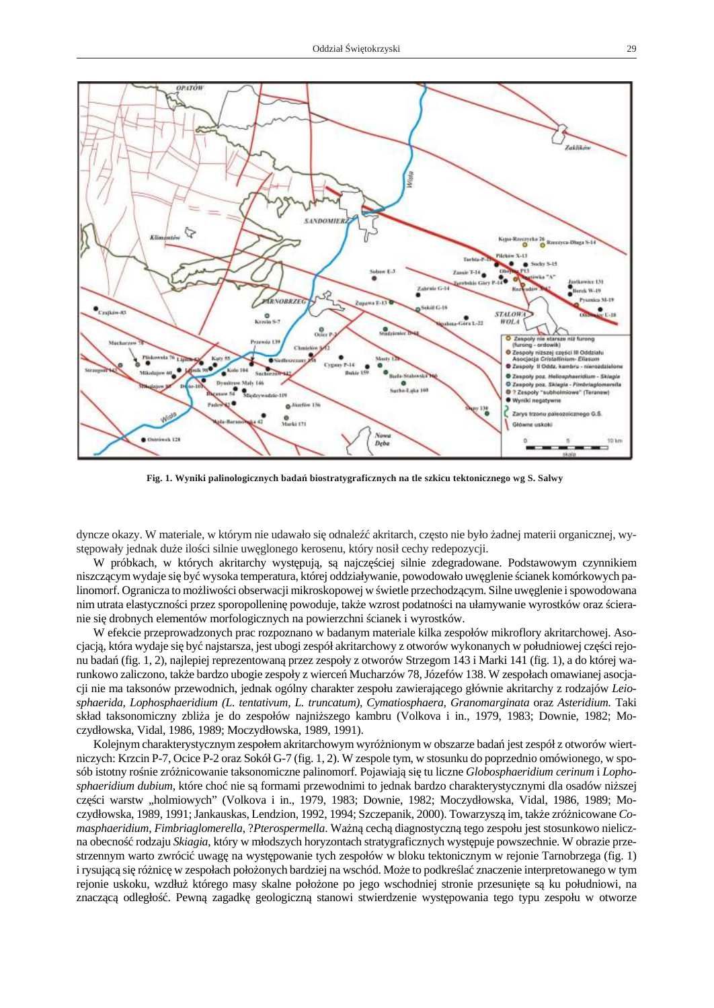

Fig. 1. Wyniki palinologicznych bada biostratygraficznych na tle szkicu tektonicznego wg S. Salwy

dyncze okazy. W materiale, w którym nie udawało si odnale akritarch, cz sto nie było adnej materii organicznej, wyst powały jednak du e ilo ci silnie uw glonego kerosenu, który nosił cechy redepozycji.

W próbkach, w których akritarchy wyst puj, s najcz ciej silnie zdegradowane. Podstawowym czynnikiem niszcz cym wydaje si by wysoka tem peratura, której oddziaływanie, powodowało uw glenie cianek komórkowych palinomorf. Ogranicza to moliwo ci obserwacji mikroskopowej w wietle przechodzęcym. Silne uwę lenie i spowodowana nim utrata elastyczno ci przez sporopollenin powoduje, tak e wzrost podatno ci na ułamywanie wyrostków oraz cieranie się drobnych elementów morfologicznych na powierzchnie cianek i wyrostków.

W efekcie przeprowadzonych prac rozpoznano w badanym materiale kilka zespołów mikroflory akritarchowej. Asocjacj, która wydaje si by najstarsza, jest ubogi zespół akritarchowy z otworów wykonanych w południowej czeriejonu bada (fig. 1, 2), najlepiej reprezentowan przez zespoły z otworów Strzegom 143 i Marki 141 (fig. 1), a do której warunkowo zaliczono, tak e bardzo ubogie zespoły z wierce Mucharzów 78, Józefów 138. W zespołach omawianej asocjacji nie ma taksonów przewodnich, jednak ogólny charakter zespołu zawieraj cego głównie akritarchy z rodzajów *Leiospha e ri da, Lopho spha e ri dium (L. ten ta tivum, L. trun ca tum), Cy ma tio spha e ra, Gra no mar gi na ta* oraz *Aste ri dium.* Taki skład taksonomiczny zbli a je do zespołów najni szego kambru (Volkova i in., 1979, 1983; Downie, 1982; Moczydłowska, Vidal, 1986, 1989; Moczydłowska, 1989, 1991).

Kolejnym charakterystycznym zespołem akritarchowym wyró nionym w obszarze bada jest zespół z otworów wiertniczych: Krzcin P-7, Ocice P-2 oraz Sokół G-7 (fig. 1, 2). W zespole tym, w stosunku do poprzednio omówionego, w sposób istotny ro nie zró nicowanie tak sonomiczne palinomorf. Pojawiaj się tu liczne *Globosphaeridium cerinum* i *Lophosphaeridium dubium*, które cho nie s formami przewodnimi to jednak bardzo charakterystycznymi dla osadów ni szej cz ci warstw "holmiowych" (Volkova i in., 1979, 1983; Downie, 1982; Moczydłowska, Vidal, 1986, 1989; Moczydłowska, 1989, 1991; Jankauskas, Lendzion, 1992, 1994; Szczepanik, 2000). Towarzysz im, tak e zró nicowane *Comasphaeridium, Fimbriaglomerella, ?Pterospermella*. Wa n cech diagnostyczn tego zespołu jest stosunkowo nieliczna obecno rodzaju *Skiagia*, który w młodszych horyzontach stratygraficznych wyst puje powszechnie. W obrazie przestrzennym warto zwróci uwag na wyst powanie tych zespołów w bloku tektonicznym w rejonie Tarnobrzega (fig. 1) i rysujęcą się różnie w ze społach położonych bardziej na wschód. Może to podkre laż znaczenie interpretowanego w tym rejonie uskoku, wzdłu którego masy skalne poło one po jego wschodniej stronie przesuni te s ku południowi, na znacz c odległo . Pewn zagadk geologiczn stanowi stwierdzenie wyst powania tego typu zespołu w otworze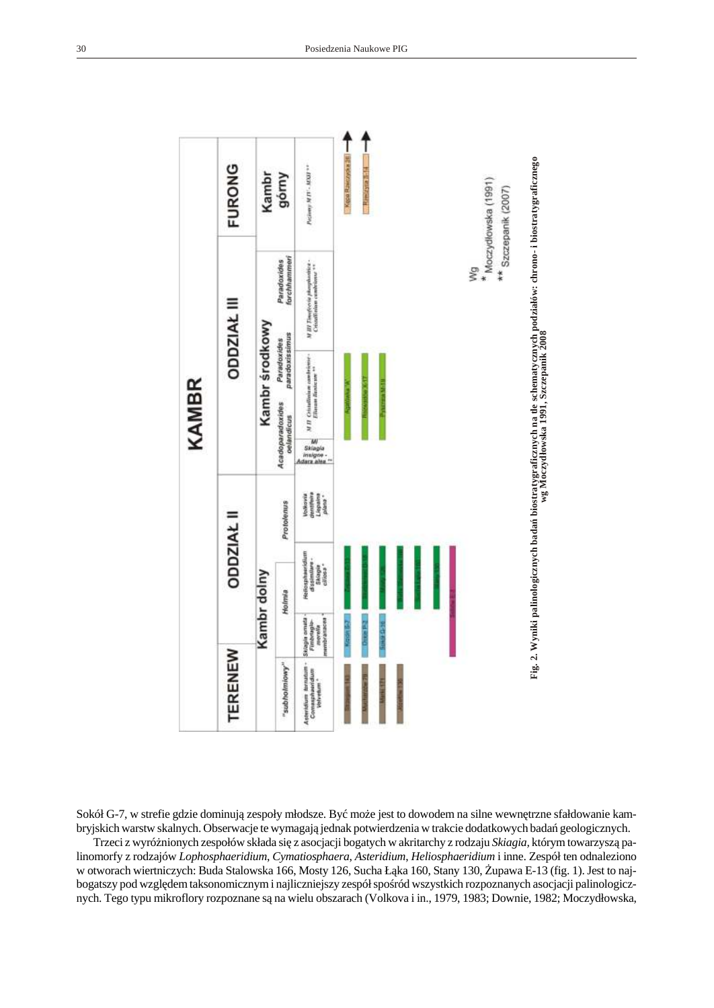

Sokół G-7, w strefie gdzie dominuj ze społy młodsze. By mo e jest to dowodem na silne wewn trzne sfałdowanie kambryjskich warstw skalnych. Obserwacje te wymagaj jednak potwierdzenia w trakcie dodatkowych bada geologicznych.

Trzeci z wyró nionych zespołów składa si z asocjacji bogatych w akritarchy z rodzaju *Skiagia*, którym towarzysz palinomorfy z rodzajów *Lophosphaeridium*, *Cymatiosphaera*, *Asteridium*, *Heliosphaeridium* i inne. Zespół ten odnaleziono w otworach wiertniczych: Buda Stalowska 166, Mosty 126, Sucha Ł ka 160, Stany 130, upawa E-13 (fig. 1). Jest to najbogatszy pod wzgl dem tak sonomicznym i najliczniejszy zespół spo ród wszystkich rozpoznanych asocjacji palinologicznych. Tego typu mikroflory rozpoznane s na wielu obszarach (Volkova i in., 1979, 1983; Downie, 1982; Moczydłowska,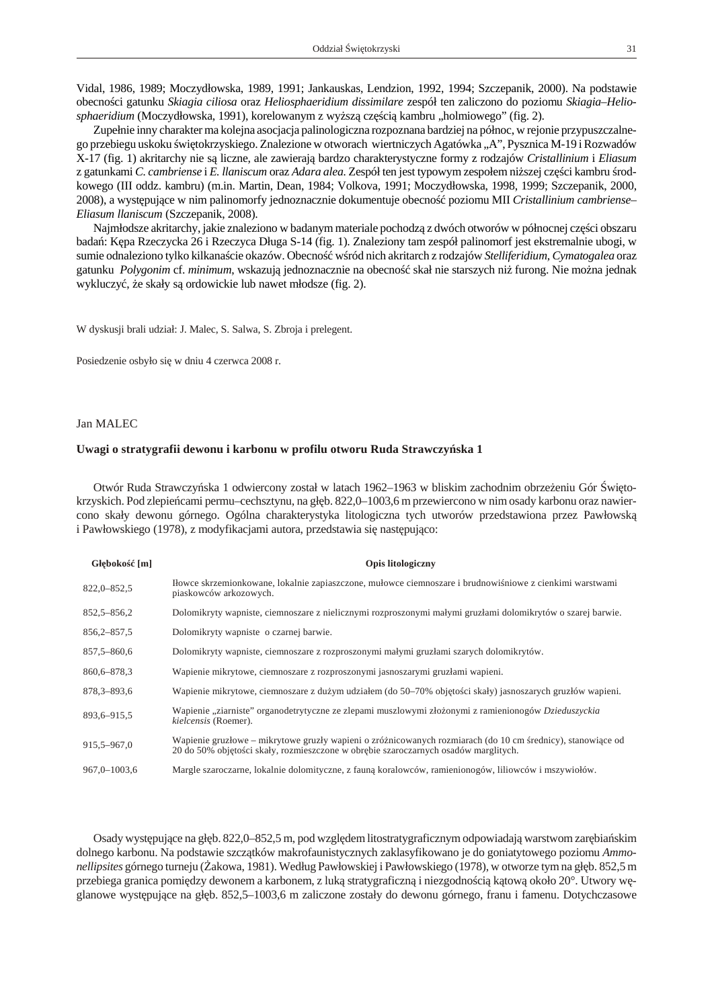<span id="page-28-0"></span>Vidal, 1986, 1989; Moczydłowska, 1989, 1991; Jankauskas, Lendzion, 1992, 1994; Szczepanik, 2000). Na podstawie obecno ci gatunku *Skiagia ciliosa* oraz *Heliosphaeridium dissimilare* zespół ten zaliczono do poziomu *Skiagia–Heliosphaeridium* (Moczydłowska, 1991), korelowanym z wy sz cz ci kambru "holmiowego" (fig. 2).

Zupełnie inny charakter ma kolejna asocjacja palinologiczna rozpoznana bardziej na północ, w rejonie przypuszczalnego przebiegu uskoku wi tokrzyskiego. Znalezione w otworach wiertniczych Agatówka "A", Pysznica M-19 i Rozwadów X-17 (fig. 1) akritarchy nie s liczne, ale zawieraj bardzo charaktery styczne formy z rodzajów *Cristallinium* i *Eliasum* z gatunkami *C. cambriense* i *E. llaniscum* oraz *Adara alea.* Zespół ten jest typowym zespołem ni szej cz ci kambru rodkowego (III oddz. kambru) (m.in. Martin, Dean, 1984; Volkova, 1991; Moczydłowska, 1998, 1999; Szczepanik, 2000, 2008), a wyst puj ce w nim palinomorfy jednoznacznie dokumentuje obecno poziomu MII *Cristallinium cambriense*-*Eliasum llaniscum* (Szczepanik, 2008).

Najmłod sze akritarchy, jakie znaleziono w badanym materiale pochodz z dwóch otworów w północnej czerej obszaru bada: K pa Rzeczycka 26 i Rzeczyca Długa S-14 (fig. 1). Znaleziony tam zespół palinomorf jest ekstremalnie ubogi, w sumie odnaleziono tylko kilkana cie okazów. Obecno w ród nich akritarch z rodzajów Stelliferidium, *Cymatogalea* oraz gatunku *Polygonim* cf. *minimum*, wskazuj jednoznacznie na obecno skał nie starszych ni furong. Nie mo na jednak wy kluczy, e skały s ordowickie lub nawet młodsze (fig. 2).

W dyskusji brali udział: J. Malec, S. Salwa, S. Zbroja i prelegent.

Posiedzenie osbyło się w dniu 4 czerwca 2008 r.

### Jan MALEC

### Uwagi o stratygrafii dewonu i karbonu w profilu otworu Ruda Strawczy ska 1

Otwór Ruda Strawczy ska 1 odwiercony został w latach 1962–1963 w bliskim zachodnim obrze eniu Gór wi tokrzyskich. Pod zlepie cami permu–cechsztynu, na gł b. 822,0–1003,6 m przewiercono w nim osady karbonu oraz nawiercono skały dewonu górnego. Ogólna charakterystyka litologiczna tych utworów przedstawiona przez Pawłowsk i Pawłowskiego (1978), z modyfikacjami autora, przedstawia się następujęco:

| Gł boko [m]      | <b>Opis litologiczny</b>                                                                                                                                                                          |
|------------------|---------------------------------------------------------------------------------------------------------------------------------------------------------------------------------------------------|
| $822,0 - 852,5$  | Itowce skrzemionkowane, lokalnie zapiaszczone, mułowce ciemnoszare i brudnowi niowe z cienkimi warstwami<br>piaskowców arkozowych.                                                                |
| $852,5 - 856,2$  | Dolomikryty wapniste, ciemnoszare z nielicznymi rozproszonymi małymi gruzłami dolomikrytów o szarej barwie.                                                                                       |
| $856,2 - 857,5$  | Dolomikryty wapniste o czarnej barwie.                                                                                                                                                            |
| 857, 5 - 860, 6  | Dolomikryty wapniste, ciemnoszare z rozproszonymi małymi gruzłami szarych dolomikrytów.                                                                                                           |
| 860, 6-878, 3    | Wapienie mikrytowe, ciemnoszare z rozproszonymi jasnoszarymi gruzłami wapieni.                                                                                                                    |
| 878, 3 - 893, 6  | Wapienie mikrytowe, ciemnoszare z du ym udziałem (do 50–70% obj to ci skały) jasnoszarych gruzłów wapieni.                                                                                        |
| 893,6-915,5      | Wapienie "ziarniste" organodetrytyczne ze zlepami muszlowymi zło onymi z ramienionogów Dzieduszyckia<br>kielcensis (Roemer).                                                                      |
| 915, 5 - 967, 0  | Wapienie gruzłowe – mikrytowe gruzły wapieni o zró nicowanych rozmiarach (do 10 cm rednicy), stanowi ce od<br>20 do 50% obj to ci skały, rozmieszczone w obr bie szaroczarnych osadów marglitych. |
| $967.0 - 1003.6$ | Margle szaroczarne, lokalnie dolomityczne, z faun koralowców, ramienionogów, liliowców i mszywiołów.                                                                                              |

Osady wyst puj ce na gł b. 822,0–852,5 m, pod wzgl dem litostraty graficznym odpowiadaj war stwom zar bia skim dolnego karbonu. Na podstawie szcz tków makrofaunistycznych zaklasyfikowano je do goniatytowego poziomu *Ammonellipsites* górnego turneju (akowa, 1981). Według Pawłowskiej i Pawłowskiego (1978), w otworze tym na gł b. 852,5 m przebiega granica pomiędzy dewonem a karbonem, z luką stratygraficzną i niezgodno cią kątową około 20°. Utwory w glanowe wyst puj ce na gł b. 852,5–1003,6 m zaliczone zostały do dewonu górnego, franu i famenu. Dotychczasowe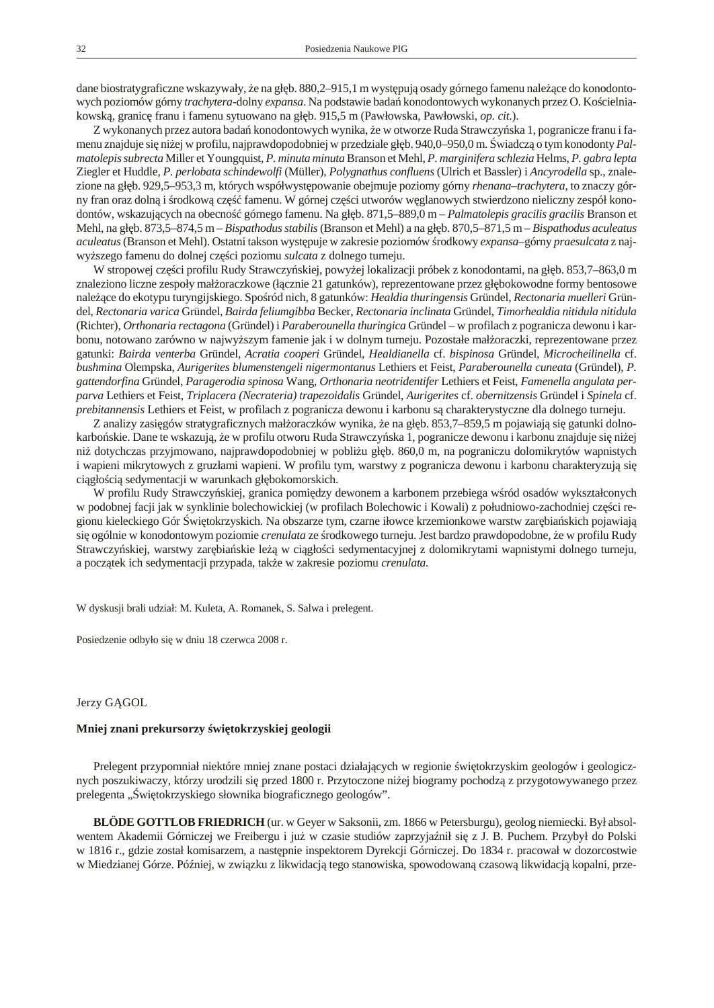<span id="page-29-0"></span>dane biostraty graficzne wskazy wały, e na gł b. 880,2–915,1 m wy st puj osady górnego famenu nale ce do konodontowych poziomów górny *trachytera-*dolny *expansa*. Na podstawie bada konodontowych wykonanych przez O. Ko cielniakowsk, granic franu i famenu sytuowano na gł b. 915,5 m (Pawłowska, Pawłowski, *op. cit.*).

Z wykonanych przez autora bada konodontowych wynika, e w otworze Ruda Strawczy ska 1, pogranicze franu i famenu znajduje si ni ej w profilu, najprawdopodobniej w przedziale gł b. 940,0–950,0 m. wiadcz o tym konodonty Pal*ma to le pis su brecta* Mil ler et Yo un gqu ist, *P. mi nu ta mi nu ta* Bran son et Mehl, *P. mar gi ni fe ra schle zia* Helms, *P. ga bra lep ta* Ziegler et Huddle, P. perlobata schindewolfi (Müller), Polygnathus confluens (Ulrich et Bassler) i Ancyrodella sp., znalezione na gł b. 929,5–953,3 m, których współwyst powanie obejmuje poziomy górny *rhenana-trachytera*, to znaczy górny fran oraz dolną i rodkowęczą famenu. W górnej czę ci utworów w glanowych stwierdzono nieliczny zespół konodontów, wskazuj cych na obecno górnego famenu. Na gł b. 871,5–889,0 m – *Palmatolepis gracilis gracilis* Branson et Mehl, na gł b. 873,5–874,5 m – *Bispathodus stabilis* (Branson et Mehl) a na gł b. 870,5–871,5 m – *Bispathodus aculeatus acu leatus* (Branson et Mehl). Ostatni takson wyst puje w zakresie poziomów rodkowy expansa-górny praesulcata z najwy szego famenu do dolnej cz ci poziomu *sulcata* z dolnego turneju.

W stropowej czę i profilu Rudy Strawczy skiej, powy ej lokalizacji próbek z konodontami, na głęb. 853,7–863,0 m znaleziono liczne zespoły mał oraczkowe (ł cznie 21 gatunków), reprezentowane przez gł bokowodne formy bentosowe na le ce do eko typu turyn gijskiego. Spo ród nich, 8 gatun ków: *He aldia thuringensis* Gründel, *Rectonaria muelleri* Gründel, Rectonaria varica Gründel, Bairda feliumgibba Becker, Rectonaria inclinata Gründel, Timorhealdia nitidula nitidula (Richter), *Orthonaria rectagona* (Gründel) i *Paraberounella thuringica* Gründel – w profilach z pogranicza dewonu i karbonu, notowano zarówno w najwy szym famenie jak i w dolnym turneju. Pozostałe mał oraczki, reprezentowane przez gatunki: Bairda venterba Gründel, Acratia cooperi Gründel, Healdianella cf. bispinosa Gründel, Microcheilinella cf. *bush mi na* Olemp ska, *Au ri ge ri tes blu men sten ge li ni ger mon ta nus* Let hiers et Fe ist, *Pa ra be ro unel la cu ne ata* (Gr ün del), *P. gat ten dor fi na* Grü ndel, *Pa ra ge ro dia spi no sa* Wang, *Or tho na ria neo tri den ti fer* Let hiers et Fe ist, *Fa me nel la an gu la ta per parva* Let hiers et Fe ist, *Tri pla ce ra (Necra te ria) tra pe zo ida lis* Grü nd el, *Au ri ge ri tes* cf. *ober nit zen sis* Grün del i *Spi ne la* cf. prebitannensis Lethiers et Feist, w profilach z pogranicza dewonu i karbonu s charakterystyczne dla dolnego turneju.

Z analizy zasi gów stratygraficznych mał oraczków wynika, e na gł b. 853,7–859,5 m pojawiaj się gatunki dolnokarbo skie. Dane te wskazuj, e w profilu otworu Ruda Strawczy ska 1, pogranicze dewonu i karbonu znajduje si ni ej ni dotych czas przyjmowano, najprawdopodobniej w pobli u gł b. 860,0 m, na pograniczu dolomikrytów wapnistych i wapieni mikrytowych z gruzłami wapieni. W profilu tym, warstwy z pogranicza dewonu i karbonu charakteryzuj si ci gło ci sedymentacji w warun kach gł boko morskich.

W profilu Rudy Strawczy skiej, granica pomiędzy dewonem a karbonem przebiega w ród osadów wykształconych w podobnej facji jak w synklinie bolechowickiej (w profilach Bolechowic i Kowali) z południowo-zachodniej cz ci regionu kieleckiego Gór wi tokrzyskich. Na obszarze tym, czarne iłowce krzemionkowe warstw zar bia skich pojawiaj si ogólnie w konodontowym poziomie *crenulata* ze rodkowego turneju. Jest bardzo prawdopodobne, e w profilu Rudy Strawczy skiej, warstwy zar bia skie le w ci gło ci sedymentacyjnej z dolomikrytami wapnistymi dolnego turneju, a pocz tek ich sedymentacji przypada, tak e w zakresie poziomu *crenulata*.

W dyskusji brali udział: M. Kuleta, A. Romanek, S. Salwa i prelegent.

Posiedzenie odbyło się w dniu 18 czerwca 2008 r.

#### Jerzy G GOL

## **Mniej znani prekursorzy wi tokrzyskiej geologii**

Pre legent przy pomniał niektóre mniej znane postaci działaj cych w regionie wi tokrzyskim geologów i geologicznych poszukiwaczy, którzy urodzili się przed 1800 r. Przytoczone niej biogramy pochodzą z przygotowywanego przez pre legenta "wi to krzyskiego słownika biograficznego geologów".

**BLÖDE GOTTLOB FRIEDRICH** (ur. w Geyer w Saksonii, zm. 1866 w Petersburgu), geolog niemiecki. Był absolwentem Akademii Górniczej we Freibergu i już w czasie studiów zaprzyja nił się z J. B. Puchem. Przybył do Polski w 1816 r., gdzie został komisarzem, a nast pnie inspektorem Dyrekcji Górniczej. Do 1834 r. pracował w dozorcostwie w Miedzianej Górze. Pó niej, w zwi zku z likwidacj tego stanowiska, spowodowan czasow likwidacj kopalni, prze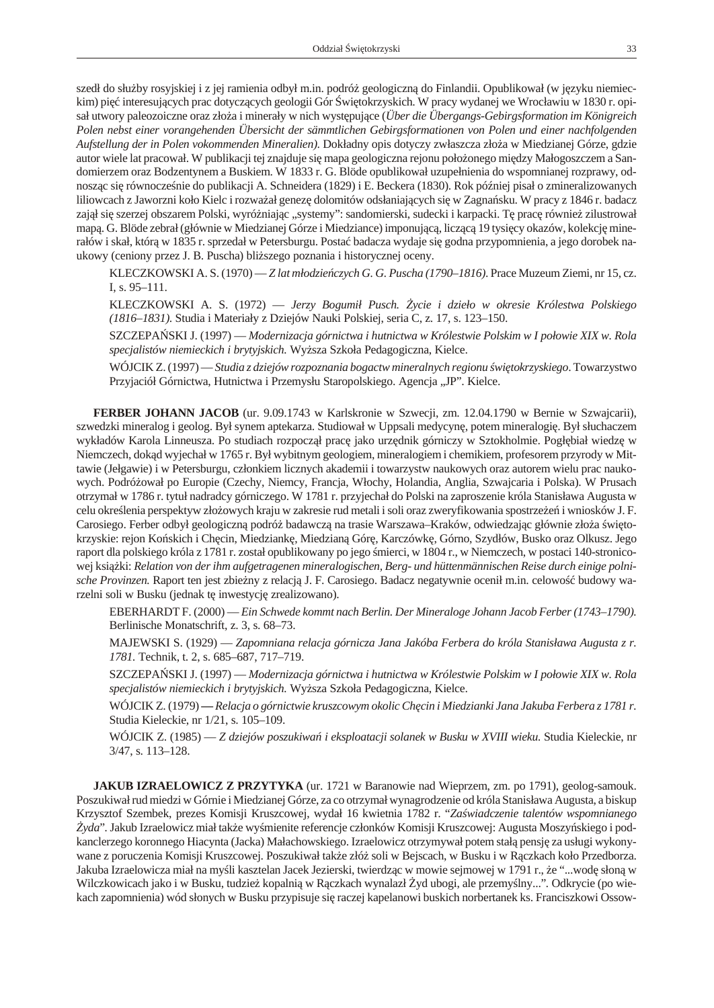szedł do słu by rosyjskiej i z jej ramienia odbył m.in. podró geologiczn do Finlandii. Opublikował (w j zyku niemieckim) pi interesuj cych prac dotycz cych geologii Gór wi tokrzyskich. W pracy wydanej we Wrocławiu w 1830 r. opisał utwory paleozoiczne oraz zło a i minerały w nich wyst puj ce (*Über die Übergangs-Gebirgs formation im Königreich* Polen nebst einer vorangehenden Übersicht der sämmtlichen Gebirgsformationen von Polen und einer nachfolgenden *Aufstellung der in Polen vokommenden Mineralien*). Dokładny opis dotyczy zwłaszcza zło a w Miedzianej Górze, gdzie autor wiele lat pracował. W publikacji tej znajduje si mapa geologiczna rejonu poło onego mię dzy Małogoszczem a Sandomierzem oraz Bodzentynem a Buskiem. W 1833 r. G. Blöde opublikował uzupełnienia do wspomnianej rozprawy, odnosz c si równocze nie do publikacji A. Schneidera (1829) i E. Beckera (1830). Rok pó niej pisał o zmineralizowanych liliowcach z Jaworzni koło Kielc i rozwa ał genez dolomitów odsłaniaj cych si w Zagna sku. W pracy z 1846 r. badacz zaj ł si szerzej obszarem Polski, wyró niając "systemy": sandomierski, sudecki i karpacki. Tę prac równie zilustrował map, G. Blöde zebrał (głównie w Miedzianej Górze i Miedziance) imponującą, liczącą 19 tysiący okazów, kolekcją minerałów i skał, któr w 1835 r. sprzedał w Petersburgu. Posta badacza wydaje si godna przypomnienia, a jego dorobek naukowy (ceniony przez J. B. Puscha) bli szego poznania i historycznej oceny.

KLECZKOWSKI A. S. (1970) — *Z lat młodzie czych G. G. Puscha (1790–1816)*. Prace Muzeum Ziemi, nr 15, cz. I, s. 95–111.

KLECZKOWSKI A. S. (1972) — *Jerzy Bogumił Pusch. ycie i dzieło w okresie Królestwa Polskiego (1816–1831)*. Studia i Materiały z Dziejów Nauki Polskiej, seria C, z. 17, s. 123–150.

SZCZEPA SKI J. (1997) — *Modernizacja górnictwa i hutnictwa w Królestwie Polskim w I połowie XIX w. Rola* specjalistów niemieckich i brytyjskich. Wy sza Szkoła Pedagogiczna, Kielce.

WÓJCIK Z. (1997) — *Studia z dziejów rozpoznania bogactw mineralnych regionu wi tokrzyskiego.* Towarzystwo Przyjaciół Górnictwa, Hutnictwa i Przemysłu Staropolskiego. Agencja "JP". Kielce.

**FERBER JOHANN JACOB** (ur. 9.09.1743 w Karlskronie w Szwecji, zm. 12.04.1790 w Bernie w Szwajcarii), szwedzki mineralog i geolog. Był synem aptekarza. Studiował w Uppsali medycyn, potem mineralogi. Był słuchaczem wykładów Karola Linneusza. Po studiach rozpocz ł prac jako urz dnik górniczy w Sztokholmie. Pogł biał wiedz w Niemczech, dok d wyjechał w 1765 r. Był wybitnym geologiem, mineralogiem i chemikiem, profesorem przyrody w Mittawie (Jełgawie) i w Petersburgu, członkiem licznych akademii i towarzystw naukowych oraz autorem wielu prac naukowych. Podró ował po Europie (Czechy, Niemcy, Francja, Włochy, Holandia, Anglia, Szwajcaria i Polska). W Prusach otrzymał w 1786 r. tytuł nadradcy górniczego. W 1781 r. przyjechał do Polski na zaproszenie króla Stanisława Augusta w celu okre lenia perspektyw zło owych kraju w zakresie rud metali i soli oraz zweryfikowania spostrze e i wniosków J. F. Carosiego. Ferber odbył geologiczn podró badawcz na trasie Warszawa–Kraków, odwiedzaj c głównie zło a wi tokrzyskie: rejon Ko skich i Ch cin, Miedziank, Miedzian Gór, Karczówk, Górno, Szydłów, Busko oraz Olkusz. Jego raport dla polskiego króla z 1781 r. został opublikowany po jego mierci, w 1804 r., w Niemczech, w postaci 140-stronicowej ksi ki: *Relation von der ihm aufgetragenen mineralogischen, Berg- und hüttenmännischen Reise durch einige polnische Provinzen*. Raport ten jest zbie ny z relacj J. F. Carosiego. Badacz negatywnie ocenił m.in. celowo budowy warzelni soli w Busku (jednak t inwestycj zrealizowano).

EBERHARDT F. (2000) — *Ein Schwe de kommt nach Ber lin. Der Mi ne ra lo ge Jo hann Ja cob Fer ber (1743–1790).* Berlinische Monatschrift, z. 3, s. 68–73.

MAJEWSKI S. (1929) — Zapomniana relacja górnicza Jana Jakóba Ferbera do króla Stanisława Augusta z r. 1781. Technik, t. 2, s. 685-687, 717-719.

SZCZEPA SKI J. (1997) — *Modernizacja górnictwa i hutnictwa w Królestwie Polskim w I połowie XIX w. Rola* specjalistów niemieckich i brytyjskich. Wy sza Szkoła Pedagogiczna, Kielce.

WÓJCIK Z. (1979) — *Relacja o górnictwie kruszcowym okolic Ch*ein i Miedzianki Jana Jakuba Ferbera z 1781 r. Studia Kieleckie, nr 1/21, s. 105-109.

WÓJCIK Z. (1985) — *Z dziejów poszukiwa i eksploatacji solanek w Busku w XVIII wieku*. Studia Kieleckie, nr 3/47, s. 113–128.

**JAKUB IZRAELOWICZ Z PRZYTYKA** (ur. 1721 w Baranowie nad Wieprzem, zm. po 1791), geolog-samouk. Poszukiwał rud miedzi w Górnie i Miedzianej Górze, za co otrzymał wynagrodzenie od króla Stanisława Augusta, a biskup Krzysztof Szembek, prezes Komisji Kruszcowej, wydał 16 kwietnia 1782 r. "Za wiadczenie talentów wspomnianego *yda*". Jakub Izraelowicz miał tak e wy mienite referencje członków Komisji Kruszcowej: Augusta Moszy skiego i podkanc lerzego koronnego Hiacynta (Jacka) Małachowskiego. Izraelowicz otrzymywał potem stał pensj za usługi wykonywane z poruczenia Komisji Kruszcowej. Poszukiwał tak e złó soli w Bejscach, w Busku i w R czkach koło Przedborza. Jakuba Izraelowicza miał na my li kasztelan Jacek Jezierski, twierdz c w mowie sejmowej w 1791 r., e "...wod słon w Wilcz kowicach jako i w Busku, tudzie kopalni w R czkach wynalazł yd ubogi, ale przemy lny...". Odkrycie (po wiekach zapomnienia) wód słonych w Busku przypisuje si raczej kapelanowi buskich norbertanek ks. Franciszkowi Ossow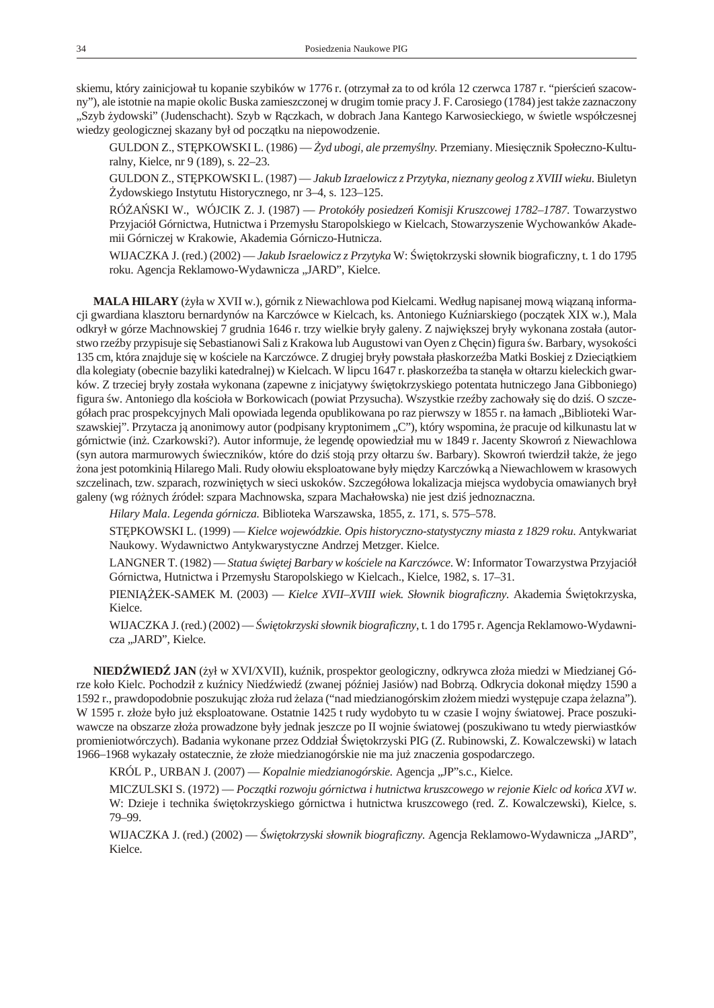skiemu, który zainicjował tu kopanie szybików w 1776 r. (otrzymał za to od króla 12 czerwca 1787 r. "pier cie szacowny"), ale istotnie na mapie okolic Buska zamieszczonej w drugim tomie pracy J. F. Carosiego (1784) jest tak e zaznaczony "Szyb ydowski" (Judenschacht). Szyb w R czkach, w dobrach Jana Kantego Karwosieckiego, w wietle współczesnej wiedzy geologicznej skazany był od pocz tku na niepowodzenie.

GULDON Z., ST PKOWSKI L. (1986) — *yd ubogi, ale przemy lny*. Przemiany. Miesi cznik Społeczno-Kulturalny, Kielce, nr 9 (189), s. 22–23.

GULDON Z., ST PKOWSKI L. (1987) — *Jakub Izraelowicz z Przytyka, nieznany geolog z XVIII wieku*. Biuletyn ydowskiego Instytutu Historycznego, nr 3–4, s. 123–125.

RÓ A SKI W., WÓJCIK Z. J. (1987) — *Protokóły posiedze Komisji Kruszcowej 1782–1787*. Towarzystwo Przyjaciół Górnictwa, Hutnictwa i Przemysłu Staropolskiego w Kielcach, Stowarzyszenie Wychowanków Akademii Górniczej w Krakowie, Akademia Górniczo-Hutnicza.

WIJACZKA J. (red.) (2002) — *Jakub Israelowicz z Przytyka* W: wi tokrzyski słownik biograficzny, t. 1 do 1795 roku. Agencja Reklamowo-Wydawnicza "JARD", Kielce.

**MALA HILARY** (*yła* w XVII w.), górnik z Niewachlowa pod Kielcami. Według napisanej mow wi zan informacji gwardiana klasztoru bernardynów na Karczówce w Kielcach, ks. Antoniego Ku niarskiego (pocz tek XIX w.), Mala odkrył w górze Machnowskiej 7 grudnia 1646 r. trzy wielkie bryły galeny. Z najwi kszej bryły wykonana została (autorstwo rze by przypisuje si Sebastianowi Sali z Krakowa lub Augustowi van Oyen z Chein) figura w. Barbary, wysoko ci 135 cm, która znajduje się w ko ciele na Karczówce. Z drugiej bryły powstała płaskorze ba Matki Boskiej z Dzieci tkiem dla kolegiaty (obecnie bazyliki katedralnej) w Kielcach. W lipcu 1647 r. płaskorze ba ta stan ła w ołtarzu kieleckich gwarków. Z trzeciej bryły została wykonana (zapewne z inicjatywy wi tokrzyskiego potentata hutniczego Jana Gibboniego) figura w. Antoniego dla ko cioła w Borkowicach (powiat Przysucha). Wszystkie rze by zachowały się do dzią. O szczegółach prac prospekcyjnych Mali opowiada legenda opublikowana po raz pierwszy w 1855 r. na łamach "Biblioteki Warszawskiej". Przytacza ją anonimowy autor (podpisany kryptonimem "C"), który wspomina, e pracuje od kilkunastu lat w górnictwie (in . Czarkowski?). Autor informuje, e legend opowiedział mu w 1849 r. Jacenty Skowro z Niewachlowa (syn autora marmurowych wieczników, które do dzi stoj przy ołtarzu w. Barbary). Skowro twierdził tak e, e jego ona jest potomkini Hilarego Mali. Rudy ołowiu eksploatowane były między Karczówką a Niewachlowem w krasowych szczelinach, tzw. szparach, rozwini tych w sieci uskoków. Szczegółowa lokalizacja miejsca wydobycia omawianych brył galeny (wg ró nych ródeł: szpara Machnowska, szpara Machałowska) nie jest dzi jednoznaczna.

*Hi la ry Mala*. *Le gen da gór ni cza.* Bi blio te ka War szaw ska, 1855, z. 171, s. 575–578.

ST PKOWSKI L. (1999) — *Kielce wojewódzkie. Opis historyczno-statystyczny miasta z 1829 roku*. Antykwariat Naukowy. Wydawnictwo Antykwarystyczne Andrzej Metzger. Kielce.

LANGNER T. (1982) — *Statua wi tej Barbary w ko ciele na Karczówce*. W: Informator Towarzystwa Przyjaciół Górnictwa, Hutnictwa i Przemysłu Staropolskiego w Kielcach., Kielce, 1982, s. 17-31.

PIENI EK-SAMEK M. (2003) — *Kielce XVII–XVIII wiek. Słownik biograficzny*. Akademia wi tokrzyska, Kielce.

WIJACZKA J. (red.) (2002) — *wi tokrzyski słownik biograficzny*, t. 1 do 1795 r. Agencja Reklamowo-Wydawnicza "JARD", Kielce.

**NIED WIED JAN** (*ytw XVI/XVII)*, ku nik, prospektor geologiczny, odkrywca zło a miedzi w Miedzianej Górze koło Kielc. Pochodził z ku nicy Nied wied (zwanej pó niej Jasiów) nad Bobrz. Odkrycia dokonał mię dzy 1590 a 1592 r., prawdopodobnie poszukuj c zło a rud elaza ("nad miedzianogórskim zło em miedzi wyst puje czapa elazna"). W 1595 r. zło e było ju eksploatowane. Ostatnie 1425 t rudy wydobyto tu w czasie I wojny wiatowej. Prace poszukiwawcze na obszarze zło a prowadzone były jednak jeszcze po II wojnie wiatowej (poszukiwano tu wtedy pierwiastków promieniotwórczych). Badania wykonane przez Oddział wi tokrzyski PIG (Z. Rubinowski, Z. Kowalczewski) w latach 1966–1968 wykazały ostatecznie, e zło e miedzianogórskie nie ma ju znaczenia gospodarczego.

KRÓL P., URBAN J. (2007) — *Kopalnie miedzianogórskie*. Agencja "JP"s.c., Kielce.

MICZULSKI S. (1972) — *Pocz, tki rozwoju górnictwa i hutnictwa kruszcowego w rejonie Kielc od ko ca XVI w*. W: Dzieje i technika wi tokrzyskiego górnictwa i hutnictwa kruszcowego (red. Z. Kowalczewski), Kielce, s. 79–99.

WIJACZKA J. (red.) (2002) — *wi tokrzyski słownik biograficzny*. Agencja Reklamowo-Wydawnicza "JARD", Kielce.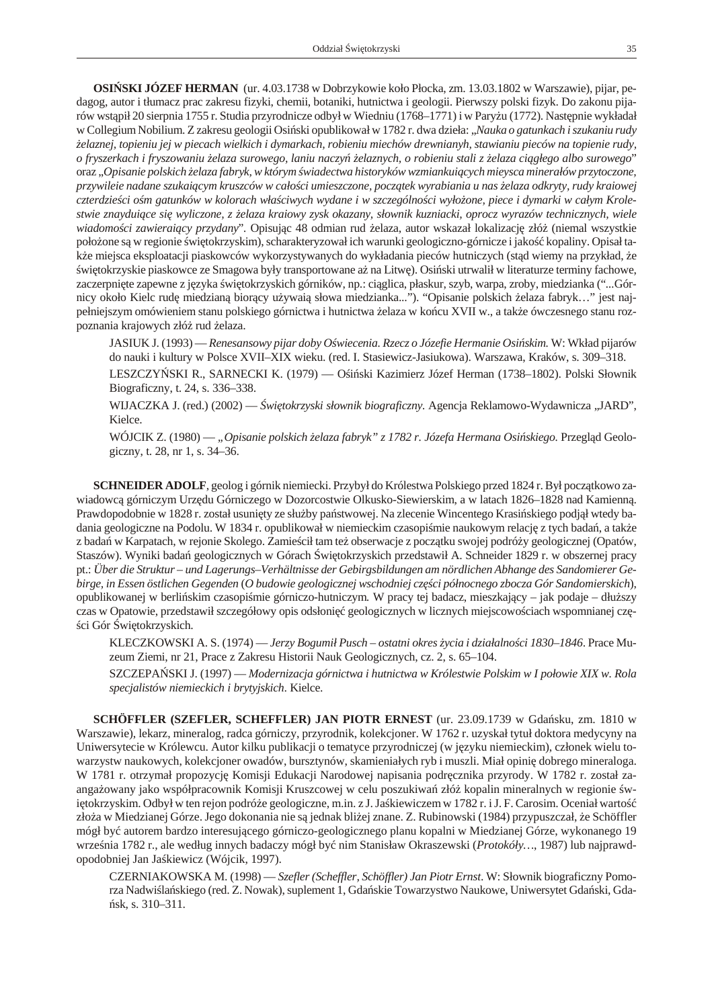**OSI SKI JÓZEF HERMAN** (ur. 4.03.1738 w Dobrzy kowie koło Płocka, zm. 13.03.1802 w Warszawie), pijar, pedagog, autor i tłumacz prac zakresu fizyki, chemii, botaniki, hutnictwa i geologii. Pierwszy polski fizyk. Do zakonu pijarów wst pił 20 sierpnia 1755 r. Studia przyrodnicze odbył w Wiedniu (1768–1771) i w Pary u (1772). Następnie wykładał w Collegium Nobilium. Z zakresu geologii Osi ski opublikował w 1782 r. dwa dzieła: "*Nauka o gatunkach i szukaniu rudy żelaz nej, to pie niu jej w pie cach wiel kich i dy mar kach, ro bie niu mie chów drew nia nyh, sta wia niu pie ców na to pie nie rudy, o fry szer kach i fry szo wa niu żela za su ro we go, la niu na czyń żela znych, o ro bie niu sta li z żela za ciągłego albo su ro we go*" oraz "Opisanie polskich elaza fabryk, w którym wiadectwa historyków wzmiankui cych mieysca minerałów przytoczone, przywileie nadane szukai cym kruszców w cało ci umieszczone, pocz tek wyrabiania u nas elaza odkryty, rudy kraiowej czterdzie ci o m gatunków w kolorach wła ciwych wydane i w szczególno ci wyło one, piece i dymarki w całym Krole*stwie znay duiące się wy li czo ne, z żela za kra io wy zysk oka za ny, słow nik ku zniac ki, oprocz wy ra zów tech nicz nych, wie le* wiadomo ci zawierai cy przydany". Opisuj c 48 odmian rud elaza, autor wskazał lokalizacj złó (niemal wszystkie poło one s w regionie wi tokrzyskim), scharak tery zował ich warunki geologiczno-górnicze i jako kopaliny. Opisał tak e miejsca eksploatacji piaskowców wykorzystywanych do wykładania pieców hutniczych (st d wiemy na przykład, e wi to krzyskie pia skowce ze Smagowa były transportowane a na Litw). Osi ski utrwalił w literaturze terminy fachowe, zaczerpni te zapewne z j zyka wi tokrzyskich górników, np.: ci glica, płaskur, szyb, warpa, zroby, miedzianka ("...Górnicy około Kielc rud miedzian bior cy u ywai słowa miedzianka..."). "Opisanie polskich elaza fabryk..." jest najpełnie jszym omówieniem stanu polskiego górnictwa i hutnictwa elaza w ko cu XVII w., a tak e ówczesnego stanu rozpoznania krajowych złó rud elaza.

JASIUK J. (1993) — *Renesansowy pijar doby O wiecenia. Rzecz o Józefie Hermanie Osi skim.* W: Wkład pijarów do nauki i kultury w Polsce XVII–XIX wieku. (red. I. Stasiewicz-Jasiukowa). Warszawa, Kraków, s. 309–318.

LESZCZY SKI R., SARNECKI K. (1979) — O i ski Kazimierz Józef Herman (1738–1802). Polski Słownik Biograficzny, t. 24, s. 336–338.

WIJACZKA J. (red.) (2002) — *wi tokrzyski słownik biograficzny*. Agencja Reklamowo-Wydawnicza "JARD", Kielce.

WÓJCIK Z. (1980) — "*Opisanie polskich elaza fabryk" z 1782 r. Józefa Hermana Osi skiego.* Przegl d Geologiczny, t. 28, nr 1, s. 34–36.

**SCHNEIDER ADOLF**, geolog i górnik niemiecki. Przybył do Królestwa Polskiego przed 1824 r. Był pocz tkowo zawiadowc górniczym Urz du Górniczego w Dozorcostwie Olkusko-Siewierskim, a w latach 1826–1828 nad Kamienn. Praw do podobnie w 1828 r. został usuni ty ze słu by pa stwo wej. Na zlecenie Wincentego Krasi skiego podjł wtedy badania geologiczne na Podolu. W 1834 r. opublikował w niemieckim czasopi mie naukowym relacj z tych bada, a tak e z bada w Karpatach, w rejonie Skolego. Zamie cił tam te obserwacje z pocz tku swojej podró y geologicznej (Opatów, Staszów). Wyniki bada geologicznych w Górach wi tokrzyskich przedstawił A. Schneider 1829 r. w obszernej pracy pt.: *Über die Struktur – und Lagerungs–Verhältnisse der Gebirgsbildungen am nördlichen Abhange des Sandomierer Gebir ge, in Es sen ös tlichen Ge gen den* (*O bu do wie geo lo gicz nej wschod niej czę ści północ ne go zbo cza Gór San do mier skich*), opublikowanej w berli skim czasopi mie górniczo-hutniczym. W pracy tej badacz, mieszkaj cy – jak podaje – dłu szy czas w Opatowie, przedstawił szczegółowy opis odsłoni geologicznych w licznych miejscowo ciach wspomnianej cz ci Gór wi tokrzyskich.

KLECZKOWSKI A. S. (1974) — *Jerzy Bogumił Pusch – ostatni okres* ycia i działalno ci 1830–1846. Prace Muzeum Ziemi, nr 21, Prace z Zakresu Historii Nauk Geologicznych, cz. 2, s. 65–104.

SZCZEPA SKI J. (1997) — *Modernizacja górnictwa i hutnictwa w Królestwie Polskim w I połowie XIX w. Rola* specjalistów niemieckich i brytyjskich. Kielce.

**SCHÖFFLER (SZEFLER, SCHEFFLER) JAN PIOTR ERNEST** (ur. 23.09.1739 w Gda sku, zm. 1810 w Warszawie), lekarz, mineralog, radca górniczy, przyrodnik, kolekcjoner. W 1762 r. uzyskał tytuł doktora medycyny na Uniwersytecie w Królewcu. Autor kilku publikacji o tematyce przyrodniczej (w j zyku niemieckim), członek wielu towar zystw naukowych, kolekcjoner owadów, bursztynów, skamieniałych ryb i muszli. Miał opini dobrego mineraloga. W 1781 r. otrzymał propozycj Komisji Edukacji Narodowej napisania podrę cznika przyrody. W 1782 r. został zaanga owany jako współpracownik Komisji Kruszcowej w celu poszukiwa złó kopalin mineralnych w regionie wi tokrzyskim. Odbył w ten rejon podró e geologiczne, m.in. z J. Ja kiewiczem w 1782 r. i J. F. Carosim. Oceniał warto zło a w Miedzianej Górze. Jego dokonania nie s jednak bli ej znane. Z. Rubinowski (1984) przypuszczał, e Schöffler mógł by autorem bardzo interesuj cego górniczo-geologicznego planu kopalni w Miedzianej Górze, wykonanego 19 wrze nia 1782 r., ale według innych badaczy mógł by nim Stanisław Okraszewski (*Protokóły*..., 1987) lub najprawdopodobniej Jan Ja kiewicz (Wójcik, 1997).

CZERNIAKOWSKA M. (1998) — *Szefler (Scheffler, Schöffler) Jan Piotr Ernst*. W: Słownik biograficzny Pomorza Nadwi la skiego (red. Z. Nowak), suplement 1, Gda skie Towarzy stwo Naukowe, Uniwersy tet Gda ski, Gdask, s. 310–311.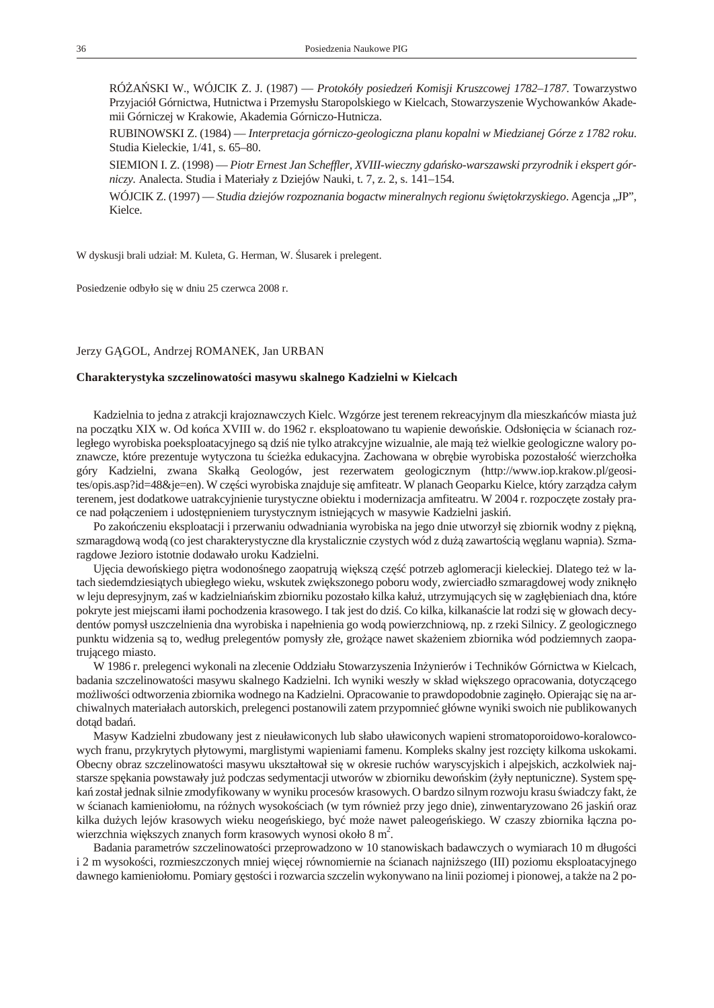<span id="page-33-0"></span>RÓ A SKI W., WÓJCIK Z. J. (1987) — *Protokóły posiedze Komisji Kruszcowej 1782–1787*. Towarzystwo Przyjaciół Górnictwa, Hutnictwa i Przemysłu Staropolskiego w Kielcach, Stowarzyszenie Wychowanków Akademii Górniczej w Krakowie, Akademia Górniczo-Hutnicza.

RUBINOWSKI Z. (1984) — *Interpretacja górniczo-geologiczna planu kopalni w Miedzianej Górze z 1782 roku*. Studia Kieleckie, 1/41, s. 65-80.

SIEMION I. Z. (1998) — *Piotr Ernest Jan Scheffler, XVIII-wieczny gda sko-warszawski przyrodnik i ekspert górniczy.* Analecta. Studia i Materiały z Dziejów Nauki, t. 7, z. 2, s. 141–154.

WÓJCIK Z. (1997) — *Stu dia dzie jów roz po zna nia bo gactw mi ne ral nych re gio nu świę to krzy skie go*. Agen cja "JP", Kielce.

W dyskusji brali udział: M. Kuleta, G. Herman, W. lusarek i prelegent.

Posiedzenie odbyło się w dniu 25 czerwca 2008 r.

#### Jerzy G GOL, Andrzej ROMANEK, Jan URBAN

#### **Cha rak te ry sty ka szcze li no wa to ści ma sy wu skal ne go Ka dziel ni w Kiel cach**

Kadzielnia to jedna z atrakcji krajoznawczych Kielc. Wzgórze jest terenem rekreacyjnym dla mieszka ców miasta ju na pocz tku XIX w. Od ko ca XVIII w. do 1962 r. eks ploatowano tu wa pienie dewo skie. Odsłoni cia w cianach rozległego wyrobiska poeksploatacyjnego s dzi nie tylko atrakcyjne wizualnie, ale mają też wielkie geologiczne walory poznawcze, które prezentuje wytyczona tu cie ka edukacyjna. Zachowana w obr bie wyrobiska pozostało wierzchołka góry Kadzielni, zwana Skałk Geologów, jest rezerwatem geologicznym (http://www.iop.krakow.pl/geosites/opis.asp?id=48&je=en). W cz ci wyrobiska znajduje si amfiteatr. W planach Geoparku Kielce, który zarz dza całym terenem, jest dodatkowe uatrakcyjnienie turystyczne obiektu i modernizacja amfiteatru. W 2004 r. rozpocz te zostały prace nad poł czeniem i udost pnieniem tury stycznym istniej cych w masy wie Kadzielni jaski.

Po zako czeniu eks plo atacji i przerwaniu od wadniania wyrobiska na jego dnie utworzył się zbiornik wodny z piękną, szma ragdow wod (co jest charaktery styczne dla kry stalicznie czystych wód z du zawarto ci w glanu wapnia). Szmaragdowe Jezioro istotnie dodawało uroku Kadzielni.

Uj cia dewo skiego pi tra wodono nego zaopatruj wi ksz cz potrzeb aglomeracji kieleckiej. Dlatego te w latach siedemdziesi tych ubiegłego wieku, wskutek zwi k szonego poboru wody, zwierciadło szmaragdowej wody zniknło w leju depresyjnym, za w kadzielnia skim zbiorniku pozostało kilka kału, utrzymujących się w zagłębieniach dna, które po kryte jest miejscami iłami pochodzenia krasowego. I tak jest do dzi . Co kilka, kilkana cie lat rodzi się w głowach decydentów pomysł uszczelnienia dna wyrobiska i napełnienia go wod powierzchniow, np. z rzeki Silnicy. Z geologicznego punktu widzenia s to, według prelegentów pomysły złe, gro ce nawet ska eniem zbiornika wód podziemnych zaopatruj cego miasto.

W 1986 r. prelegenci wykonali na zlecenie Oddziału Stowarzy szenia In ynierów i Techników Górnictwa w Kielcach, badania szczelinowato ci masywu skalnego Kadzielni. Ich wyniki weszły w skład wi kszego opracowania, dotycz cego mo liwo ci odtworzenia zbiornika wodnego na Kadzielni. Opracowanie to prawdopodobnie zagin ło. Opierając się na archiwalnych materiałach autorskich, prelegenci postanowili zatem przypomnie główne wyniki swoich nie publikowanych dot d bada.

Masyw Kadzielni zbudowany jest z nieuławiconych lub słabo uławiconych wapieni stromatoporoidowo-koralowcowych franu, przykrytych płytowymi, marglistymi wapieniami famenu. Kompleks skalny jest rozci ty kilkoma uskokami. Obecny obraz szczelinowato ci masywu ukształtował si w okresie ruchów waryscyjskich i alpejskich, aczkolwiek najstarsze sp kania powstawały ju podczas sedymentacji utworów w zbiorniku dewo skim (yły neptuniczne). System sp ka zo stał jednak silnie zmody fi kowany w wyniku procesów krasowych. O bardzo silnym rozwoju krasu wiadczy fakt, e w cianach kamieniołomu, na ró nych wysoko ciach (w tym równie przy jego dnie), zinwentaryzowano 26 jaski oraz kilka du ych lejów krasowych wieku neoge skiego, by mo e nawet paleoge skiego. W czaszy zbiornika ł czna powierzchnia wi kszych znanych form krasowych wynosi około 8 m<sup>2</sup>.

Badania parametrów szczelinowato ci przeprowadzono w 10 stanowiskach badawczych o wymiarach 10 m długo ci i 2 m wysoko ci, rozmieszczonych mniej wi cej równomiernie na cianach najni szego (III) poziomu eksploatacyjnego dawnego kamieniołomu. Pomiary g sto ci i rozwarcia szczelin wykonywano na linii poziomej i pionowej, a tak e na 2 po-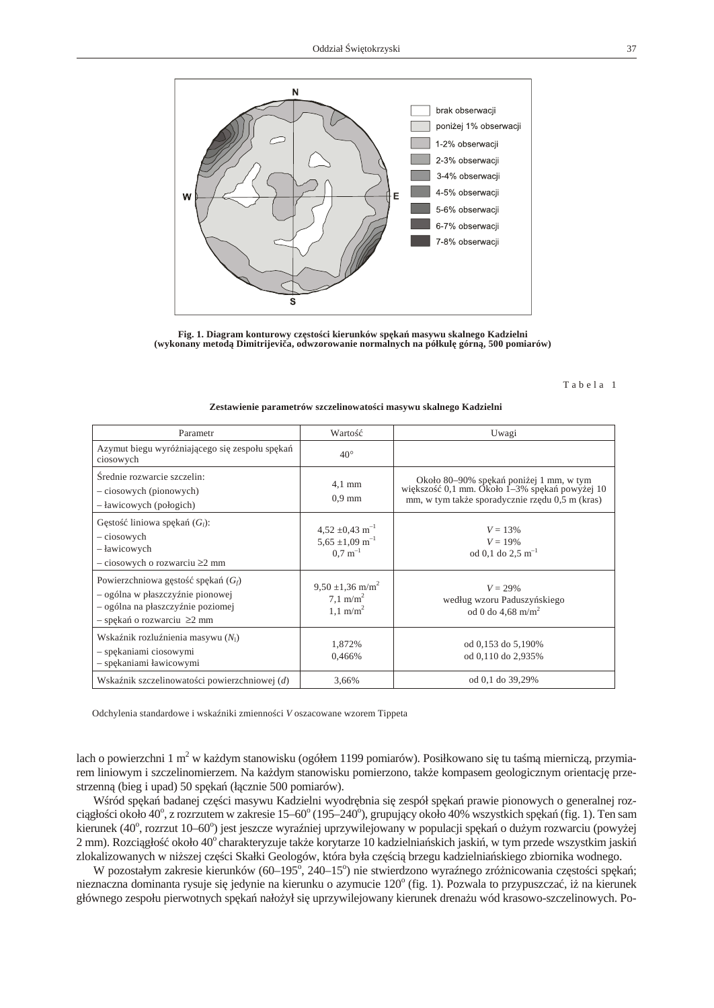

Fig. 1. Diagram konturowy cz sto ci kierunków sp ka masywu skalnego Kadzielni **(wykonany metodą Dimitrijeviča, odwzorowanie normalnych na półkulę górną, 500 pomiarów)**

Tabela 1

| Parametr                                                                                                                                         | Warto                                                                                   | Uwagi                                                                                                                                    |
|--------------------------------------------------------------------------------------------------------------------------------------------------|-----------------------------------------------------------------------------------------|------------------------------------------------------------------------------------------------------------------------------------------|
| Azymut biegu wyró niaj cego si zespołu sp ka<br>ciosowych                                                                                        | $40^\circ$                                                                              |                                                                                                                                          |
| rednie rozwarcie szczelin:<br>- ciosowych (pionowych)<br>- ławicowych (połogich)                                                                 | $4.1 \text{ mm}$<br>$0.9$ mm                                                            | Około 80–90% sp ka poni ej 1 mm, w tym<br>wi kszo 0,1 mm. Około 1–3% sp ka powy ej 10<br>mm, w tym tak e sporadycznie rz du 0,5 m (kras) |
| liniowa sp ka $(G_l)$ :<br>G sto<br>– ciosowych<br>– ławicowych<br>$-$ ciosowych o rozwarciu $\geq 2$ mm                                         | $4,52 \pm 0,43 \text{ m}^{-1}$<br>$5,65 \pm 1,09$ m <sup>-1</sup><br>$0.7~{\rm m}^{-1}$ | $V = 13\%$<br>$V = 19\%$<br>od 0,1 do 2,5 m <sup>-1</sup>                                                                                |
| Powierzchniowa g sto sp ka $(G_f)$<br>- ogólna w płaszczy nie pionowej<br>- ogólna na płaszczy nie poziomej<br>$-$ sp ka o rozwarciu $\geq 2$ mm | $9.50 \pm 1.36$ m/m <sup>2</sup><br>7.1 m/m <sup>2</sup><br>$1.1 \text{ m/m}^2$         | $V = 29\%$<br>według wzoru Paduszy skiego<br>od 0 do 4.68 m/m <sup>2</sup>                                                               |
| Wska nik rozlu nienia masywu $(N_1)$<br>- sp kaniami ciosowymi<br>- sp kaniami ławicowymi                                                        | 1,872%<br>0,466%                                                                        | od 0,153 do 5,190%<br>od 0,110 do 2,935%                                                                                                 |
| Wska nik szczelinowato ci powierzchniowej $(d)$                                                                                                  | 3,66%                                                                                   | od 0,1 do 39,29%                                                                                                                         |

#### Zestawienie parametrów szczelinowato ci masywu skalnego Kadzielni

Odchylenia standardowe i wska niki zmienno ci *V* oszacowane wzorem Tippeta

lach o powierzchni 1 m<sup>2</sup> w ka dym stanowisku (ogółem 1199 pomiarów). Posiłkowano siętu ta memieraczą, przymiarem liniowym i szczelinomierzem. Na ka dym stanowisku pomierzono, tak e kompasem geologicznym orientacj przestrzenn (bieg i upad) 50 sp ka (ł cznie 500 pomiarów).

W ród sp ka badanej cz ci masywu Kadzielni wyodr bnia si zespół sp ka prawie pionowych o generalnej rozci gło ci około 40°, z rozrzutem w zakresie 15–60° (195–240°), grupuj cy około 40% wszystkich sp ka (fig. 1). Ten sam kierunek (40°, rozrzut 10–60°) jest jeszcze wyra niej uprzywilejowany w populacji sp kaódu ym rozwarciu (powy ej 2 mm). Rozci gło około 40° charaktery zu je tak e kory tarze 10 kadzielnia skich jaski, w tym przede wszystkim jaski zlokalizowanych w ni szej cz ci Skałki Geologów, która była cz ci brzegu kadzielnia skiego zbiornika wodnego.

W pozostałym zakresie kierunków (60–195°, 240–15°) nie stwierdzono wyra nego zró nicowania cz sto ci sp ka; nieznaczna dominanta rysuje si jedynie na kierunku o azymucie 120° (fig. 1). Pozwala to przypuszcza, i na kierunek głównego zespołu pierwotnych sp ka nało ył si uprzywile jowany kierunek drena u wód krasowo-szczelinowych. Po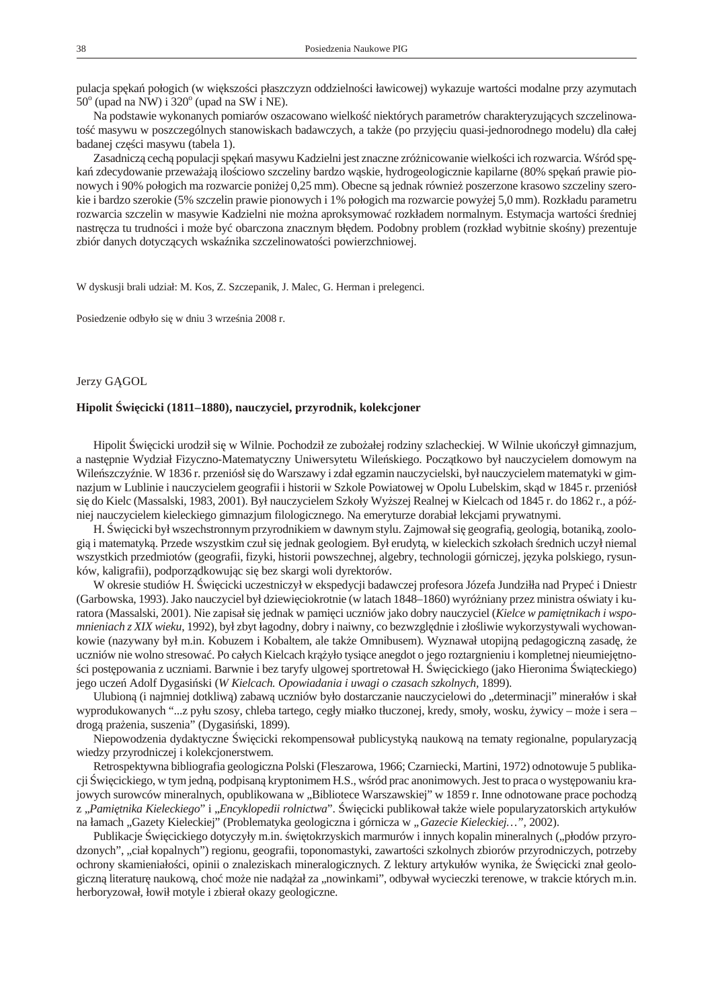<span id="page-35-0"></span>pulacja sp ka połogich (w wi kszo ci płaszczyzn oddzielno ci ławicowej) wykazuje warto ci modalne przy azymutach  $50^{\circ}$  (upad na NW) i  $320^{\circ}$  (upad na SW i NE).

Na podstawie wykonanych pomiarów oszacowano wielko niektórych parametrów charakteryzuj cych szczelinowato masywu w poszczególnych stanowiskach badawczych, a tak e (po przyj ciu quasi-jednorodnego modelu) dla całej badanej czere i masy wu (tabela 1).

Zasadnicz cech populacji sp ka masywu Kadzielni jest znaczne zró nicowanie wielko ci ich rozwarcia. W ród sp ka zdecy dowanie przewa aj ilo ciowo szczeliny bardzo w skie, hy drogeologicznie kapilarne (80% sp ka prawie pionowych i 90% połogich ma rozwarcie poni ej 0,25 mm). Obecne s jednak równie poszerzone krasowo szczeliny szerokie i bardzo szerokie (5% szczelin prawie pionowych i 1% połogich ma rozwarcie powy ej 5,0 mm). Rozkładu parametru rozwarcia szczelin w masywie Kadzielni nie mo na aproksymowa rozkładem normalnym. Estymacja warto ci redniej nastr cza tu trudno ci i mo e by obarczona znacznym bł dem. Podobny problem (rozkład wybitnie sko ny) prezentuje zbiór danych dotycz cych wska nika szczelinowato ci powierzchniowej.

W dyskusji brali udział: M. Kos, Z. Szczepanik, J. Malec, G. Herman i prelegenci.

Posiedzenie odbyło się w dniu 3 wrze nia 2008 r.

#### Jerzy G GOL

#### Hipolit wi cicki (1811–1880), nauczyciel, przyrodnik, kolekcjoner

Hipolit wi cicki urodził się w Wilnie. Pochodził ze zubo ałej rodziny szlacheckiej. W Wilnie uko czył gimnazjum, a nast pnie Wydział Fizyczno-Matematyczny Uniwersytetu Wile skiego. Pocz tkowo był nauczycielem domowym na Wile szczy nie. W 1836 r. przeniósł si do Warszawy i zdał egzamin nauczycielski, był nauczycielem matematyki w gimnazjum w Lublinie i nauczycielem geografii i historii w Szkole Powiatowej w Opolu Lubelskim, sk d w 1845 r. przeniósł si do Kielc (Massalski, 1983, 2001). Był nauczycielem Szkoły Wy szej Realnej w Kielcach od 1845 r. do 1862 r., a pó niej nauczycielem kieleckiego gimnazjum filologicznego. Na emeryturze dorabiał lekcjami prywatnymi.

H. wi cicki był wszech stronnym przyrodnikiem w dawnym stylu. Zajmował się eografi, geologi, botaniką, zoologi i mate matyk. Przede wszystkim czuł si jednak geologiem. Był erudyt, w kieleckich szkołach rednich uczył niemal wszystkich przedmiotów (geografii, fizyki, historii powszechnej, algebry, technologii górniczej, j zyka polskiego, rysunków, kaligrafii), podporz dkowuj c si bez skargi woli dyrektorów.

W okresie studiów H. wi cicki uczestniczył w ekspedycji badawczej profesora Józefa Jundziłła nad Prype i Dniestr (Garbowska, 1993). Jako nauczyciel był dziewi ciokrotnie (w latach 1848–1860) wyró niany przez ministra o wiaty i kuratora (Massalski, 2001). Nie zapisał siędnak w pamię i uczniów jako dobry nauczyciel (*Kielce w pamiętnikach i wspomnieniach z XIX wieku*, 1992), był zbyt łagodny, dobry i naiwny, co bezwzgl dnie i zło liwie wykorzystywali wychowankowie (nazywany był m.in. Kobuzem i Kobaltem, ale tak e Omnibusem). Wyznawał utopijn pedagogiczn zasad, e uczniów nie wolno stresowa. Po całych Kielcach krążyło tysiące anegdot o jego roztargnieniu i kompletnej nieumiej tnoci post powania z uczniami. Barwnie i bez taryfy ulgowej sportretował H. wi cickiego (jako Hieronima wi teckiego) jego ucze Adolf Dygasi ski (*W Kielcach. Opowiadania i uwagi o czasach szkolnych*, 1899).

Ulubion (i najmniej dotkliw) zabaw uczniów było dostarczanie nauczycielowi do "determinacji" minerałów i skał wy produ kowanych "...z pyłu szosy, chleba tartego, cegły miałko tłuczonej, kredy, smoły, wosku, ywicy – może i sera – drog pra enia, suszenia" (Dygasi ski, 1899).

Niepowodzenia dydaktyczne wi cicki rekompensował publicystyk naukow na tematy regionalne, popularyzacj wiedzy przyrodniczej i kolekcjonerstwem.

Retrospektywna bibliografia geologiczna Polski (Fleszarowa, 1966; Czarniecki, Martini, 1972) odnotowuje 5 publikacji wiecikiego, w tym jedną, podpisan kryptonimem H.S., w ród prac anonimowych. Jest to praca o wystę powaniu krajowych surowców mineralnych, opublikowana w "Bibliotece Warszawskiej" w 1859 r. Inne odnotowane prace pochodz z "Pami tnika Kieleckiego" i "Encyklopedii rolnictwa". wi cicki publikował tak e wiele popularyzatorskich artykułów na łamach "Gazety Kieleckiej" (Problematyka geologiczna i górnicza w "Gazecie Kieleckiej...", 2002).

Publikacje wi cickiego dotyczyły m.in. wi tokrzyskich marmurów i innych kopalin mineralnych ("płodów przyrodzonych", "ciał kopalnych") regionu, geografii, toponomastyki, zawarto ci szkolnych zbiorów przyrodniczych, potrzeby ochrony skamieniało ci, opinii o znaleziskach mineralogicznych. Z lektury artykułów wynika, e wi cicki znał geologiczn literatur naukow, cho mo e nie nad ał za "nowinkami", odbywał wycieczki terenowe, w trakcie których m.in. herboryzował, łowił motyle i zbierał okazy geologiczne.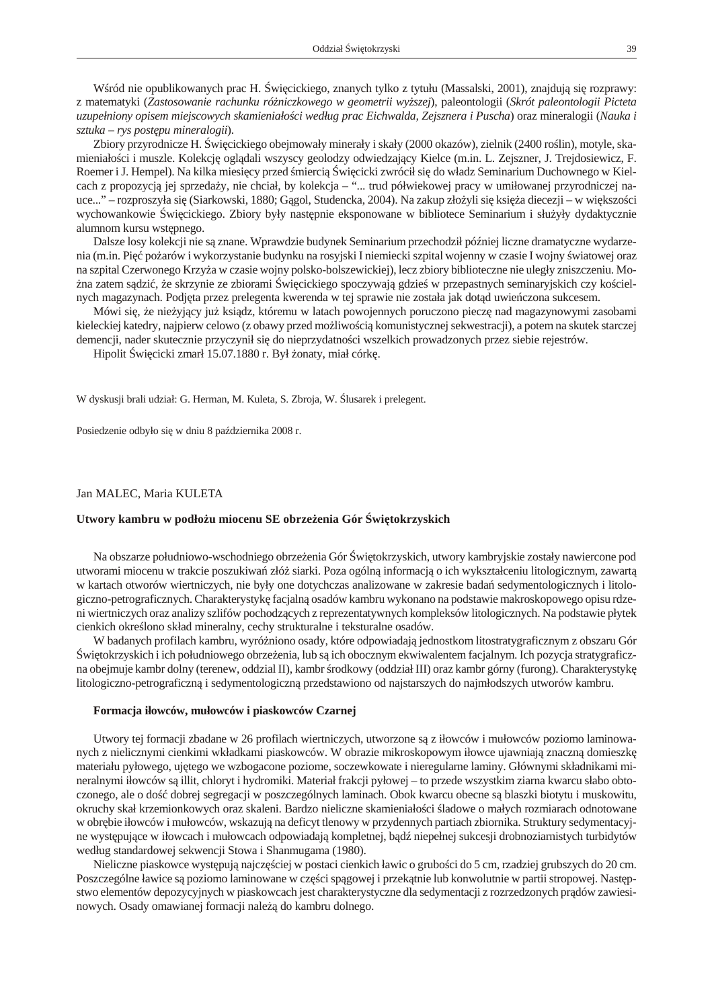<span id="page-36-0"></span>W ród nie opu bli kowanych prac H. wieckiego, znanych tylko z tytułu (Massalski, 2001), znajdują się roz prawy: z ma te ma ty ki (*Za sto so wa nie ra chun ku róż nicz ko we go w geo me trii wy ż szej*), pa le on to lo gii (*Skrót pa le on to lo gii Pic te ta uzu pełnio ny opi sem miej sco wych ska mie niałości według prac Ei chwal da, Ze j sz ne ra i Puscha*) oraz mi ne ra lo gii (*Na uka i sztu ka – rys po stę pu mi ne ra lo gii*).

Zbiory przyrodnicze H. wi cickiego obejmowały minerały i skały (2000 okazów), zielnik (2400 ro lin), motyle, skamieniało ci i muszle. Kolekcj ogl dali wszyscy geolodzy odwiedzaj cy Kielce (m.in. L. Zejszner, J. Trejdosiewicz, F. Roemer i J. Hempel). Na kilka miesi cy przed mierci wi cicki zwrócił si do władz Seminarium Duchownego w Kielcach z propozycj jej sprzeda y, nie chciał, by kolekcja – "... trud półwiekowej pracy w umiłowanej przyrodniczej nauce..." – rozproszyła si (Siarkowski, 1880; G gol, Studencka, 2004). Na zakup zło yli si ksi a diecezji – w wi k szo ci wy chowan kowie wie cickiego. Zbiory były nast pnie eksponowane w bibliotece Seminarium i służyły dydaktycznie alumnom kursu wst pnego.

Dalsze losy kolekcji nie s znane. Wprawdzie budynek Seminarium przechodził pó niej liczne dramatyczne wydarzenia (m.in. Pięco arów i wy korzy stanie budyn ku na rosyjski I nie miecki szpital wojenny w czasie I wojny wiatowej oraz na szpital Czerwonego Krzy a w czasie wojny polsko-bolszewickiej), lecz zbiory biblioteczne nie uległy zniszczeniu. Mona zatem s dzi, e skrzynie ze zbiorami wi cickiego spoczywaj gdzie w przepastnych seminaryjskich czy ko cielnych magazynach. Pod jta przez prelegenta kwerenda w tej sprawie nie została jak dot d uwie czona sukcesem.

Mówi się, e nie yj cy ju ksiądz, któremu w latach powojennych poruczono piecz nad magazynowymi zasobami kieleckiej katedry, najpierw celowo (z obawy przed mo liwo ci komunistycznej sekwestracji), a potem na skutek starczej demencji, nader skutecznie przyczynił się do nieprzydatno ci wszelkich prowadzonych przez siebie rejestrów.

Hipolit wi cicki zmarł 15.07.1880 r. Był onaty, miał córk.

W dyskusji brali udział: G. Herman, M. Kuleta, S. Zbroja, W. lusarek i prelegent.

Posiedzenie odbyło się w dniu 8 pa dziernika 2008 r.

## Jan MALEC, Maria KULETA

#### Utwory kambru w podło u miocenu SE obrze enia Gór wi tokrzyskich

Na obszarze południowo-wschodniego obrze enia Gór wi tokrzyskich, utwory kam bryjskie zostały nawiercone pod utworami miocenu w trakcie poszukiwa złó siarki. Poza ogóln informacjonich wykształce niu litologicznym, zawart w kartach otworów wiertniczych, nie były one dotychczas analizowane w zakresie bada sedymentologicznych i litologiczno-petrograficznych. Charakterystyk facjaln osadów kambru wykonano na podstawie makroskopowego opisu rdzeni wiertniczych oraz analizy szlifów pochodz cych z reprezentatywnych kompleksów litologicznych. Na podstawie płytek cienkich okre lono skład mineralny, cechy strukturalne i tek sturalne osadów.

W badanych profilach kambru, wyró niono osady, które odpowiadaj jednostkom litostratygraficznym z obszaru Gór wi to krzyskich i ich południo wego obrze enia, lub s ich obocznym ekwi walentem facjalnym. Ich pozycja straty graficz na obejmuje kambr dolny (terenew, oddział II), kambr rodkowy (oddział III) oraz kambr górny (furong). Charakterystyk litologiczno-petrograficzn i sedymentologiczn przedstawiono od najstarszych do najmłodszych utworów kambru.

#### Formacja iłowców, mułowców i piaskowców Czarnej

Utwory tej formacji zbadane w 26 profilach wiertniczych, utworzone s z iłowców i mułowców poziomo laminowanych z nielicznymi cienkimi wkładkami piaskowców. W obrazie mikroskopowym iłowce ujawniaj znaczną domieszk materiału pyłowego, uj tego we wzbogacone poziome, soczewkowate i nieregularne laminy. Głównymi składnikami mineralnymi iłowców są illit, chloryt i hydromiki. Materiał frakcji pyłowej – to przede wszystkim ziarna kwarcu słabo obtoczonego, ale o do dobrej segregacji w poszczególnych laminach. Obok kwarcu obecne s blaszki biotytu i muskowitu, okruchy skał krzemion kowych oraz skaleni. Bardzo nieliczne skamieniało ci ladowe o małych rozmiarach odnotowane w obr bie iłowców i mułowców, wskazuj na deficyt tle nowy w przydennych partiach zbiornika. Struktury sedymentacyjne wyst puj ce w iłowcach i mułowcach od powiadaj kom pletnej, b d nie pełnej sukcesji drob no ziarnistych turbidytów według standardowej sekwencji Stowa i Shanmugama (1980).

Nieliczne piaskowce wyst puj najcz ciej w postaci cienkich ławic o grubo ci do 5 cm, rzadziej grubszych do 20 cm. Poszczególne ławice s poziomo laminowane w cz ci sp gowej i przek tnie lub konwolutnie w partii stropowej. Nast pstwo elementów depozycyjnych w piaskowcach jest charaktery styczne dla sedymentacji z rozrzedzonych prądów zawiesinowych. Osady omawianej formacji nale do kambru dolnego.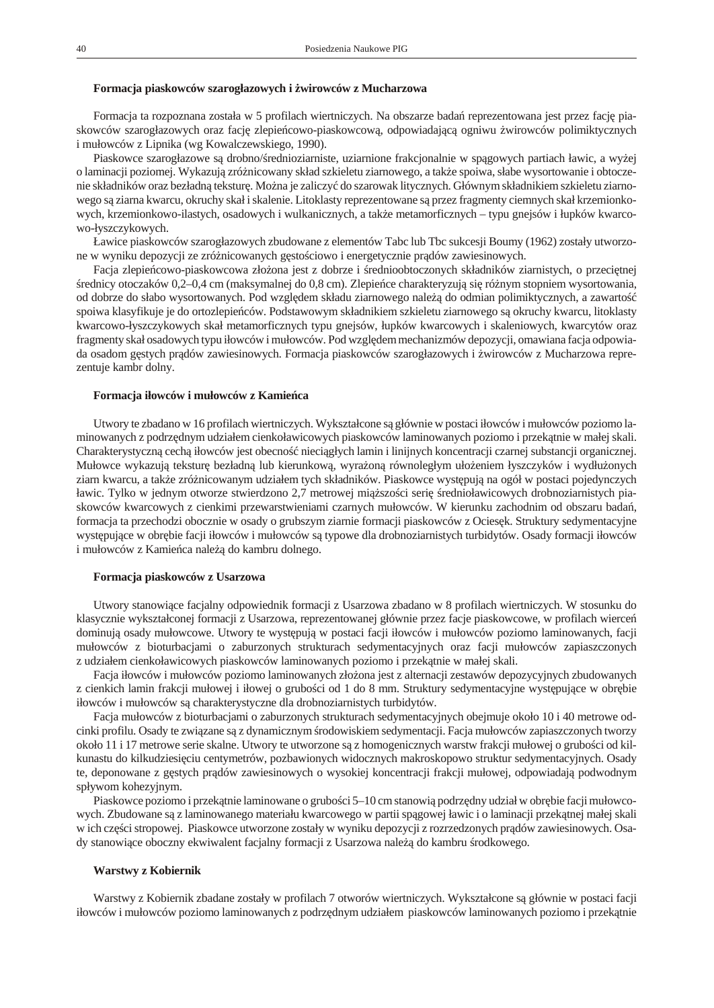### Formacja piaskowców szarogłazowych i wirowców z Mucharzowa

Formacja ta rozpoznana została w 5 profilach wiertniczych. Na obszarze bada reprezentowana jest przez facj piaskowców szarogłazowych oraz facj zlepie cowo-piaskowcow, odpowiadaj c ogniwu wirowców polimiktycznych i mułowców z Lipnika (wg Kowalczewskiego, 1990).

Piaskowce szarogłazowe s drobno/rednioziarniste, uziarnione frakcjonalnie w sp gowych partiach ławic, a wy ej o laminacji poziomej. Wykazuj zró nicowany skład szkieletu ziarnowego, a tak e spoiwa, słabe wysortowanie i obtoczenie składników oraz bezładn tek stur. Mo na je zaliczy do szarowak litycznych. Głównym składnikiem szkieletu ziarnowego s ziarna kwarcu, okruchy skał i skalenie. Litoklasty reprezentowane s przez fragmenty ciemnych skał krzemionkowych, krzemionkowo-ilastych, osadowych i wulkanicznych, a tak e metamorficznych – typu gnejsów i łupków kwarcowo-łyszczykowych.

Ławice piaskowców szarogłazowych zbudowane z elementów Tabc lub Tbc sukcesji Boumy (1962) zostały utworzone w wyniku depozycji ze zró nicowanych g sto ciowo i energetycznie prądów zawiesinowych.

Facja zlepie cowo-piaskow cowa zło ona jest z dobrze i rednioobtoczonych składników ziarnistych, o przeci tnej rednicy otoczaków 0,2–0,4 cm (mak symal nej do 0,8 cm). Zlepie ce charaktery zują i róż nym stopniem wy sortowania, od dobrze do słabo wy sortowanych. Pod wzglę dem składu ziarnowego należą do odmian polimik tycznych, a zawarto spoiwa klasyfikuje je do ortozlepie ców. Podstawowym składnikiem szkieletu ziarnowego sokruchy kwarcu, litoklasty kwarcowo-łyszczykowych skał metamorficznych typu gnejsów, łupków kwarcowych i skaleniowych, kwarcytów oraz fragmenty skał osadowych typu iłowców i mułowców. Pod wzgl dem mechanizmów depozycji, omawiana facja odpowiada osadom g stych pr dów zawiesinowych. Formacja piaskowców szarogłazowych i wirowców z Mucharzowa reprezentuje kambr dolny.

#### Formacja iłowców i mułowców z Kamie ca

Utwory te zbadano w 16 profilach wiertniczych. Wykształcone s głównie w postaci iłowców i mułowców poziomo laminowanych z podrz dnym udziałem cienkoławicowych piaskowców laminowanych poziomo i przek tnie w małej skali. Charaktery stycznę cechą iłowców jest obecno nieci głych lamin i linijnych koncentracji czarnej sub stancji organicznej. Mułowce wykazuj tek stur bezładną lub kierunkow, wyra on równoległym uło eniem łyszczyków i wydłu onych ziarn kwarcu, a tak e zró ni cowanym udziałem tych składników. Piaskowce wystę pują na ogół w postaci pojedynczych ławic. Tylko w jednym otworze stwierdzono 2,7 metrowej miąższo ci serią rednioławicowych drobnoziarnistych piaskowców kwarcowych z cienkimi przewarstwieniami czarnych mułowców. W kierunku zachodnim od obszaru bada, formacja ta przechodzi obocznie w osady o grubszym ziarnie formacji piaskowców z Ocies k. Struktury sedymentacyjne wyst puj ce w obr bie facji iłowców i mułowców s typowe dla drobnoziarnistych turbidytów. Osady formacji iłowców i mułowców z Kamie ca nale do kambru dolnego.

#### **For ma cja pia skow ców z Usa rzo wa**

Utwory stanowi ce facjalny odpowiednik formacji z Usarzowa zbadano w 8 profilach wiertniczych. W stosunku do klasycznie wykształconej formacji z Usarzowa, reprezentowanej głównie przez facje piaskowcowe, w profilach wierce dominuj osady mułowcowe. Utwory te wyst puj w postaci facji iłowców i mułowców poziomo laminowanych, facji mułowców z bioturbacjami o zaburzonych strukturach sedymentacyjnych oraz facji mułowców zapiaszczonych z udziałem cienkoławicowych piaskowców laminowanych poziomo i przek tnie w małej skali.

Facja iłowców i mułowców poziomo laminowanych zło ona jest z alternacji zestawów depozycyjnych zbudowanych z cienkich lamin frakcji mułowej i iłowej o grubo ci od 1 do 8 mm. Struktury sedymentacyjne wyst pujące w obr bie iłowców i mułowców s charak tery styczne dla drobnoziar nistych turbidy tów.

Facja mułowców z bioturbacjami o zaburzonych strukturach sedymentacyjnych obejmuje około 10 i 40 metrowe odcinki profilu. Osady te zwi zane s z dynamicznym rodowiskiem sedymentacji. Facja mułowców zapiaszczonych tworzy około 11 i 17 metrowe serie skalne. Utwory te utworzone s z homogenicznych warstw frakcji mułowej o grubo ci od kilkunastu do kil kudziesi ciu centymetrów, pozbawionych widocznych makroskopowo struktur sedymentacyjnych. Osady te, deponowane z g stych pr dów zawiesinowych o wysokiej koncentracji frakcji mułowej, odpowiadaj podwodnym spływom kohezyjnym.

Piaskowce poziomo i przek tnie laminowane o grubo ci 5–10 cm stanowi podrz dny udział w obr bie facji mułowcowych. Zbudowane s z laminowanego materiału kwarcowego w partii sp gowej ławic i o laminacji przek tnej małej skali w ich cz ci stropowej. Piaskowce utworzone zostały w wyniku depozycji z rozrzedzonych prądów zawiesinowych. Osady stanowi ce oboczny ekwiwalent facjalny formacji z Usarzowa nale do kambru rodkowego.

# **Warstwy z Kobiernik**

Warstwy z Kobiernik zbadane zostały w profilach 7 otworów wiertniczych. Wykształcone s głównie w postaci facji iłowców i mułowców poziomo laminowanych z podrzędnym udziałem piaskowców laminowanych poziomo i przekętnie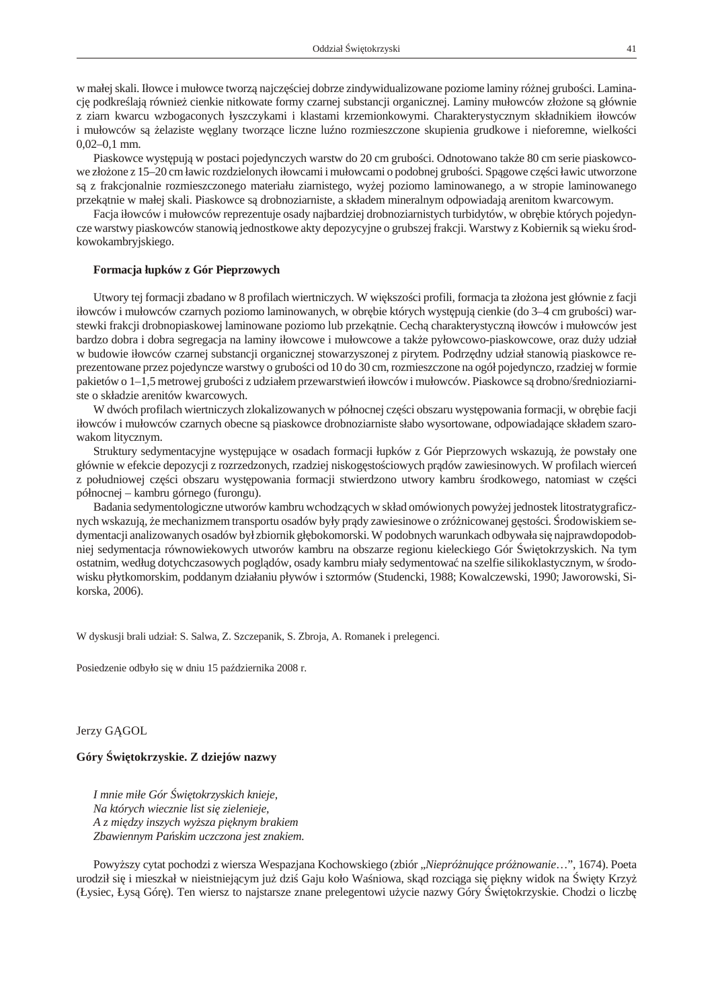<span id="page-38-0"></span>w małej skali. Iłowce i mułowce tworz najcz ciej dobrze zindywidualizowane poziome laminy róż nej grubo ci. Laminacj podkre laj równie cienkie nit kowate formy czarnej substancji organicznej. Laminy mułowców zło one są łównie z ziarn kwarcu wzbogaconych łyszczykami i klastami krzemionkowymi. Charakterystycznym składnikiem iłowców i mułowców s elaziste w glany tworz ce liczne lu no rozmieszczone skupienia grudkowe i nieforemne, wielko ci 0,02–0,1 mm.

Piaskowce wyst puj w postaci pojedynczych warstw do 20 cm grubo ci. Odnotowano tak e 80 cm serie piaskowcowe zło one z 15–20 cm ławic rozdzielonych iłowcami i mułowcami o podobnej grubo ci. Sp gowe cz ci ławic utworzone s z frakcjonalnie rozmieszczonego materiału ziarnistego, wy ej poziomo laminowanego, a w stropie laminowanego przek tnie w małej skali. Piaskowce s drobnoziarniste, a składem mineralnym odpowiadaj arenitom kwarcowym.

Facja iłowców i mułowców reprezentuje osady najbardziej drobnoziarnistych turbidytów, w obr bie których pojedyncze warstwy piaskowców stanowi jednostkowe akty depozycyjne o grubszej frakcji. Warstwy z Kobiernik s wieku rodkowo kam bryjskiego.

### Formacja łupków z Gór Pieprzowych

Utwory tej formacji zbadano w 8 profilach wiertniczych. W wi kszo ci profili, formacja ta zło ona jest głównie z facji iłowców i mułowców czarnych poziomo laminowanych, w obr bie których wyst pują cienkie (do 3–4 cm grubo ci) warstewki frakcji drobnopiaskowej laminowane poziomo lub przek tnie. Cech charakterystyczną iłowców i mułowców jest bardzo dobra i dobra segregacja na laminy iłowcowe i mułowcowe a tak e pyłowcowo-piaskowcowe, oraz du y udział w budowie iłowców czarnej substancji organicznej stowarzy szonej z pirytem. Podrz dny udział stanowi piaskowce reprezentowane przez pojedyncze warstwy o grubo ci od 10 do 30 cm, rozmieszczone na ogół pojedynczo, rzadziej w formie pakietów o 1–1,5 metrowej grubo ci z udziałem przewarstwie iłowców i mułowców. Piaskowce s drobno/rednioziarniste o składzie arenitów kwarcowych.

W dwóch profilach wiertniczych zlokalizowanych w północnej czę ci obszaru wystę powania formacji, w obrę bie facji iłowców i mułowców czarnych obecne s piaskowce drobnoziarniste słabo wysortowane, odpowiadaj ce składem szarowakom litycznym.

Struktury sedymentacyjne wyst puj ce w osadach formacji łupków z Gór Pieprzowych wskazuj, e powstały one głównie w efekcie depozycji z rozrzedzonych, rzadziej niskog sto ciowych pr dów zawiesinowych. W profilach wierce z południowej cz ci obszaru wyst powania formacji stwierdzono utwory kambru rodkowego, natomiast w cz ci północnej – kambru górnego (furongu).

Badania sedymentologiczne utworów kambru wchodz cych w skład omówionych powy ej jednostek litostratygraficznych wskazuj, e mechanizmem transportu osadów były pr dy zawiesinowe o zróż nicowanej gę sto ci. rodowiskiem sedy mentacji analizowanych osadów był zbiornik gł bokomorski. W podobnych warunkach odbywała się najprawdopodobniej sedymentacja równowiekowych utworów kambru na obszarze regionu kieleckiego Gór wi tokrzyskich. Na tym ostatnim, według dotychcza sowych poglądów, osady kambru miały sedymentowa na szelfie silikokla stycznym, w rodowisku płytkomorskim, poddanym działaniu pływów i sztormów (Studencki, 1988; Kowalczewski, 1990; Jaworowski, Sikorska, 2006).

W dyskusji brali udział: S. Salwa, Z. Szczepanik, S. Zbroja, A. Romanek i prelegenci.

Posiedzenie odbyło się w dniu 15 pa dziernika 2008 r.

Jerzy G GOL

### Góry wi tokrzyskie. Z dziejów nazwy

*I mnie miłe Gór wi tokrzy skich knieje, Na któ rych wiecz nie list się zie le nie je, A z mię dzy in szych wy ż sza pięk nym bra kiem* Zbawiennym Pa skim uczczona jest znakiem.

Powy szy cytat pochodzi z wiersza Wespazjana Kochowskiego (zbiór "Niepró nuj ce pró nowanie...", 1674). Poeta urodził si i mieszkał w nieistniej cym ju dzi Gaju koło Wa niowa, sk d rozci ga się i kny widok na wi ty Krzy (Łysiec, Łysą Gór). Ten wiersz to najstarsze znane prelegentowi u ycie nazwy Góry wi tokrzyskie. Chodzi o liczb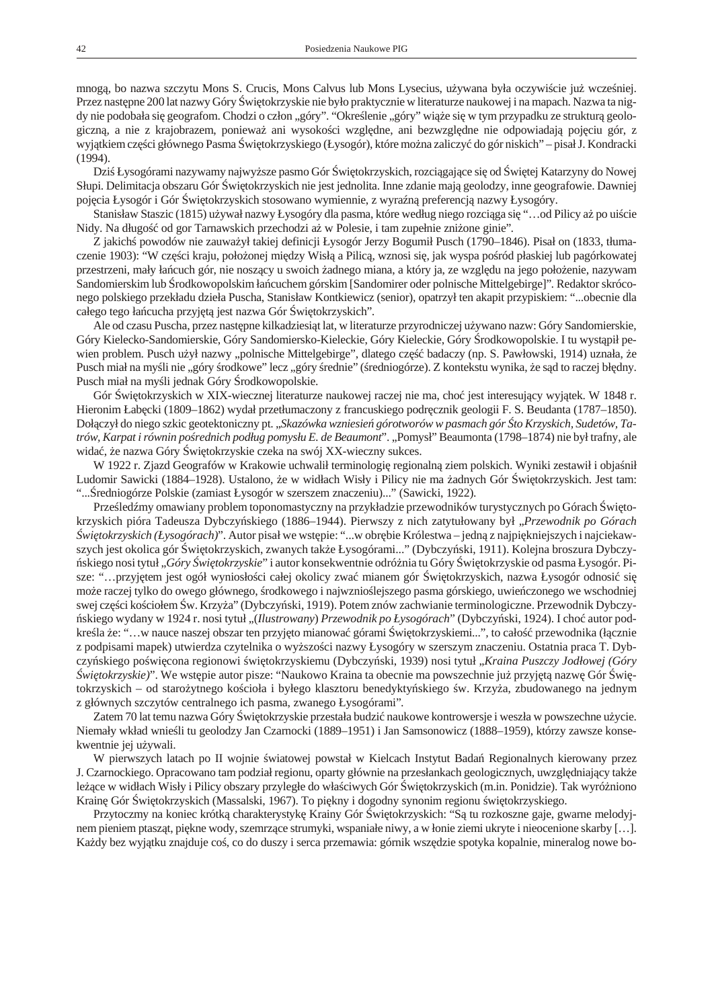mnog, bo nazwa szczytu Mons S. Crucis, Mons Calvus lub Mons Lysecius, u ywana była oczywi cie ju wcze niej. Przez nast pne 200 lat nazwy Góry wi tokrzy skie nie było praktycznie w literaturze nauko wej i na mapach. Nazwa ta nigdy nie podobała się geografom. Chodzi o człon "góry". "Okre lenie "góry" więci w tym przypadku ze strukturą geologiczn, a nie z krajobrazem, poniewa ani wysoko ci wzgl dne, ani bezwzgl dne nie odpowiadaj poj ciu gór, z wyj tkiem cz ci głównego Pasma wi tokrzyskiego (Łysogór), które mo na zaliczy do gór niskich" – pisał J. Kondracki (1994).

Dzi Łysogórami nazywamy najwy sze pasmo Gór wi tokrzyskich, rozci gaj ce si od wi tej Katarzyny do Nowej Słupi. De limitacja obszaru Gór wi to krzyskich nie jest jednolita. Inne zdanie mają geolodzy, inne geografowie. Dawniej poj cia Łysogór i Gór wi tokrzyskich stosowano wymiennie, z wyra n preferencj nazwy Łysogóry.

Stanisław Staszic (1815) u ywał nazwy Łysogóry dla pasma, które według niego rozci ga się "…od Pilicy a po ui cie Nidy. Na długo od gor Tarnawskich przechodzi a w Polesie, i tam zupełnie zni one ginie".

Z jakich powodów nie zauwa ył takiej definicji Łysogór Jerzy Bogumił Pusch (1790–1846). Pisał on (1833, tłumaczenie 1903): "W cz ci kraju, poło onej mię dzy Wisłą Pilic, wznosi si, jak wyspa po ród płaskiej lub pagórkowatej przestrzeni, mały ła cuch gór, nie nosz cy u swoich adnego miana, a który ja, ze wzgl du na jego poło enie, nazywam Sandomierskim lub rodkowopolskim ła cuchem górskim [Sandomirer oder polnische Mittelgebirge]". Redaktor skróconego polskiego przekładu dzieła Puscha, Stanisław Kontkiewicz (senior), opatrzył ten akapit przypiskiem: "...obecnie dla całego tego ła cucha przyj t jest nazwa Gór wi to krzy skich".

Ale od czasu Puscha, przez nast pne kil kadziesi tlat, w literaturze przyrodniczej u ywano nazw: Góry Sandomierskie, Góry Kielecko-Sandomierskie, Góry Sandomiersko-Kieleckie, Góry Kieleckie, Góry rodkowopolskie. I tu wyst pił pewien problem. Pusch u ył nazwy "polnische Mittelgebirge", dlatego cz badaczy (np. S. Pawłowski, 1914) uznała, e Pusch miał na my li nie "góry rodkowe" lecz "góry rednie" (redniogórze). Z kontekstu wynika, es d to raczej bł dny. Pusch miał na my li jednak Góry rod ko wopolskie.

Gór wi to krzyskich w XIX-wiecznej literaturze naukowej raczej nie ma, cho jest interesuj cy wyj tek. W 1848 r. Hieronim Łab cki (1809–1862) wydał przetłumaczony z francuskiego podr cznik geologii F. S. Beudanta (1787–1850). Doł czył do niego szkic geotektoniczny pt. "Skazówka wzniesie górotworów w pasmach gór to Krzyskich, Sudetów, Tatrów, Karpat i równin po rednich podług pomysłu E. de Beaumont". "Pomysł" Beaumonta (1798–1874) nie był trafny, ale wida, e nazwa Góry wi tokrzyskie czeka na swój XX-wieczny sukces.

W 1922 r. Zjazd Geografów w Krakowie uchwalił terminologi regionaln ziem polskich. Wyniki zestawił i obja nił Ludomir Sawicki (1884–1928). Ustalono, e w widłach Wisły i Pilicy nie ma adnych Gór wi tokrzyskich. Jest tam: "... redniogórze Polskie (zamiast Łysogór w szerszem znaczeniu)..." (Sawicki, 1922).

Prze led my omawiany problem toponomastyczny na przykładzie przewodników turystycznych po Górach wi tokrzyskich pióra Tadeusza Dybczy skiego (1886–1944). Pierwszy z nich zatytułowany był "Przewodnik po Górach *wi tokrzyskich (Łysogórach)*". Autor pisał we wst pie: "...w obr bie Królestwa – jedn z najpi kniejszych i najciekawszych jest okolica gór wi tokrzyskich, zwanych tak e Łysogórami..." (Dybczy ski, 1911). Kolejna broszura Dybczyskiego nosi tytuł "*Góry wi tokrzyskie*" i autor konsekwentnie odró nia tu Góry wi tokrzyskie od pasma Łysogór. Pisze: "...przyj tem jest ogół wyniosło ci całej okolicy zwa mianem gór wi tokrzyskich, nazwa Łysogór odnosi si mo e raczej tylko do owego głównego, rodkowego i najwznio lejszego pasma górskiego, uwie czonego we wschodniej swej cz ci ko ciołem w. Krzy a" (Dybczy ski, 1919). Potem znów zachwianie terminologiczne. Przewodnik Dybczyskiego wydany w 1924 r. nosi tytuł "(*Ilustrowany) Przewodnik po Łysogórach*" (Dybczy ski, 1924). I cho autor podkre la e: "...w nauce naszej obszar ten przyj to mianowa górami wi tokrzyskiemi...", to cało przewodnika (ł cznie z podpisami mapek) utwierdza czytelnika o wy szo ci nazwy Łysogóry w szerszym znaczeniu. Ostatnia praca T. Dybczy skiego po wi cona regionowi wi tokrzyskiemu (Dybczy ski, 1939) nosi tytuł "*Kraina Puszczy Jodłowej (Góry wi tokrzyskie)*". We wst pie autor pisze: "Naukowo Kraina ta obecnie ma powszechnie ju przyj t nazw Gór wi to krzyskich – od staro ytnego ko cioła i byłego klasztoru benedykty skiego w. Krzy a, zbudowanego na jednym z głównych szczytów centralnego ich pasma, zwanego Łysogórami".

Zatem 70 lat temu nazwa Góry wi tokrzyskie przestała budzi naukowe kontrowersje i weszła w powszechne u ycie. Niemały wkład wnie li tu geolodzy Jan Czarnocki (1889–1951) i Jan Samsonowicz (1888–1959), którzy zawsze konsekwentnie jej u ywali.

W pierwszych latach po II wojnie wiatowej powstał w Kielcach Instytut Bada Regionalnych kierowany przez J. Czarnockiego. Opracowano tam podział regionu, oparty głównie na przesłankach geologicznych, uwzględniający tak le ce w widłach Wisły i Pilicy obszary przy ległe do wła ciwych Gór wi tokrzy skich (m.in. Ponidzie). Tak wyró niono Krain Gór wi tokrzyskich (Massalski, 1967). To pi kny i dogodny synonim regionu wi tokrzyskiego.

Przytoczmy na koniec krótk charakterystyk Krainy Gór wi tokrzyskich: "S tu rozkoszne gaje, gwarne melodyjnem pieniem ptasz t, pi kne wody, szemrz ce strumyki, wspaniałe niwy, a w łonie ziemi ukryte i nieocenione skarby […]. Ka dy bez wyj tku znajduje co, co do duszy i serca przemawia: górnik wsz dzie spotyka kopalnie, mineralog nowe bo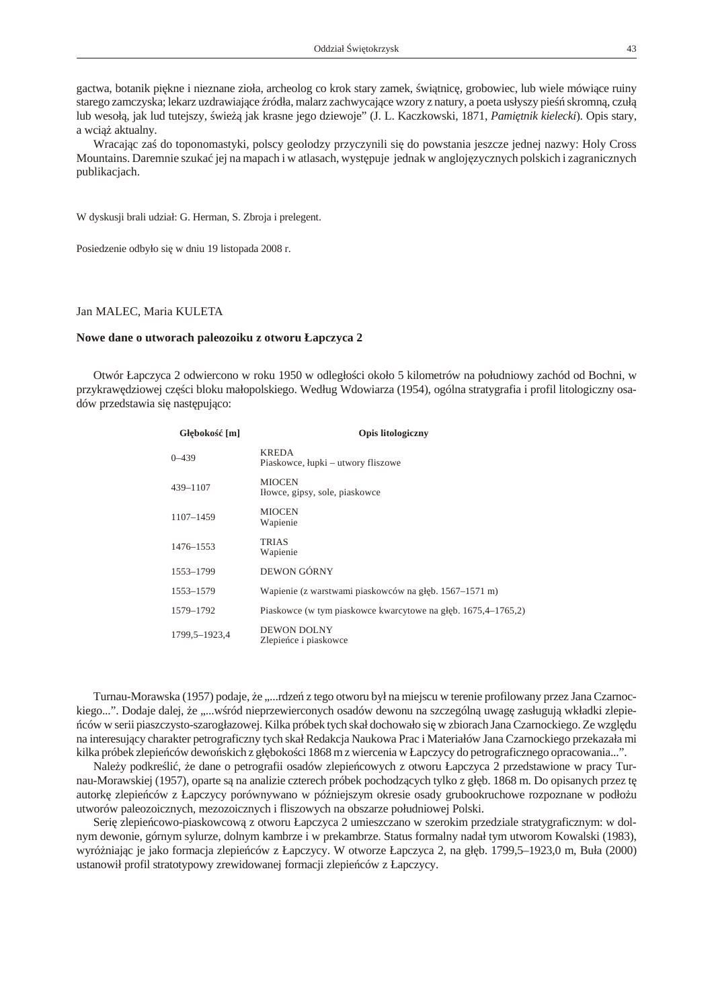<span id="page-40-0"></span>gactwa, botanik pi kne i nieznane zioła, archeolog co krok stary zamek, wi tnic, grobowiec, lub wiele mówi ce ruiny starego zamczyska; lekarz uzdrawiające ródła, malarz zachwycające wzory z natury, a poeta usłyszy pie śkromną, czuł lub wesoł, jak lud tutejszy, wie jak krasne jego dziewoje" (J. L. Kacz kowski, 1871, *Pami tnik kielecki*). Opis stary, a wci aktualny.

Wracaj c za do toponomastyki, polscy geolodzy przyczynili si do powstania jeszcze jednej nazwy: Holy Cross Mountains. Daremnie szuka jej na mapach i w atlasach, wyst puje jednak w angloj zycznych polskich i zagranicznych publikacjach.

W dyskusji brali udział: G. Herman, S. Zbroja i prelegent.

Posiedzenie odbyło się w dniu 19 listopada 2008 r.

## Jan MALEC, Maria KULETA

#### Nowe dane o utworach paleozoiku z otworu Łapczyca 2

Otwór Łapczyca 2 odwiercono w roku 1950 w odległo ci około 5 kilometrów na południowy zachód od Bochni, w przykraw dziowej cz ci bloku małopolskiego. Według Wdowiarza (1954), ogólna stratygrafia i profil litologiczny osadów przedstawia si nast puj co:

| Gł boko       | [m] | <b>Opis litologiczny</b>                                      |
|---------------|-----|---------------------------------------------------------------|
| $0 - 439$     |     | <b>KREDA</b><br>Piaskowce, łupki – utwory fliszowe            |
| 439-1107      |     | <b>MIOCEN</b><br>Ilowce, gipsy, sole, piaskowce               |
| 1107-1459     |     | <b>MIOCEN</b><br>Wapienie                                     |
| 1476-1553     |     | TRIAS<br>Wapienie                                             |
| 1553-1799     |     | DEWON GÓRNY                                                   |
| 1553-1579     |     | Wapienie (z warstwami piaskowców na gł b. 1567–1571 m)        |
| 1579-1792     |     | Piaskowce (w tym piaskowce kwarcytowe na gł b. 1675,4–1765,2) |
| 1799,5-1923,4 |     | <b>DEWON DOLNY</b><br>Zlepie ce i piaskowce                   |

Turnau-Morawska (1957) podaje, e "...rdze z tego otworu był na miejscu w terenie profilowany przez Jana Czarnockiego...". Dodaje dalej, e "...w ród nieprzewierconych osadów dewonu na szczególn uwag zasługuj wkładki zlepieców w serii piaszczysto-szarogłazowej. Kilka próbek tych skał dochowało się w zbiorach Jana Czarnockiego. Ze wzglę du na interesuj cy charakter petrograficzny tych skał Redakcja Naukowa Prac i Materiałów Jana Czarnockiego przekazała mi kilka próbek zlepie ców dewo skich z gł boko ci 1868 m z wiercenia w Łapczycy do petrograficznego opracowania...".

Nale y podkre li, e dane o petrografii osadów zlepie cowych z otworu Łapczyca 2 przedstawione w pracy Turnau-Morawskiej (1957), oparte s na analizie czterech próbek pochodz cych tylko z gł b. 1868 m. Do opisanych przez t autork zlepie ców z Łapczycy porównywano w pó niejszym okresie osady grubookruchowe rozpoznane w podło u utworów paleozoicznych, mezozoicznych i fliszowych na obszarze południowej Polski.

Seri zlepie cowo-piaskow cow z otworu Łapczyca 2 umieszczano w szerokim przedziale stratygraficznym: w dolnym dewonie, górnym sylurze, dolnym kambrze i w prekambrze. Status formalny nadał tym utworom Kowalski (1983), wyró niaj c je jako formacja zlepie ców z Łapczycy. W otworze Łapczyca 2, na gł b. 1799,5–1923,0 m, Buła (2000) ustanowił profil stratotypowy zrewidowanej formacji zlepie ców z Łapczycy.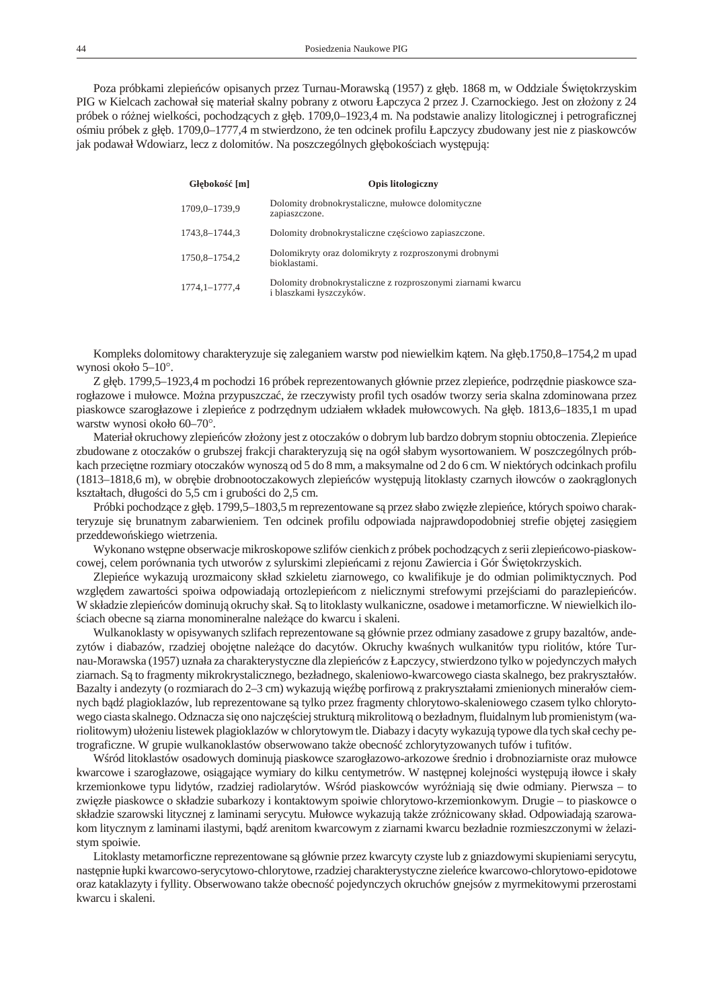Poza próbkami zlepie ców opisanych przez Turnau-Morawsk (1957) z gł b. 1868 m, w Oddziale wi tokrzyskim PIG w Kielcach zachował się materiał skalny pobrany z otworu Łapczyca 2 przez J. Czarnockiego. Jest on złożony z 24 próbek o ró nej wielko ci, pochodz cych z gł b. 1709,0–1923,4 m. Na podstawie analizy litologicznej i petrograficznej o miu próbek z gł b. 1709,0–1777,4 m stwierdzono, e ten odcinek profilu Łapczycy zbudowany jest nie z piaskowców jak podawał Wdowiarz, lecz z dolomitów. Na poszczególnych gł boko ciach wyst puj:

| Gł boko<br>[m]  | <b>Opis litologiczny</b>                                                               |
|-----------------|----------------------------------------------------------------------------------------|
| 1709,0-1739,9   | Dolomity drobnokrystaliczne, mułowce dolomityczne<br>zapiaszczone.                     |
| 1743.8-1744.3   | Dolomity drobnokrystaliczne cz ciowo zapiaszczone.                                     |
| 1750.8-1754.2   | Dolomikryty oraz dolomikryty z rozproszonymi drobnymi<br>bioklastami.                  |
| 1774, 1–1777, 4 | Dolomity drobnokrystaliczne z rozproszonymi ziarnami kwarcu<br>i blaszkami łyszczyków. |

Kompleks do lo mito wy charaktery zu je się zaleganiem warstw pod niewielkim k tem. Na gł b.1750,8–1754,2 m upad wynosi około  $5-10^\circ$ .

Z gł b. 1799,5–1923,4 m pochodzi 16 próbek reprezentowanych głównie przez zlepie ce, podrz dnie piaskowce szarogłazowe i mułowce. Mo na przypuszcza, e rzeczywisty profil tych osadów tworzy seria skalna zdominowana przez piaskowce szarogłazowe i zlepie ce z podrz dnym udziałem wkładek mułowcowych. Na gł b. 1813,6–1835,1 m upad warstw wynosi około 60–70°.

Materiał okruchowy zlepie ców zło ony jest z otoczaków o dobrym lub bardzo dobrym stopniu obtoczenia. Zlepie ce zbudowane z otoczaków o grubszej frakcji charakteryzuj si na ogół słabym wysortowaniem. W poszczególnych próbkach przeci tne rozmiary otoczaków wynosz od 5 do 8 mm, a mak symalne od 2 do 6 cm. W niektórych odcinkach profilu (1813–1818,6 m), w obr bie drobnootoczakowych zlepie ców wyst puj litoklasty czarnych iłowców o zaokrąglonych kształtach, długo ci do 5,5 cm i grubo ci do 2,5 cm.

Próbki pochodz ce z gł b. 1799,5–1803,5 m reprezentowane s przez słabo zwi złe zlepie ce, których spoiwo charakteryzuje si brunatnym zabarwieniem. Ten odcinek profilu odpowiada najprawdopodobniej strefie obj tej zasi giem przeddewo skiego wietrzenia.

Wy konano wst pne obserwacje mi kroskopowe szlifów cienkich z próbek pochodz cych z serii zlepie cowo-pia skowcowej, celem porównania tych utworów z sylurskimi zlepie cami z rejonu Zawiercia i Gór wi tokrzyskich.

Zlepie ce wykazuj urozmaicony skład szkieletu ziarnowego, co kwalifikuje je do odmian polimiktycznych. Pod wzgl dem zawarto ci spoiwa odpowiadaj ortozlepie com z nielicznymi strefowymi przej ciami do parazlepie ców. W składzie zlepie ców dominuj okruchy skał. S to litoklasty wulkaniczne, osadowe i metamorficzne. W niewielkich ilociach obecne s ziarna monomineralne nale ce do kwarcu i skaleni.

Wulkanoklasty w opisywanych szlifach reprezentowane s głównie przez odmiany zasadowe z grupy bazaltów, andezytów i diabazów, rzadziej oboj tne nale ce do dacytów. Okruchy kwa nych wulkanitów typu riolitów, które Turnau-Morawska (1957) uznała za charakterystyczne dla zlepie ców z Łapczycy, stwierdzono tylko w pojedynczych małych ziarnach. S to fragmenty mikro krystalicznego, bezładnego, skaleniowo-kwar co wego ciasta skalnego, bez prakryształów. Bazalty i andezyty (o rozmiarach do 2–3 cm) wykazuj wię b porfirow z prakryształami zmienionych minerałów ciemnych b d plagioklazów, lub reprezentowane s tylko przez fragmenty chlorytowo-skaleniowego czasem tylko chlorytowego ciasta skalnego. Odznacza się ono najczę ciej strukturą mikrolitowo bezładnym, fluidalnym lub promienistym (wariolitowym) uło eniu listewek plagioklazów w chlorytowym tle. Diabazy i dacyty wykazuj typowe dla tych skał cechy petro graficzne. W grupie wulka noklastów obserwowano tak e obecno zchloryty zowanych tu fów i tu fitów.

W ród litoklastów osadowych dominuj piaskowce szarogłazowo-arkozowe rednio i drobnoziarniste oraz mułowce kwarcowe i szarogłazowe, osi gaj ce wymiary do kilku centymetrów. W nast pnej kolejno ci wyst puj iłowce i skały krzemionkowe typu lidytów, rzadziej radiolarytów. W ród piaskowców wyró niaj się dwie odmiany. Pierwsza – to zwi złe piaskowce o składzie subarkozy i kontaktowym spoiwie chlorytowo-krzemionkowym. Drugie – to piaskowce o składzie szarowski litycznej z laminami serycytu. Mułowce wykazuj tak e zró nicowany skład. Odpowiadaj szarowakom litycznym z laminami ilastymi, b d arenitom kwarcowym z ziarnami kwarcu bezładnie rozmieszczonymi w elazistym spoiwie.

Litoklasty metamorficzne reprezentowane s głównie przez kwarcyty czyste lub z gniazdowymi skupieniami serycytu, nast pnie łupki kwarcowo-serycytowo-chlorytowe, rzadziej charakterystyczne ziele ce kwarcowo-chlorytowo-epidotowe oraz kataklazyty i fyllity. Obserwowano tak e obecno pojedynczych okruchów gnejsów z myrmekitowymi przerostami kwarcu i skaleni.